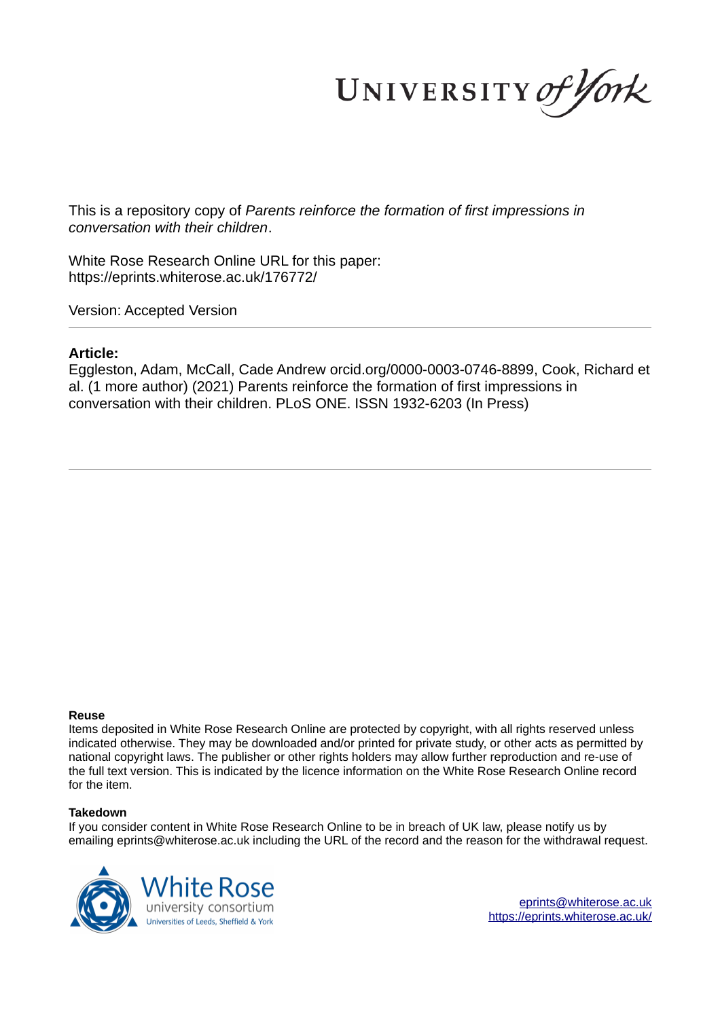UNIVERSITY of York

This is a repository copy of *Parents reinforce the formation of first impressions in conversation with their children*.

White Rose Research Online URL for this paper: https://eprints.whiterose.ac.uk/176772/

Version: Accepted Version

#### **Article:**

Eggleston, Adam, McCall, Cade Andrew orcid.org/0000-0003-0746-8899, Cook, Richard et al. (1 more author) (2021) Parents reinforce the formation of first impressions in conversation with their children. PLoS ONE. ISSN 1932-6203 (In Press)

#### **Reuse**

Items deposited in White Rose Research Online are protected by copyright, with all rights reserved unless indicated otherwise. They may be downloaded and/or printed for private study, or other acts as permitted by national copyright laws. The publisher or other rights holders may allow further reproduction and re-use of the full text version. This is indicated by the licence information on the White Rose Research Online record for the item.

#### **Takedown**

If you consider content in White Rose Research Online to be in breach of UK law, please notify us by emailing eprints@whiterose.ac.uk including the URL of the record and the reason for the withdrawal request.



eprints@whiterose.ac.uk https://eprints.whiterose.ac.uk/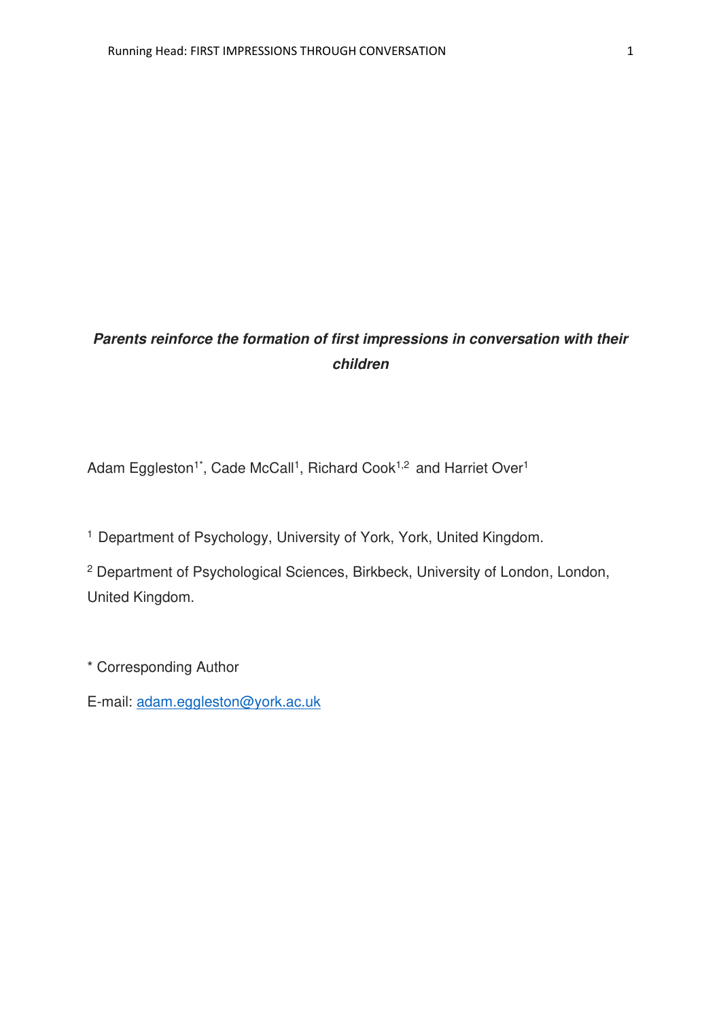# *Parents reinforce the formation of first impressions in conversation with their children*

Adam Eggleston<sup>1\*</sup>, Cade McCall<sup>1</sup>, Richard Cook<sup>1,2</sup> and Harriet Over<sup>1</sup>

<sup>1</sup> Department of Psychology, University of York, York, United Kingdom.

<sup>2</sup> Department of Psychological Sciences, Birkbeck, University of London, London, United Kingdom.

\* Corresponding Author

E-mail: [adam.eggleston@york.ac.uk](mailto:adam.eggleston@york.ac.uk)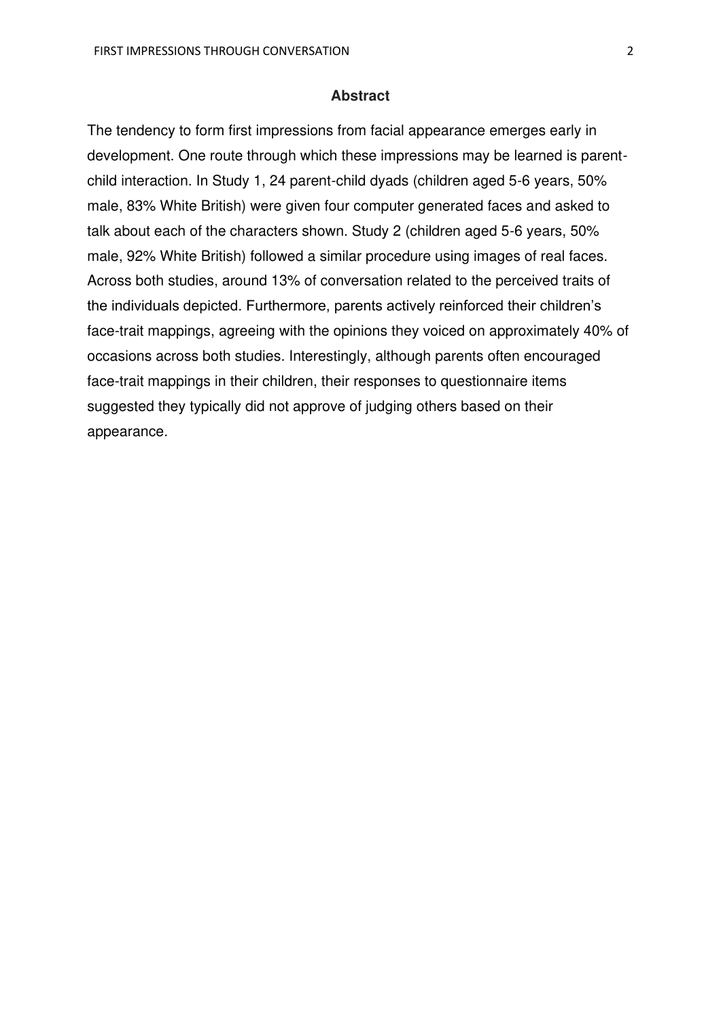#### **Abstract**

The tendency to form first impressions from facial appearance emerges early in development. One route through which these impressions may be learned is parentchild interaction. In Study 1, 24 parent-child dyads (children aged 5-6 years, 50% male, 83% White British) were given four computer generated faces and asked to talk about each of the characters shown. Study 2 (children aged 5-6 years, 50% male, 92% White British) followed a similar procedure using images of real faces. Across both studies, around 13% of conversation related to the perceived traits of the individuals depicted. Furthermore, parents actively reinforced their children's face-trait mappings, agreeing with the opinions they voiced on approximately 40% of occasions across both studies. Interestingly, although parents often encouraged face-trait mappings in their children, their responses to questionnaire items suggested they typically did not approve of judging others based on their appearance.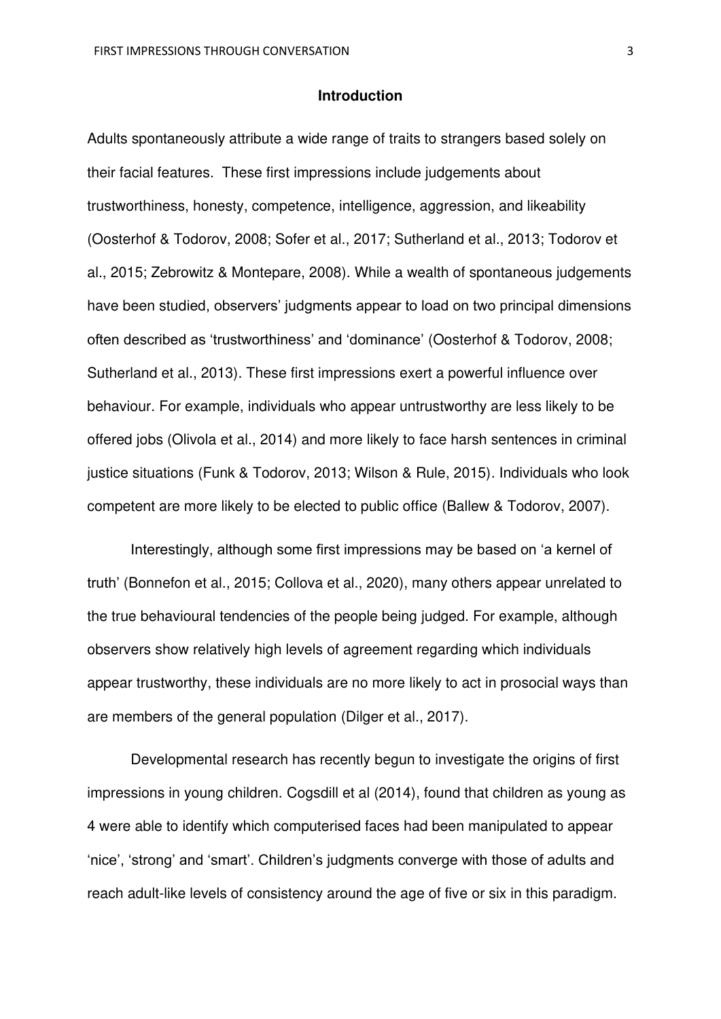#### **Introduction**

Adults spontaneously attribute a wide range of traits to strangers based solely on their facial features. These first impressions include judgements about trustworthiness, honesty, competence, intelligence, aggression, and likeability (Oosterhof & Todorov, 2008; Sofer et al., 2017; Sutherland et al., 2013; Todorov et al., 2015; Zebrowitz & Montepare, 2008). While a wealth of spontaneous judgements have been studied, observers' judgments appear to load on two principal dimensions often described as 'trustworthiness' and 'dominance' (Oosterhof & Todorov, 2008; Sutherland et al., 2013). These first impressions exert a powerful influence over behaviour. For example, individuals who appear untrustworthy are less likely to be offered jobs (Olivola et al., 2014) and more likely to face harsh sentences in criminal justice situations (Funk & Todorov, 2013; Wilson & Rule, 2015). Individuals who look competent are more likely to be elected to public office (Ballew & Todorov, 2007).

Interestingly, although some first impressions may be based on 'a kernel of truth' (Bonnefon et al., 2015; Collova et al., 2020), many others appear unrelated to the true behavioural tendencies of the people being judged. For example, although observers show relatively high levels of agreement regarding which individuals appear trustworthy, these individuals are no more likely to act in prosocial ways than are members of the general population (Dilger et al., 2017).

Developmental research has recently begun to investigate the origins of first impressions in young children. Cogsdill et al (2014), found that children as young as 4 were able to identify which computerised faces had been manipulated to appear 'nice', 'strong' and 'smart'. Children's judgments converge with those of adults and reach adult-like levels of consistency around the age of five or six in this paradigm.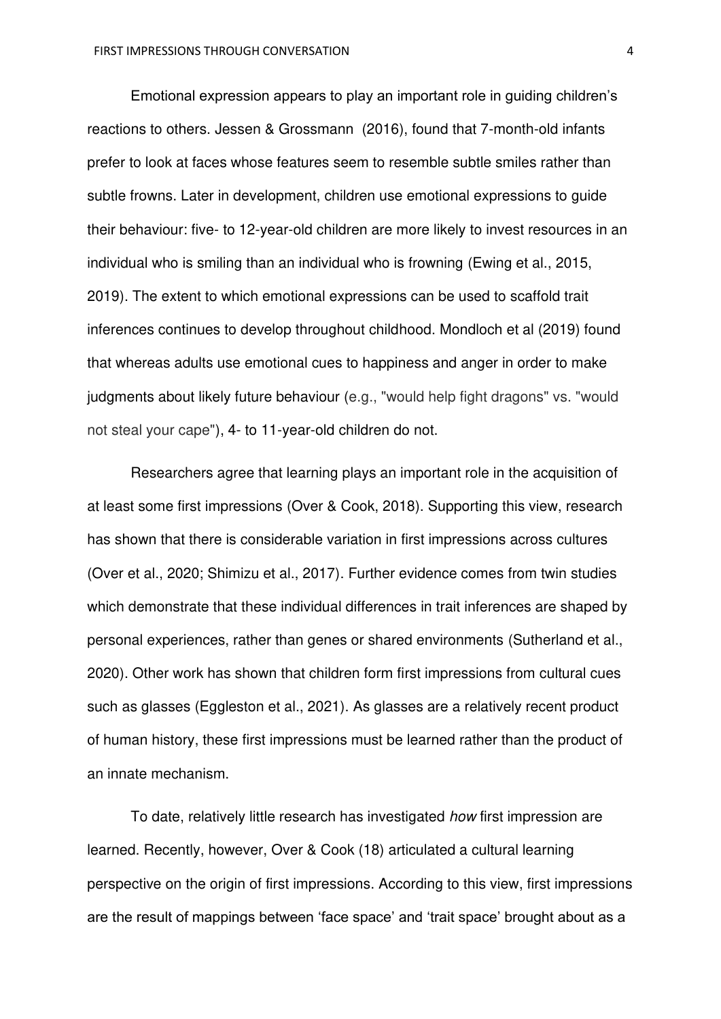Emotional expression appears to play an important role in guiding children's reactions to others. Jessen & Grossmann (2016), found that 7-month-old infants prefer to look at faces whose features seem to resemble subtle smiles rather than subtle frowns. Later in development, children use emotional expressions to guide their behaviour: five- to 12-year-old children are more likely to invest resources in an individual who is smiling than an individual who is frowning (Ewing et al., 2015, 2019). The extent to which emotional expressions can be used to scaffold trait inferences continues to develop throughout childhood. Mondloch et al (2019) found that whereas adults use emotional cues to happiness and anger in order to make judgments about likely future behaviour (e.g., "would help fight dragons" vs. "would not steal your cape"), 4- to 11-year-old children do not.

 Researchers agree that learning plays an important role in the acquisition of at least some first impressions (Over & Cook, 2018). Supporting this view, research has shown that there is considerable variation in first impressions across cultures (Over et al., 2020; Shimizu et al., 2017). Further evidence comes from twin studies which demonstrate that these individual differences in trait inferences are shaped by personal experiences, rather than genes or shared environments (Sutherland et al., 2020). Other work has shown that children form first impressions from cultural cues such as glasses (Eggleston et al., 2021). As glasses are a relatively recent product of human history, these first impressions must be learned rather than the product of an innate mechanism.

 To date, relatively little research has investigated *how* first impression are learned. Recently, however, Over & Cook (18) articulated a cultural learning perspective on the origin of first impressions. According to this view, first impressions are the result of mappings between 'face space' and 'trait space' brought about as a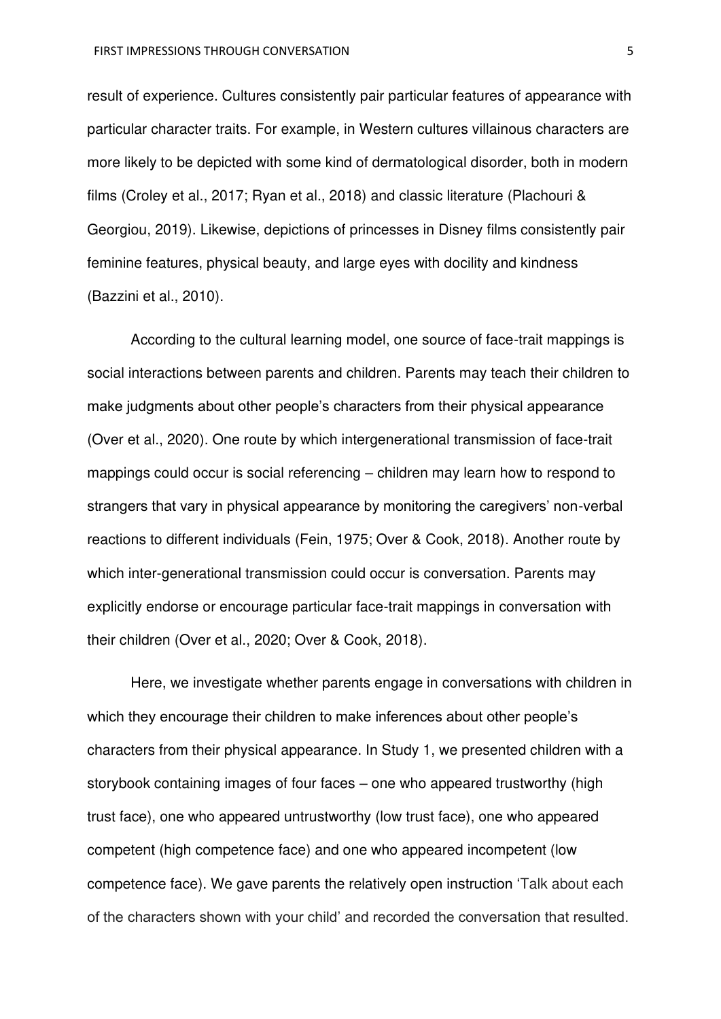result of experience. Cultures consistently pair particular features of appearance with particular character traits. For example, in Western cultures villainous characters are more likely to be depicted with some kind of dermatological disorder, both in modern films (Croley et al., 2017; Ryan et al., 2018) and classic literature (Plachouri & Georgiou, 2019). Likewise, depictions of princesses in Disney films consistently pair feminine features, physical beauty, and large eyes with docility and kindness (Bazzini et al., 2010).

 According to the cultural learning model, one source of face-trait mappings is social interactions between parents and children. Parents may teach their children to make judgments about other people's characters from their physical appearance (Over et al., 2020). One route by which intergenerational transmission of face-trait mappings could occur is social referencing – children may learn how to respond to strangers that vary in physical appearance by monitoring the caregivers' non-verbal reactions to different individuals (Fein, 1975; Over & Cook, 2018). Another route by which inter-generational transmission could occur is conversation. Parents may explicitly endorse or encourage particular face-trait mappings in conversation with their children (Over et al., 2020; Over & Cook, 2018).

Here, we investigate whether parents engage in conversations with children in which they encourage their children to make inferences about other people's characters from their physical appearance. In Study 1, we presented children with a storybook containing images of four faces – one who appeared trustworthy (high trust face), one who appeared untrustworthy (low trust face), one who appeared competent (high competence face) and one who appeared incompetent (low competence face). We gave parents the relatively open instruction 'Talk about each of the characters shown with your child' and recorded the conversation that resulted.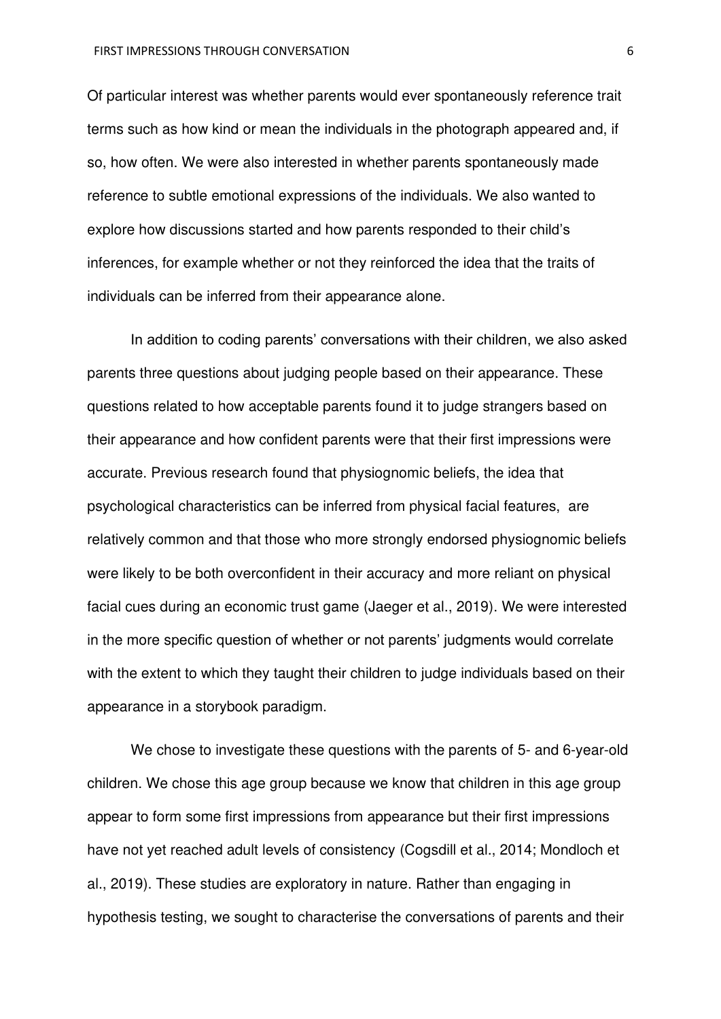Of particular interest was whether parents would ever spontaneously reference trait terms such as how kind or mean the individuals in the photograph appeared and, if so, how often. We were also interested in whether parents spontaneously made reference to subtle emotional expressions of the individuals. We also wanted to explore how discussions started and how parents responded to their child's inferences, for example whether or not they reinforced the idea that the traits of individuals can be inferred from their appearance alone.

In addition to coding parents' conversations with their children, we also asked parents three questions about judging people based on their appearance. These questions related to how acceptable parents found it to judge strangers based on their appearance and how confident parents were that their first impressions were accurate. Previous research found that physiognomic beliefs, the idea that psychological characteristics can be inferred from physical facial features, are relatively common and that those who more strongly endorsed physiognomic beliefs were likely to be both overconfident in their accuracy and more reliant on physical facial cues during an economic trust game (Jaeger et al., 2019). We were interested in the more specific question of whether or not parents' judgments would correlate with the extent to which they taught their children to judge individuals based on their appearance in a storybook paradigm.

 We chose to investigate these questions with the parents of 5- and 6-year-old children. We chose this age group because we know that children in this age group appear to form some first impressions from appearance but their first impressions have not yet reached adult levels of consistency (Cogsdill et al., 2014; Mondloch et al., 2019). These studies are exploratory in nature. Rather than engaging in hypothesis testing, we sought to characterise the conversations of parents and their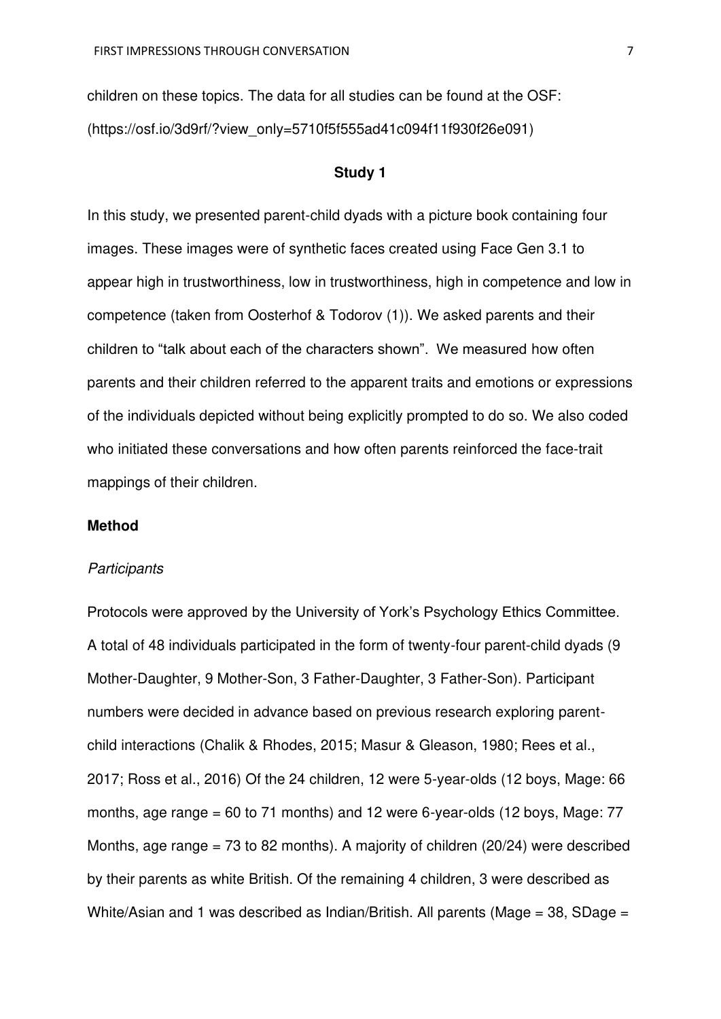children on these topics. The data for all studies can be found at the OSF: (https://osf.io/3d9rf/?view\_only=5710f5f555ad41c094f11f930f26e091)

## **Study 1**

In this study, we presented parent-child dyads with a picture book containing four images. These images were of synthetic faces created using Face Gen 3.1 to appear high in trustworthiness, low in trustworthiness, high in competence and low in competence (taken from Oosterhof & Todorov (1)). We asked parents and their children to "talk about each of the characters shown". We measured how often parents and their children referred to the apparent traits and emotions or expressions of the individuals depicted without being explicitly prompted to do so. We also coded who initiated these conversations and how often parents reinforced the face-trait mappings of their children.

## **Method**

#### *Participants*

Protocols were approved by the University of York's Psychology Ethics Committee. A total of 48 individuals participated in the form of twenty-four parent-child dyads (9 Mother-Daughter, 9 Mother-Son, 3 Father-Daughter, 3 Father-Son). Participant numbers were decided in advance based on previous research exploring parentchild interactions (Chalik & Rhodes, 2015; Masur & Gleason, 1980; Rees et al., 2017; Ross et al., 2016) Of the 24 children, 12 were 5-year-olds (12 boys, Mage: 66 months, age range =  $60$  to 71 months) and 12 were 6-year-olds (12 boys, Mage:  $77$ Months, age range = 73 to 82 months). A majority of children (20/24) were described by their parents as white British. Of the remaining 4 children, 3 were described as White/Asian and 1 was described as Indian/British. All parents (Mage =  $38$ , SDage =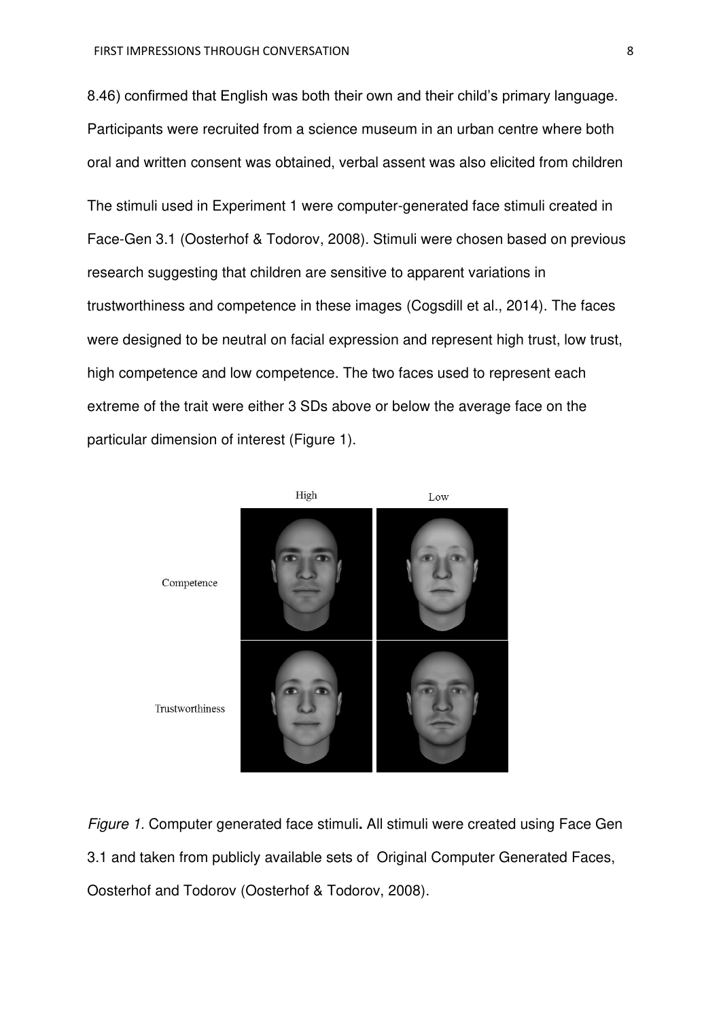8.46) confirmed that English was both their own and their child's primary language. Participants were recruited from a science museum in an urban centre where both oral and written consent was obtained, verbal assent was also elicited from children The stimuli used in Experiment 1 were computer-generated face stimuli created in Face-Gen 3.1 (Oosterhof & Todorov, 2008). Stimuli were chosen based on previous research suggesting that children are sensitive to apparent variations in trustworthiness and competence in these images (Cogsdill et al., 2014). The faces were designed to be neutral on facial expression and represent high trust, low trust, high competence and low competence. The two faces used to represent each extreme of the trait were either 3 SDs above or below the average face on the particular dimension of interest (Figure 1).



*Figure 1.* Computer generated face stimuli**.** All stimuli were created using Face Gen 3.1 and taken from publicly available sets of Original Computer Generated Faces, Oosterhof and Todorov (Oosterhof & Todorov, 2008).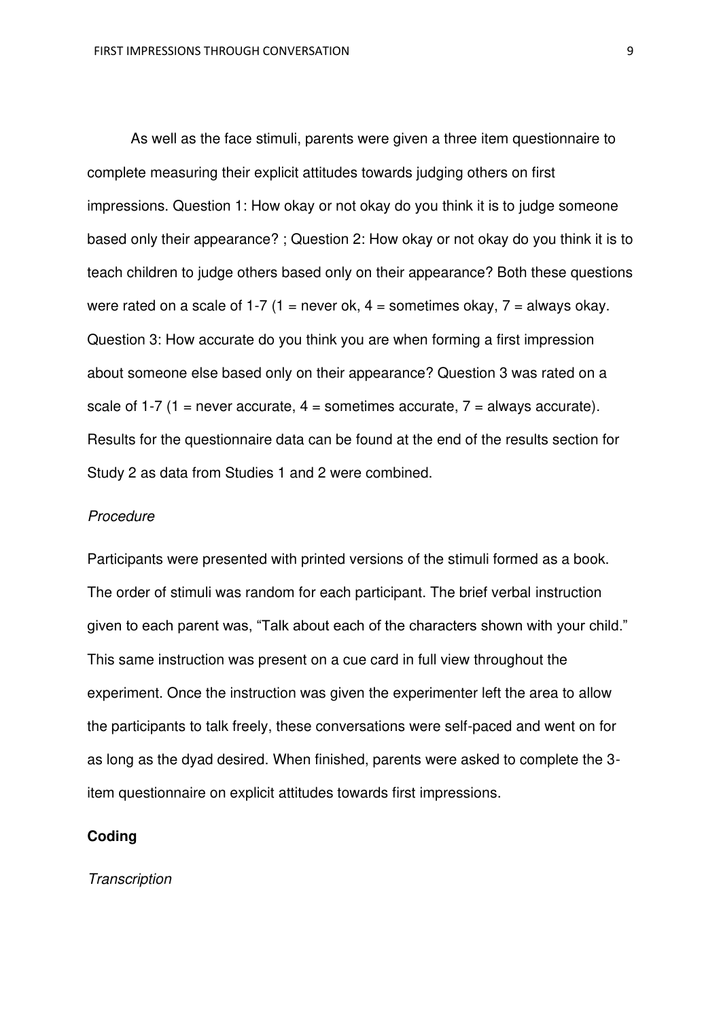As well as the face stimuli, parents were given a three item questionnaire to complete measuring their explicit attitudes towards judging others on first impressions. Question 1: How okay or not okay do you think it is to judge someone based only their appearance? ; Question 2: How okay or not okay do you think it is to teach children to judge others based only on their appearance? Both these questions were rated on a scale of 1-7 (1 = never ok, 4 = sometimes okay, 7 = always okay. Question 3: How accurate do you think you are when forming a first impression about someone else based only on their appearance? Question 3 was rated on a scale of 1-7 (1 = never accurate,  $4$  = sometimes accurate,  $7$  = always accurate). Results for the questionnaire data can be found at the end of the results section for Study 2 as data from Studies 1 and 2 were combined.

#### *Procedure*

Participants were presented with printed versions of the stimuli formed as a book. The order of stimuli was random for each participant. The brief verbal instruction given to each parent was, "Talk about each of the characters shown with your child." This same instruction was present on a cue card in full view throughout the experiment. Once the instruction was given the experimenter left the area to allow the participants to talk freely, these conversations were self-paced and went on for as long as the dyad desired. When finished, parents were asked to complete the 3 item questionnaire on explicit attitudes towards first impressions.

#### **Coding**

#### *Transcription*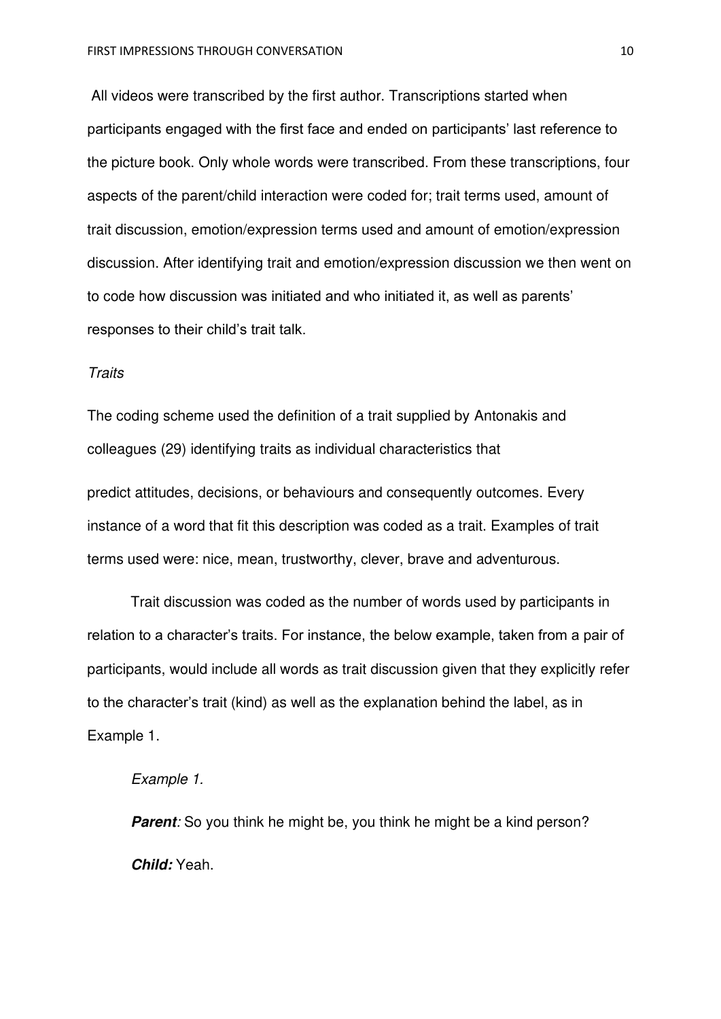All videos were transcribed by the first author. Transcriptions started when participants engaged with the first face and ended on participants' last reference to the picture book. Only whole words were transcribed. From these transcriptions, four aspects of the parent/child interaction were coded for; trait terms used, amount of trait discussion, emotion/expression terms used and amount of emotion/expression discussion. After identifying trait and emotion/expression discussion we then went on to code how discussion was initiated and who initiated it, as well as parents' responses to their child's trait talk.

#### *Traits*

The coding scheme used the definition of a trait supplied by Antonakis and colleagues (29) identifying traits as individual characteristics that

predict attitudes, decisions, or behaviours and consequently outcomes. Every instance of a word that fit this description was coded as a trait. Examples of trait terms used were: nice, mean, trustworthy, clever, brave and adventurous.

Trait discussion was coded as the number of words used by participants in relation to a character's traits. For instance, the below example, taken from a pair of participants, would include all words as trait discussion given that they explicitly refer to the character's trait (kind) as well as the explanation behind the label, as in Example 1.

#### *Example 1.*

**Parent**: So you think he might be, you think he might be a kind person? *Child:* Yeah.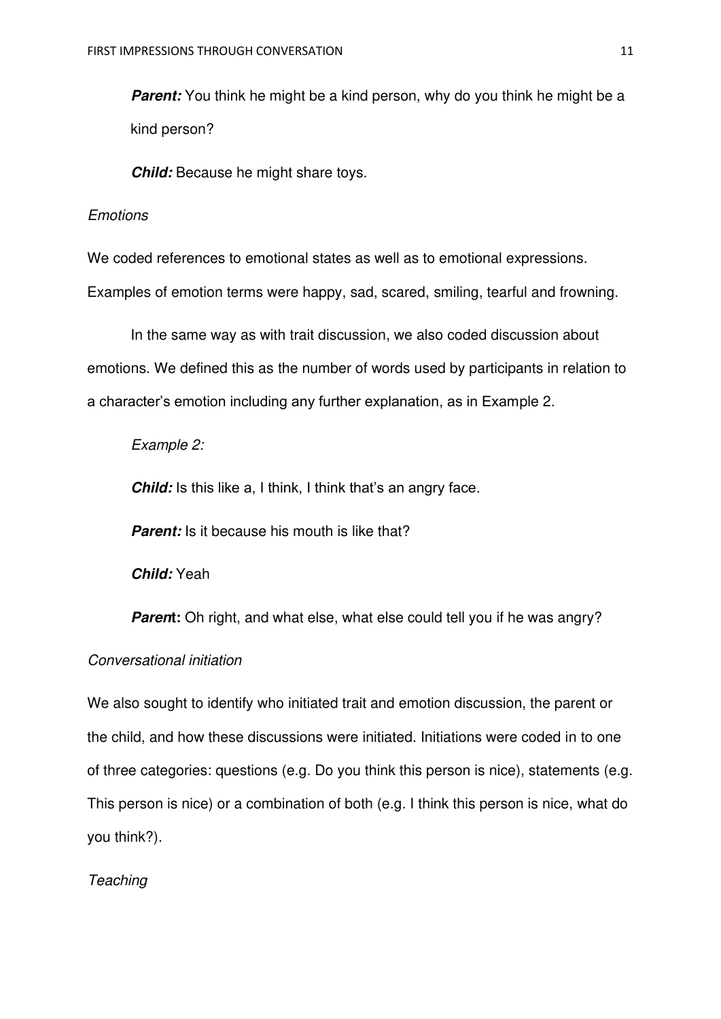*Parent:* You think he might be a kind person, why do you think he might be a kind person?

*Child:* Because he might share toys.

#### *Emotions*

We coded references to emotional states as well as to emotional expressions. Examples of emotion terms were happy, sad, scared, smiling, tearful and frowning.

In the same way as with trait discussion, we also coded discussion about emotions. We defined this as the number of words used by participants in relation to a character's emotion including any further explanation, as in Example 2.

## *Example 2:*

**Child:** Is this like a, I think, I think that's an angry face.

**Parent:** Is it because his mouth is like that?

*Child:* Yeah

**Parent:** Oh right, and what else, what else could tell you if he was angry?

## *Conversational initiation*

We also sought to identify who initiated trait and emotion discussion, the parent or the child, and how these discussions were initiated. Initiations were coded in to one of three categories: questions (e.g. Do you think this person is nice), statements (e.g. This person is nice) or a combination of both (e.g. I think this person is nice, what do you think?).

## *Teaching*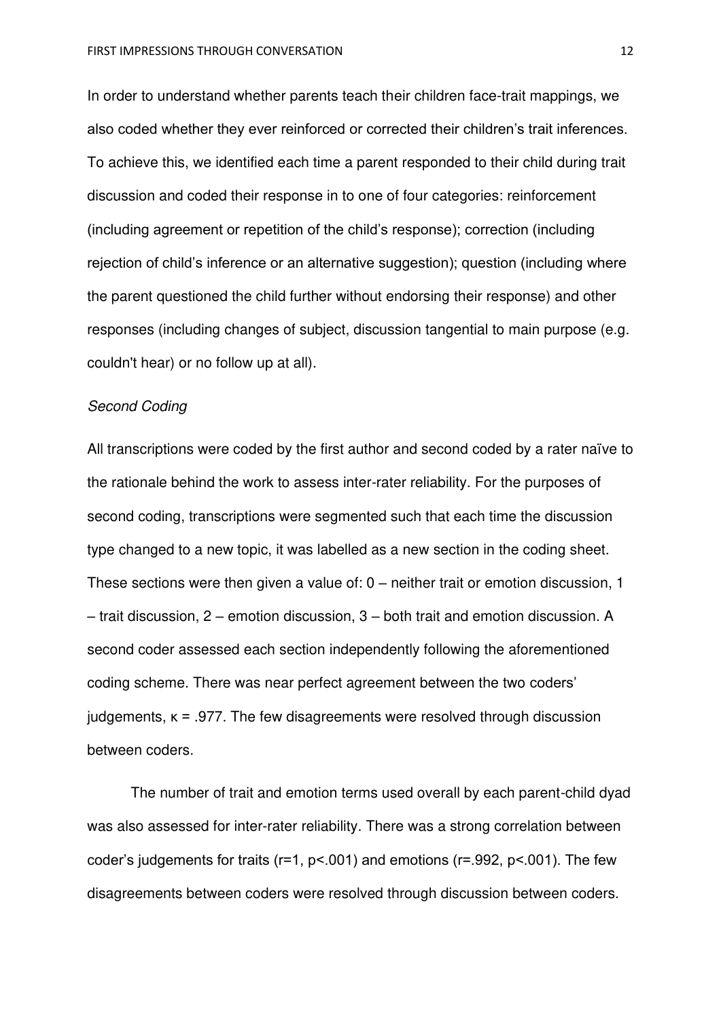In order to understand whether parents teach their children face-trait mappings, we also coded whether they ever reinforced or corrected their children's trait inferences. To achieve this, we identified each time a parent responded to their child during trait discussion and coded their response in to one of four categories: reinforcement (including agreement or repetition of the child's response); correction (including rejection of child's inference or an alternative suggestion); question (including where the parent questioned the child further without endorsing their response) and other responses (including changes of subject, discussion tangential to main purpose (e.g. couldn't hear) or no follow up at all).

## *Second Coding*

All transcriptions were coded by the first author and second coded by a rater naïve to the rationale behind the work to assess inter-rater reliability. For the purposes of second coding, transcriptions were segmented such that each time the discussion type changed to a new topic, it was labelled as a new section in the coding sheet. These sections were then given a value of: 0 – neither trait or emotion discussion, 1 – trait discussion, 2 – emotion discussion, 3 – both trait and emotion discussion. A second coder assessed each section independently following the aforementioned coding scheme. There was near perfect agreement between the two coders' judgements, κ = .977. The few disagreements were resolved through discussion between coders.

 The number of trait and emotion terms used overall by each parent-child dyad was also assessed for inter-rater reliability. There was a strong correlation between coder's judgements for traits ( $r=1$ ,  $p<.001$ ) and emotions ( $r=.992$ ,  $p<.001$ ). The few disagreements between coders were resolved through discussion between coders.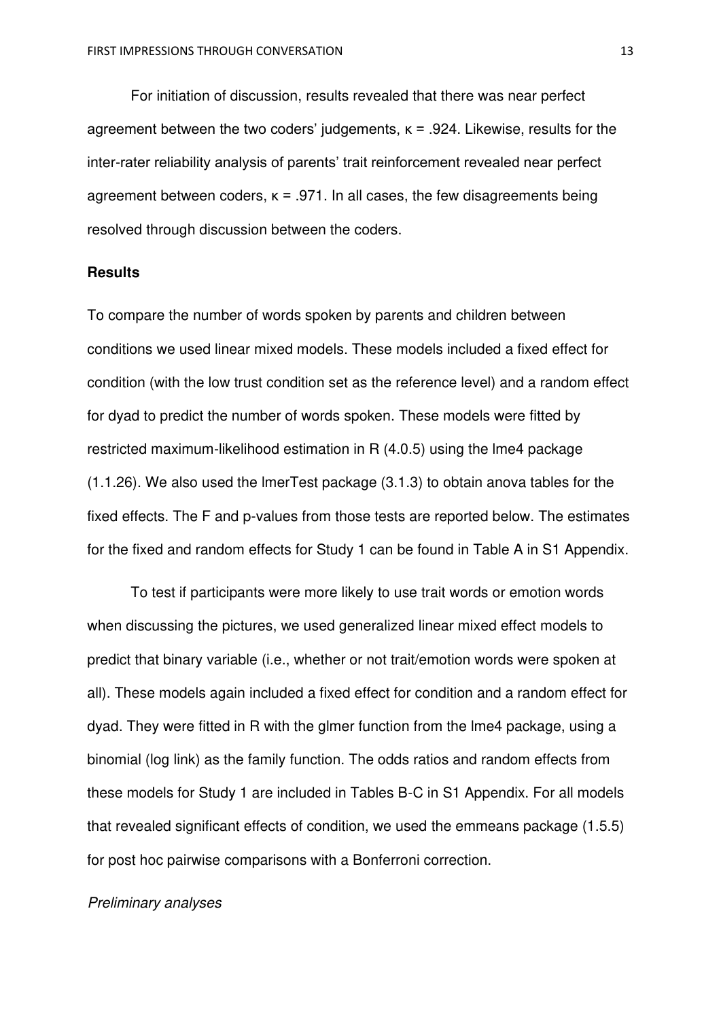For initiation of discussion, results revealed that there was near perfect agreement between the two coders' judgements,  $\kappa$  = .924. Likewise, results for the inter-rater reliability analysis of parents' trait reinforcement revealed near perfect agreement between coders,  $\kappa = .971$ . In all cases, the few disagreements being resolved through discussion between the coders.

#### **Results**

To compare the number of words spoken by parents and children between conditions we used linear mixed models. These models included a fixed effect for condition (with the low trust condition set as the reference level) and a random effect for dyad to predict the number of words spoken. These models were fitted by restricted maximum-likelihood estimation in R (4.0.5) using the lme4 package (1.1.26). We also used the lmerTest package (3.1.3) to obtain anova tables for the fixed effects. The F and p-values from those tests are reported below. The estimates for the fixed and random effects for Study 1 can be found in Table A in S1 Appendix.

To test if participants were more likely to use trait words or emotion words when discussing the pictures, we used generalized linear mixed effect models to predict that binary variable (i.e., whether or not trait/emotion words were spoken at all). These models again included a fixed effect for condition and a random effect for dyad. They were fitted in R with the glmer function from the lme4 package, using a binomial (log link) as the family function. The odds ratios and random effects from these models for Study 1 are included in Tables B-C in S1 Appendix. For all models that revealed significant effects of condition, we used the emmeans package (1.5.5) for post hoc pairwise comparisons with a Bonferroni correction.

#### *Preliminary analyses*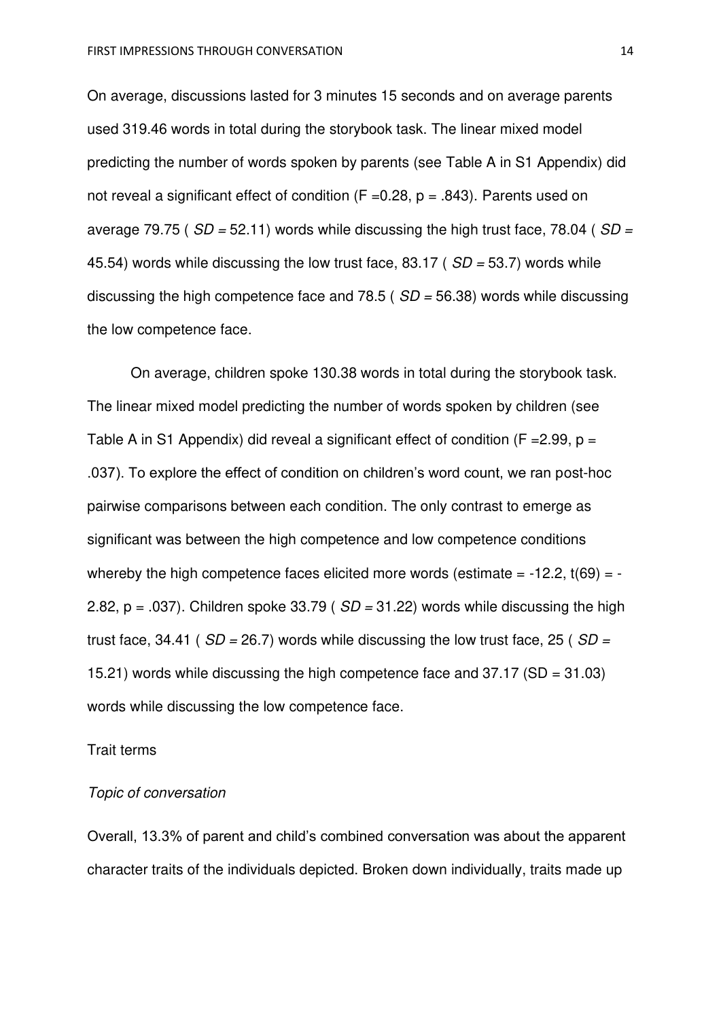On average, discussions lasted for 3 minutes 15 seconds and on average parents used 319.46 words in total during the storybook task. The linear mixed model predicting the number of words spoken by parents (see Table A in S1 Appendix) did not reveal a significant effect of condition ( $F = 0.28$ ,  $p = .843$ ). Parents used on average 79.75 ( *SD =* 52.11) words while discussing the high trust face, 78.04 ( *SD =* 45.54) words while discussing the low trust face, 83.17 ( *SD =* 53.7) words while discussing the high competence face and 78.5 ( *SD =* 56.38) words while discussing the low competence face.

 On average, children spoke 130.38 words in total during the storybook task. The linear mixed model predicting the number of words spoken by children (see Table A in S1 Appendix) did reveal a significant effect of condition ( $F = 2.99$ ,  $p =$ .037). To explore the effect of condition on children's word count, we ran post-hoc pairwise comparisons between each condition. The only contrast to emerge as significant was between the high competence and low competence conditions whereby the high competence faces elicited more words (estimate  $= -12.2$ , t(69)  $= -$ 2.82, p = .037). Children spoke 33.79 ( *SD =* 31.22) words while discussing the high trust face, 34.41 ( *SD =* 26.7) words while discussing the low trust face, 25 ( *SD =* 15.21) words while discussing the high competence face and 37.17 (SD = 31.03) words while discussing the low competence face.

#### Trait terms

## *Topic of conversation*

Overall, 13.3% of parent and child's combined conversation was about the apparent character traits of the individuals depicted. Broken down individually, traits made up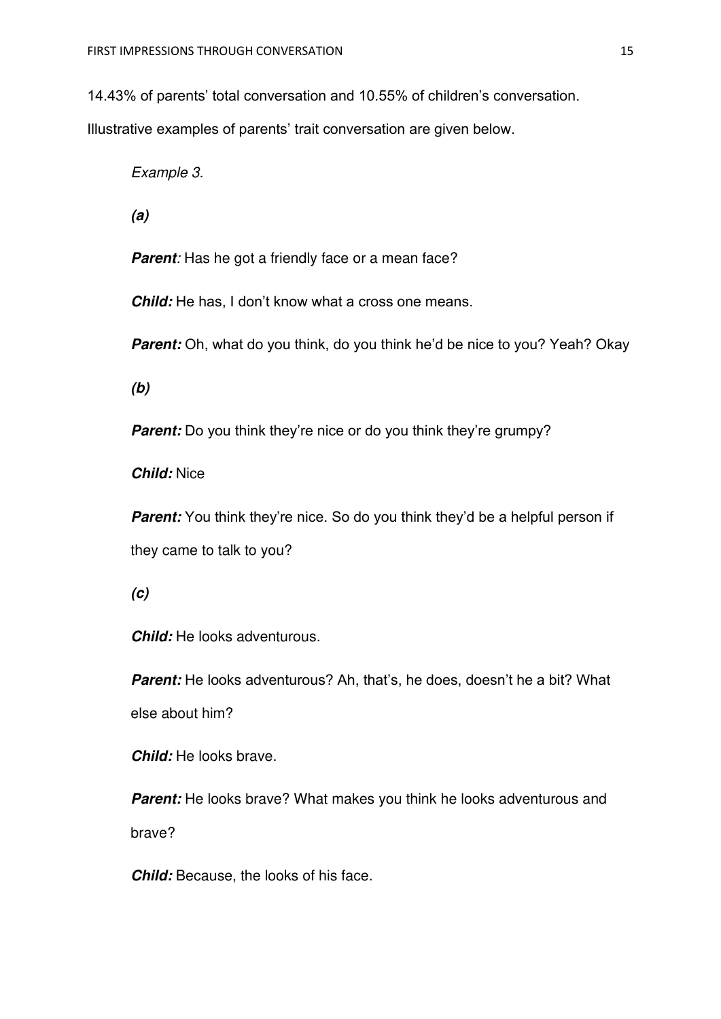14.43% of parents' total conversation and 10.55% of children's conversation.

Illustrative examples of parents' trait conversation are given below.

*Example 3.* 

*(a)* 

**Parent**: Has he got a friendly face or a mean face?

*Child:* He has, I don't know what a cross one means.

*Parent:* Oh, what do you think, do you think he'd be nice to you? Yeah? Okay

*(b)* 

*Parent:* Do you think they're nice or do you think they're grumpy?

*Child:* Nice

*Parent:* You think they're nice. So do you think they'd be a helpful person if they came to talk to you?

*(c)* 

*Child:* He looks adventurous.

**Parent:** He looks adventurous? Ah, that's, he does, doesn't he a bit? What else about him?

*Child:* He looks brave.

**Parent:** He looks brave? What makes you think he looks adventurous and brave?

*Child:* Because, the looks of his face.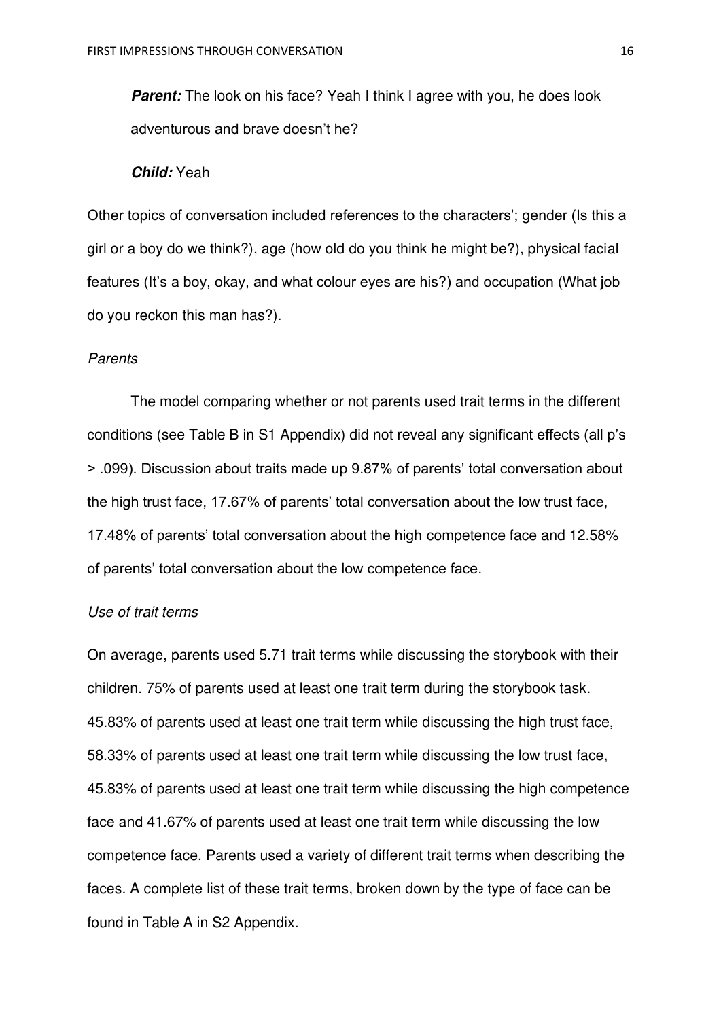**Parent:** The look on his face? Yeah I think I agree with you, he does look adventurous and brave doesn't he?

#### *Child:* Yeah

Other topics of conversation included references to the characters'; gender (Is this a girl or a boy do we think?), age (how old do you think he might be?), physical facial features (It's a boy, okay, and what colour eyes are his?) and occupation (What job do you reckon this man has?).

#### *Parents*

The model comparing whether or not parents used trait terms in the different conditions (see Table B in S1 Appendix) did not reveal any significant effects (all p's > .099). Discussion about traits made up 9.87% of parents' total conversation about the high trust face, 17.67% of parents' total conversation about the low trust face, 17.48% of parents' total conversation about the high competence face and 12.58% of parents' total conversation about the low competence face.

### *Use of trait terms*

On average, parents used 5.71 trait terms while discussing the storybook with their children. 75% of parents used at least one trait term during the storybook task. 45.83% of parents used at least one trait term while discussing the high trust face, 58.33% of parents used at least one trait term while discussing the low trust face, 45.83% of parents used at least one trait term while discussing the high competence face and 41.67% of parents used at least one trait term while discussing the low competence face. Parents used a variety of different trait terms when describing the faces. A complete list of these trait terms, broken down by the type of face can be found in Table A in S2 Appendix.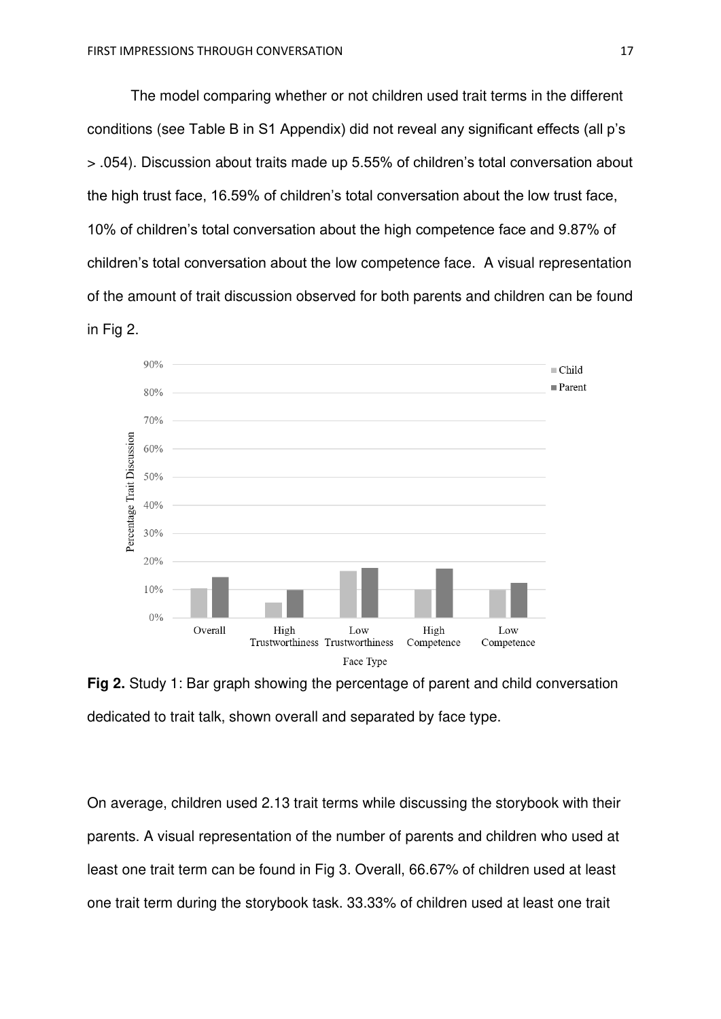The model comparing whether or not children used trait terms in the different conditions (see Table B in S1 Appendix) did not reveal any significant effects (all p's > .054). Discussion about traits made up 5.55% of children's total conversation about the high trust face, 16.59% of children's total conversation about the low trust face, 10% of children's total conversation about the high competence face and 9.87% of children's total conversation about the low competence face. A visual representation of the amount of trait discussion observed for both parents and children can be found in Fig 2.



**Fig 2.** Study 1: Bar graph showing the percentage of parent and child conversation dedicated to trait talk, shown overall and separated by face type.

On average, children used 2.13 trait terms while discussing the storybook with their parents. A visual representation of the number of parents and children who used at least one trait term can be found in Fig 3. Overall, 66.67% of children used at least one trait term during the storybook task. 33.33% of children used at least one trait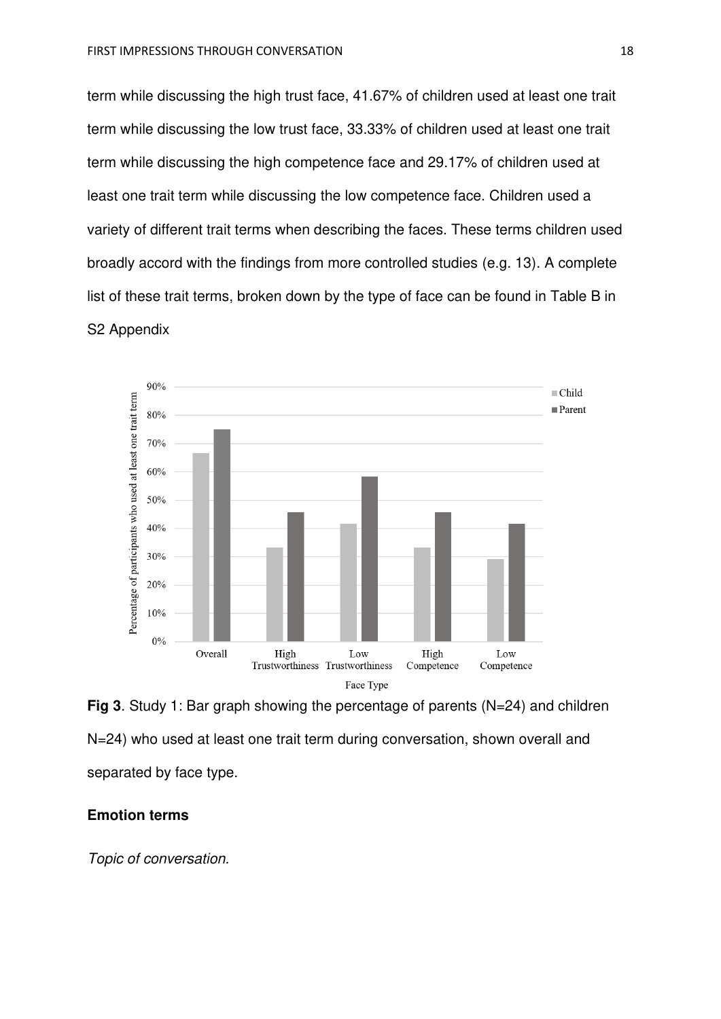term while discussing the high trust face, 41.67% of children used at least one trait term while discussing the low trust face, 33.33% of children used at least one trait term while discussing the high competence face and 29.17% of children used at least one trait term while discussing the low competence face. Children used a variety of different trait terms when describing the faces. These terms children used broadly accord with the findings from more controlled studies (e.g. 13). A complete list of these trait terms, broken down by the type of face can be found in Table B in S2 Appendix



**Fig 3**. Study 1: Bar graph showing the percentage of parents (N=24) and children N=24) who used at least one trait term during conversation, shown overall and separated by face type.

## **Emotion terms**

*Topic of conversation.*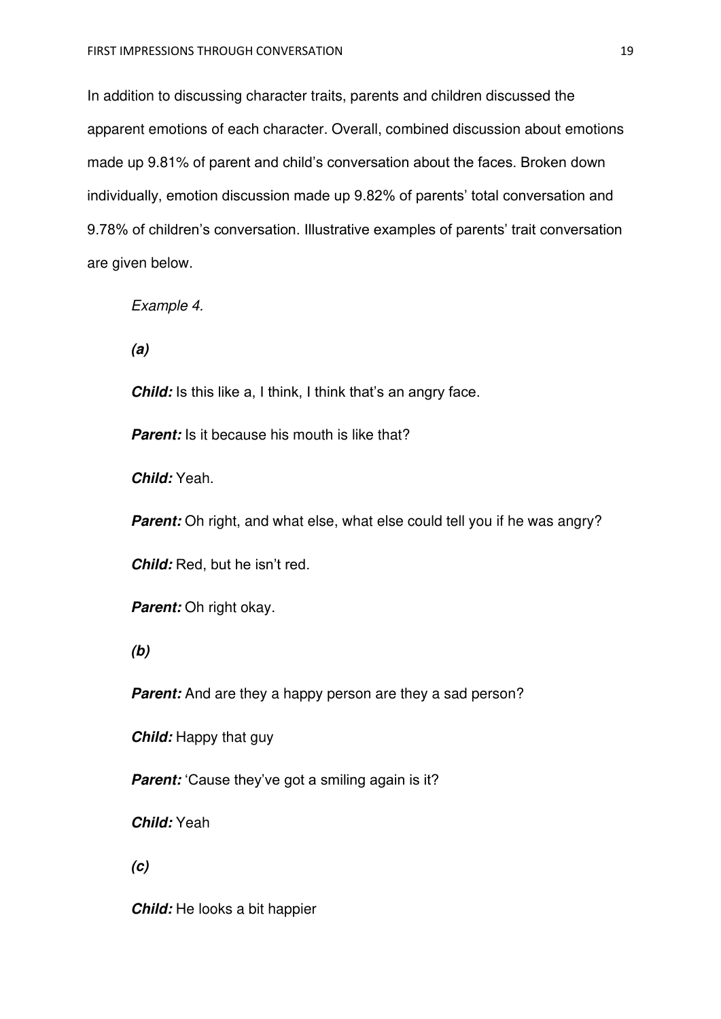In addition to discussing character traits, parents and children discussed the apparent emotions of each character. Overall, combined discussion about emotions made up 9.81% of parent and child's conversation about the faces. Broken down individually, emotion discussion made up 9.82% of parents' total conversation and 9.78% of children's conversation. Illustrative examples of parents' trait conversation are given below.

*Example 4.* 

*(a)* 

**Child:** Is this like a, I think, I think that's an angry face.

*Parent:* Is it because his mouth is like that?

*Child:* Yeah.

**Parent:** Oh right, and what else, what else could tell you if he was angry?

*Child:* Red, but he isn't red.

*Parent:* Oh right okay.

*(b)* 

*Parent:* And are they a happy person are they a sad person?

*Child:* Happy that guy

*Parent:* 'Cause they've got a smiling again is it?

*Child:* Yeah

*(c)* 

*Child:* He looks a bit happier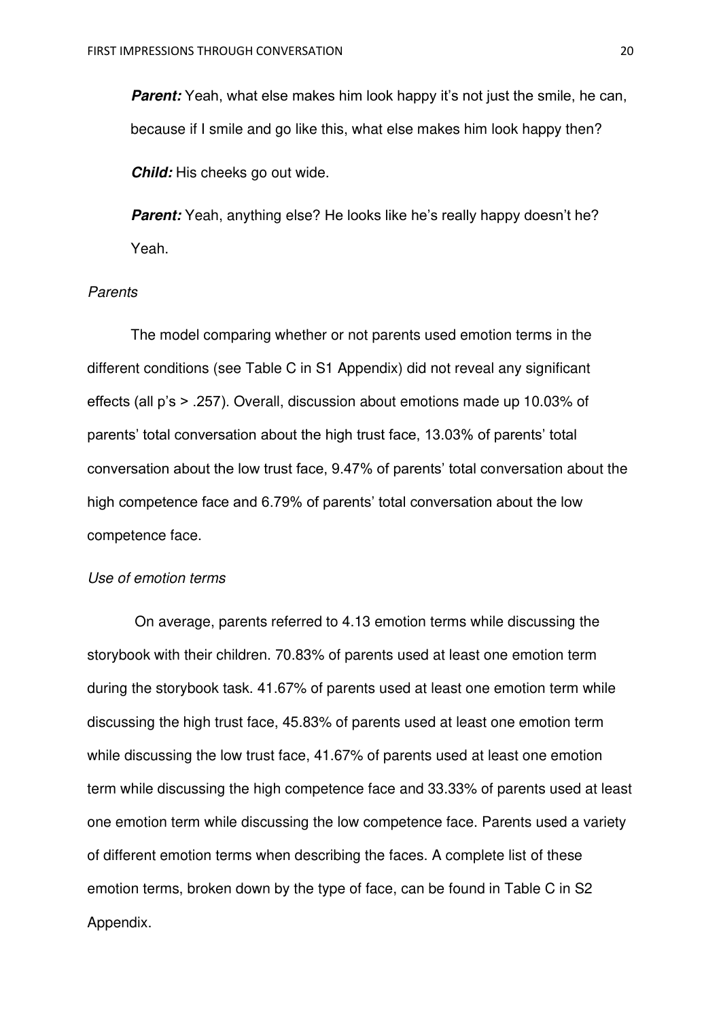*Parent:* Yeah, what else makes him look happy it's not just the smile, he can, because if I smile and go like this, what else makes him look happy then?

*Child:* His cheeks go out wide.

**Parent:** Yeah, anything else? He looks like he's really happy doesn't he? Yeah.

## *Parents*

The model comparing whether or not parents used emotion terms in the different conditions (see Table C in S1 Appendix) did not reveal any significant effects (all p's > .257). Overall, discussion about emotions made up 10.03% of parents' total conversation about the high trust face, 13.03% of parents' total conversation about the low trust face, 9.47% of parents' total conversation about the high competence face and 6.79% of parents' total conversation about the low competence face.

## *Use of emotion terms*

On average, parents referred to 4.13 emotion terms while discussing the storybook with their children. 70.83% of parents used at least one emotion term during the storybook task. 41.67% of parents used at least one emotion term while discussing the high trust face, 45.83% of parents used at least one emotion term while discussing the low trust face, 41.67% of parents used at least one emotion term while discussing the high competence face and 33.33% of parents used at least one emotion term while discussing the low competence face. Parents used a variety of different emotion terms when describing the faces. A complete list of these emotion terms, broken down by the type of face, can be found in Table C in S2 Appendix.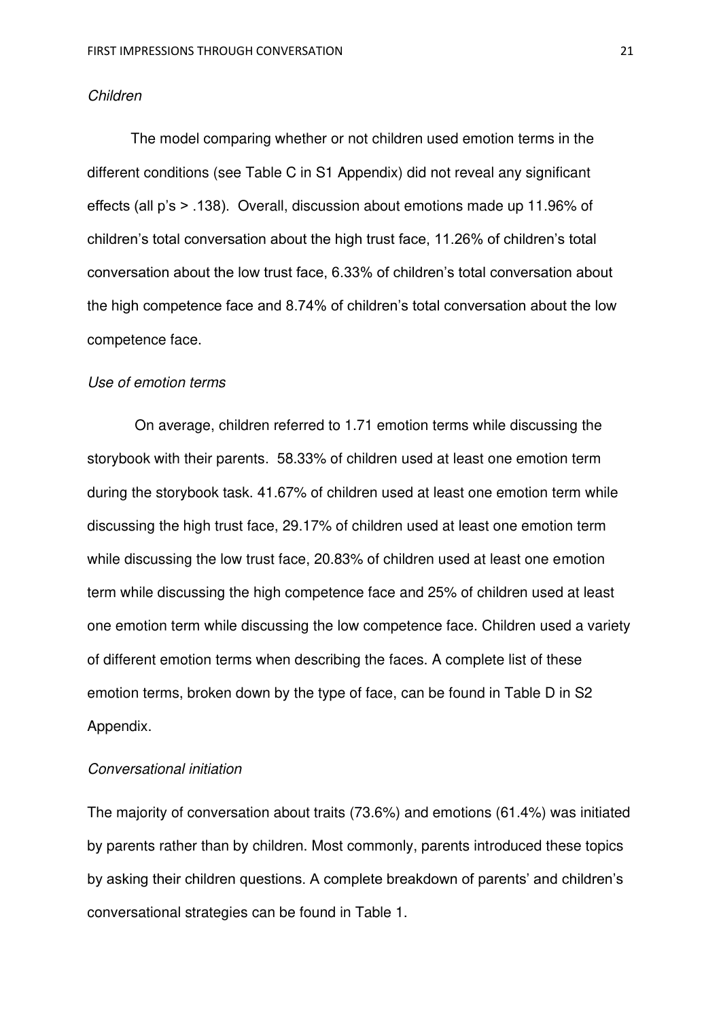#### *Children*

The model comparing whether or not children used emotion terms in the different conditions (see Table C in S1 Appendix) did not reveal any significant effects (all p's > .138). Overall, discussion about emotions made up 11.96% of children's total conversation about the high trust face, 11.26% of children's total conversation about the low trust face, 6.33% of children's total conversation about the high competence face and 8.74% of children's total conversation about the low competence face.

#### *Use of emotion terms*

On average, children referred to 1.71 emotion terms while discussing the storybook with their parents. 58.33% of children used at least one emotion term during the storybook task. 41.67% of children used at least one emotion term while discussing the high trust face, 29.17% of children used at least one emotion term while discussing the low trust face, 20.83% of children used at least one emotion term while discussing the high competence face and 25% of children used at least one emotion term while discussing the low competence face. Children used a variety of different emotion terms when describing the faces. A complete list of these emotion terms, broken down by the type of face, can be found in Table D in S2 Appendix.

## *Conversational initiation*

The majority of conversation about traits (73.6%) and emotions (61.4%) was initiated by parents rather than by children. Most commonly, parents introduced these topics by asking their children questions. A complete breakdown of parents' and children's conversational strategies can be found in Table 1.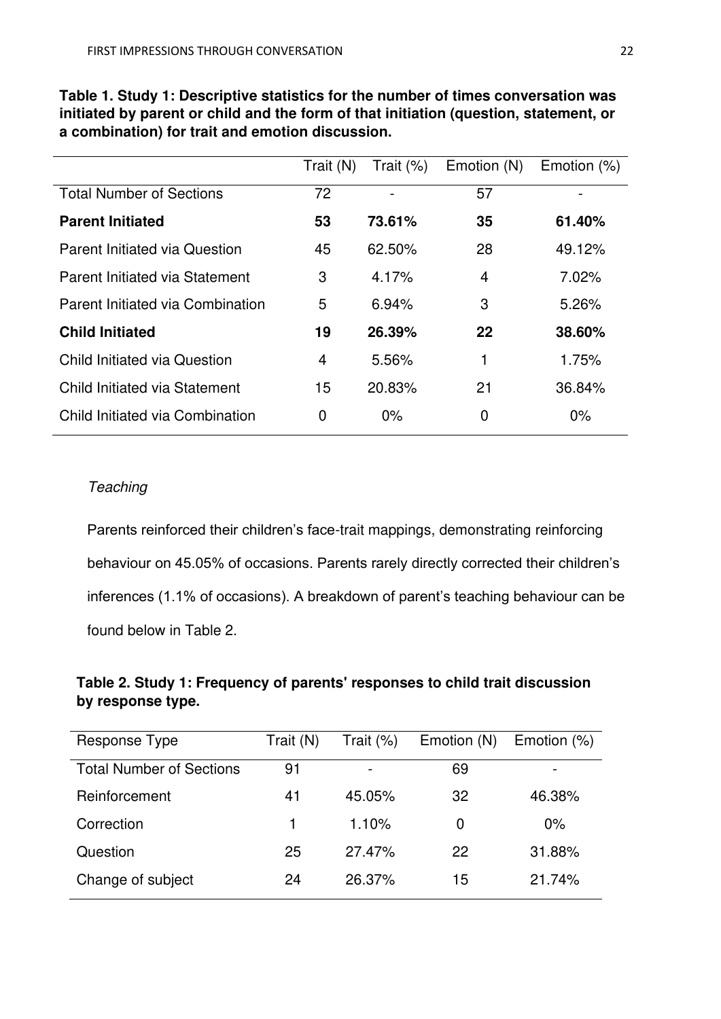|                                      | Trait (N)    | Trait $(\%)$ | Emotion (N)    | Emotion $(\%)$ |
|--------------------------------------|--------------|--------------|----------------|----------------|
| <b>Total Number of Sections</b>      | 72           |              | 57             |                |
| <b>Parent Initiated</b>              | 53           | 73.61%       | 35             | 61.40%         |
| <b>Parent Initiated via Question</b> | 45           | 62.50%       | 28             | 49.12%         |
| Parent Initiated via Statement       | 3            | 4.17%        | $\overline{4}$ | 7.02%          |
| Parent Initiated via Combination     | 5            | 6.94%        | 3              | 5.26%          |
| <b>Child Initiated</b>               | 19           | 26.39%       | 22             | 38,60%         |
| Child Initiated via Question         | 4            | 5.56%        |                | 1.75%          |
| Child Initiated via Statement        | 15           | 20.83%       | 21             | 36.84%         |
| Child Initiated via Combination      | $\mathbf{0}$ | $0\%$        | 0              | $0\%$          |

**Table 1. Study 1: Descriptive statistics for the number of times conversation was initiated by parent or child and the form of that initiation (question, statement, or a combination) for trait and emotion discussion.** 

# *Teaching*

Parents reinforced their children's face-trait mappings, demonstrating reinforcing behaviour on 45.05% of occasions. Parents rarely directly corrected their children's inferences (1.1% of occasions). A breakdown of parent's teaching behaviour can be found below in Table 2.

# **Table 2. Study 1: Frequency of parents' responses to child trait discussion by response type.**

| Response Type                   | Trait (N) | Trait $(\%)$ | Emotion (N) | Emotion (%) |
|---------------------------------|-----------|--------------|-------------|-------------|
| <b>Total Number of Sections</b> | 91        |              | 69          |             |
| Reinforcement                   | 41        | 45.05%       | 32          | 46.38%      |
| Correction                      |           | 1.10%        | 0           | $0\%$       |
| Question                        | 25        | 27.47%       | 22          | 31.88%      |
| Change of subject               | 24        | 26.37%       | 15          | 21.74%      |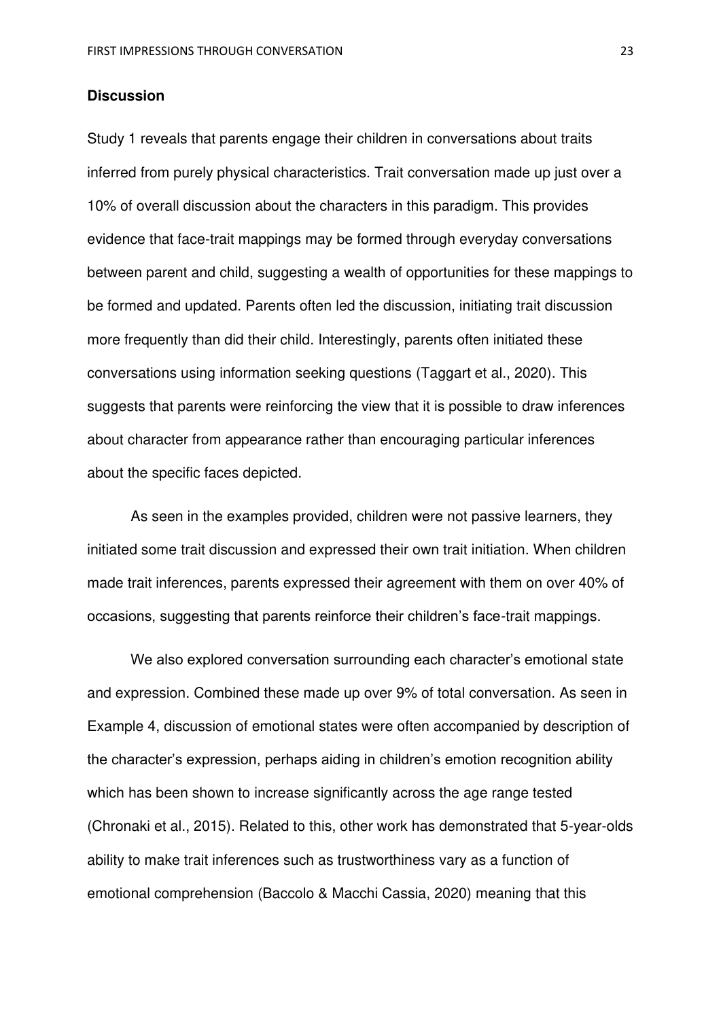## **Discussion**

Study 1 reveals that parents engage their children in conversations about traits inferred from purely physical characteristics. Trait conversation made up just over a 10% of overall discussion about the characters in this paradigm. This provides evidence that face-trait mappings may be formed through everyday conversations between parent and child, suggesting a wealth of opportunities for these mappings to be formed and updated. Parents often led the discussion, initiating trait discussion more frequently than did their child. Interestingly, parents often initiated these conversations using information seeking questions (Taggart et al., 2020). This suggests that parents were reinforcing the view that it is possible to draw inferences about character from appearance rather than encouraging particular inferences about the specific faces depicted.

As seen in the examples provided, children were not passive learners, they initiated some trait discussion and expressed their own trait initiation. When children made trait inferences, parents expressed their agreement with them on over 40% of occasions, suggesting that parents reinforce their children's face-trait mappings.

We also explored conversation surrounding each character's emotional state and expression. Combined these made up over 9% of total conversation. As seen in Example 4, discussion of emotional states were often accompanied by description of the character's expression, perhaps aiding in children's emotion recognition ability which has been shown to increase significantly across the age range tested (Chronaki et al., 2015). Related to this, other work has demonstrated that 5-year-olds ability to make trait inferences such as trustworthiness vary as a function of emotional comprehension (Baccolo & Macchi Cassia, 2020) meaning that this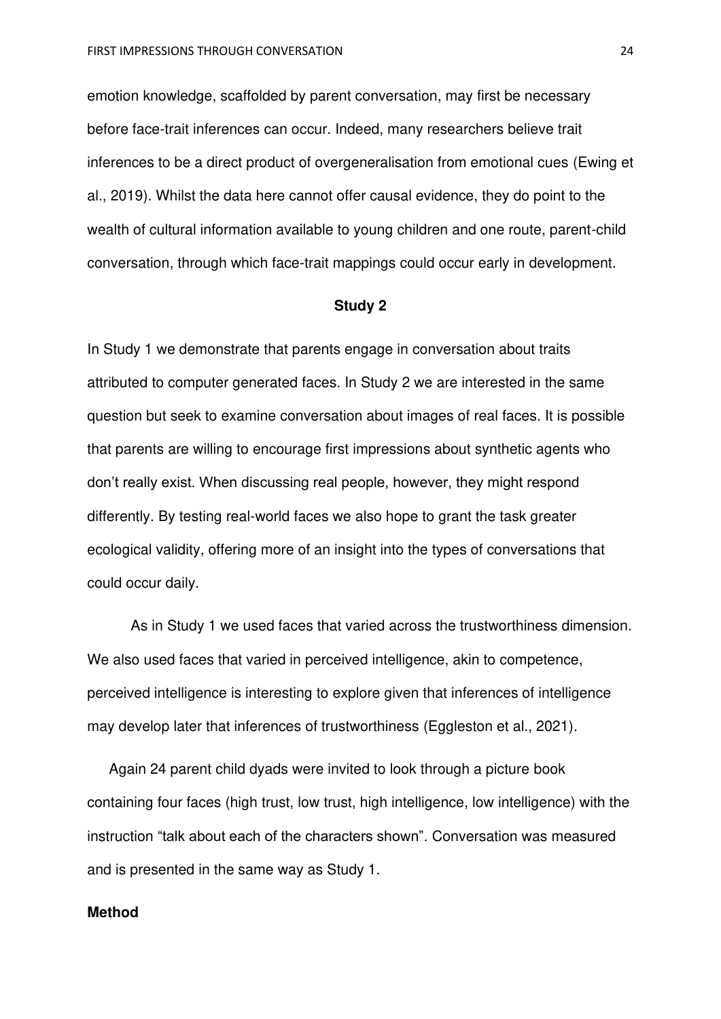emotion knowledge, scaffolded by parent conversation, may first be necessary before face-trait inferences can occur. Indeed, many researchers believe trait inferences to be a direct product of overgeneralisation from emotional cues (Ewing et al., 2019). Whilst the data here cannot offer causal evidence, they do point to the wealth of cultural information available to young children and one route, parent-child conversation, through which face-trait mappings could occur early in development.

#### **Study 2**

In Study 1 we demonstrate that parents engage in conversation about traits attributed to computer generated faces. In Study 2 we are interested in the same question but seek to examine conversation about images of real faces. It is possible that parents are willing to encourage first impressions about synthetic agents who don't really exist. When discussing real people, however, they might respond differently. By testing real-world faces we also hope to grant the task greater ecological validity, offering more of an insight into the types of conversations that could occur daily.

 As in Study 1 we used faces that varied across the trustworthiness dimension. We also used faces that varied in perceived intelligence, akin to competence, perceived intelligence is interesting to explore given that inferences of intelligence may develop later that inferences of trustworthiness (Eggleston et al., 2021).

Again 24 parent child dyads were invited to look through a picture book containing four faces (high trust, low trust, high intelligence, low intelligence) with the instruction "talk about each of the characters shown". Conversation was measured and is presented in the same way as Study 1.

## **Method**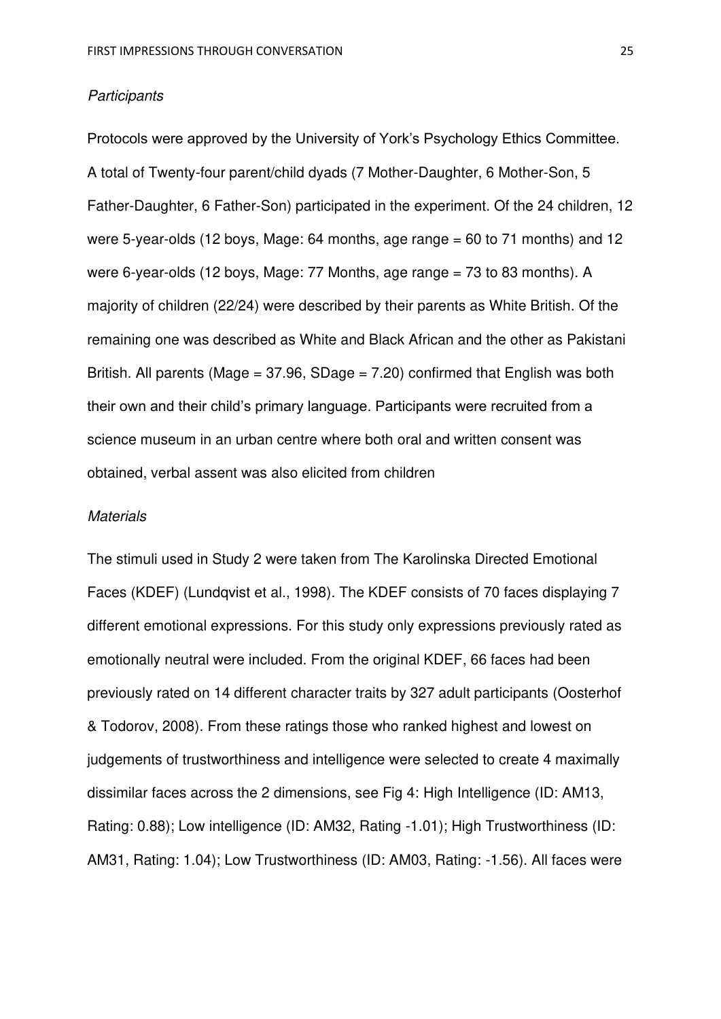#### *Participants*

Protocols were approved by the University of York's Psychology Ethics Committee. A total of Twenty-four parent/child dyads (7 Mother-Daughter, 6 Mother-Son, 5 Father-Daughter, 6 Father-Son) participated in the experiment. Of the 24 children, 12 were 5-year-olds (12 boys, Mage:  $64$  months, age range =  $60$  to 71 months) and 12 were 6-year-olds (12 boys, Mage: 77 Months, age range = 73 to 83 months). A majority of children (22/24) were described by their parents as White British. Of the remaining one was described as White and Black African and the other as Pakistani British. All parents (Mage =  $37.96$ , SDage =  $7.20$ ) confirmed that English was both their own and their child's primary language. Participants were recruited from a science museum in an urban centre where both oral and written consent was obtained, verbal assent was also elicited from children

#### *Materials*

The stimuli used in Study 2 were taken from The Karolinska Directed Emotional Faces (KDEF) (Lundqvist et al., 1998). The KDEF consists of 70 faces displaying 7 different emotional expressions. For this study only expressions previously rated as emotionally neutral were included. From the original KDEF, 66 faces had been previously rated on 14 different character traits by 327 adult participants (Oosterhof & Todorov, 2008). From these ratings those who ranked highest and lowest on judgements of trustworthiness and intelligence were selected to create 4 maximally dissimilar faces across the 2 dimensions, see Fig 4: High Intelligence (ID: AM13, Rating: 0.88); Low intelligence (ID: AM32, Rating -1.01); High Trustworthiness (ID: AM31, Rating: 1.04); Low Trustworthiness (ID: AM03, Rating: -1.56). All faces were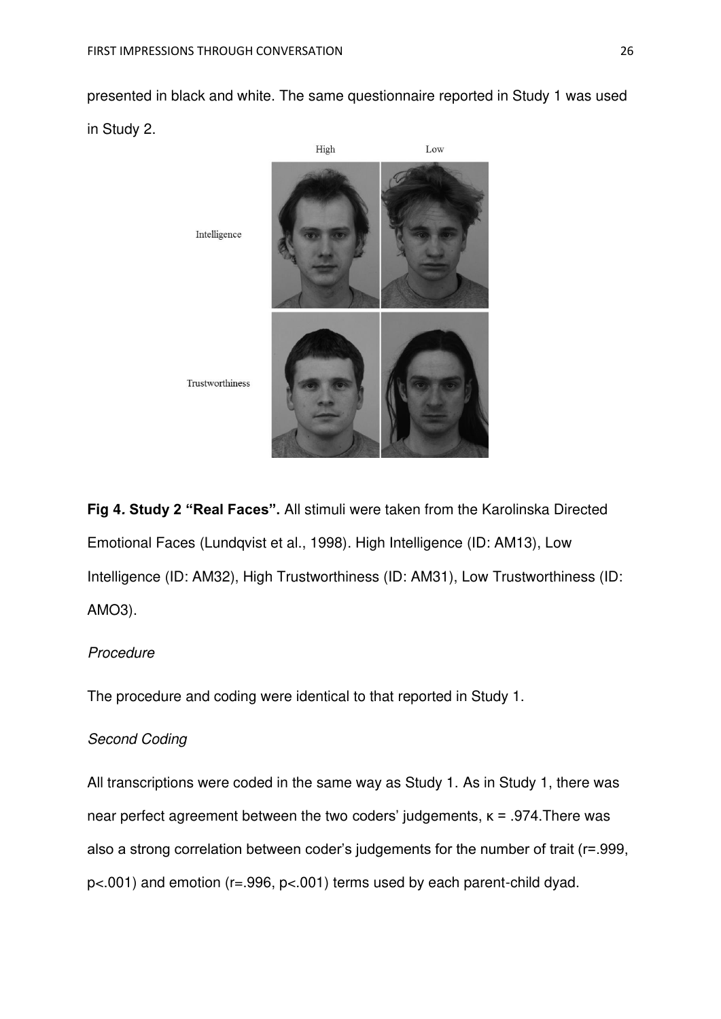presented in black and white. The same questionnaire reported in Study 1 was used in Study 2.



**Fig 4***.* **Study 2 "Real Faces".** All stimuli were taken from the Karolinska Directed Emotional Faces (Lundqvist et al., 1998). High Intelligence (ID: AM13), Low Intelligence (ID: AM32), High Trustworthiness (ID: AM31), Low Trustworthiness (ID: AMO3).

## *Procedure*

The procedure and coding were identical to that reported in Study 1.

## *Second Coding*

All transcriptions were coded in the same way as Study 1. As in Study 1, there was near perfect agreement between the two coders' judgements,  $\kappa$  = .974. There was also a strong correlation between coder's judgements for the number of trait (r=.999, p<.001) and emotion (r=.996, p<.001) terms used by each parent-child dyad.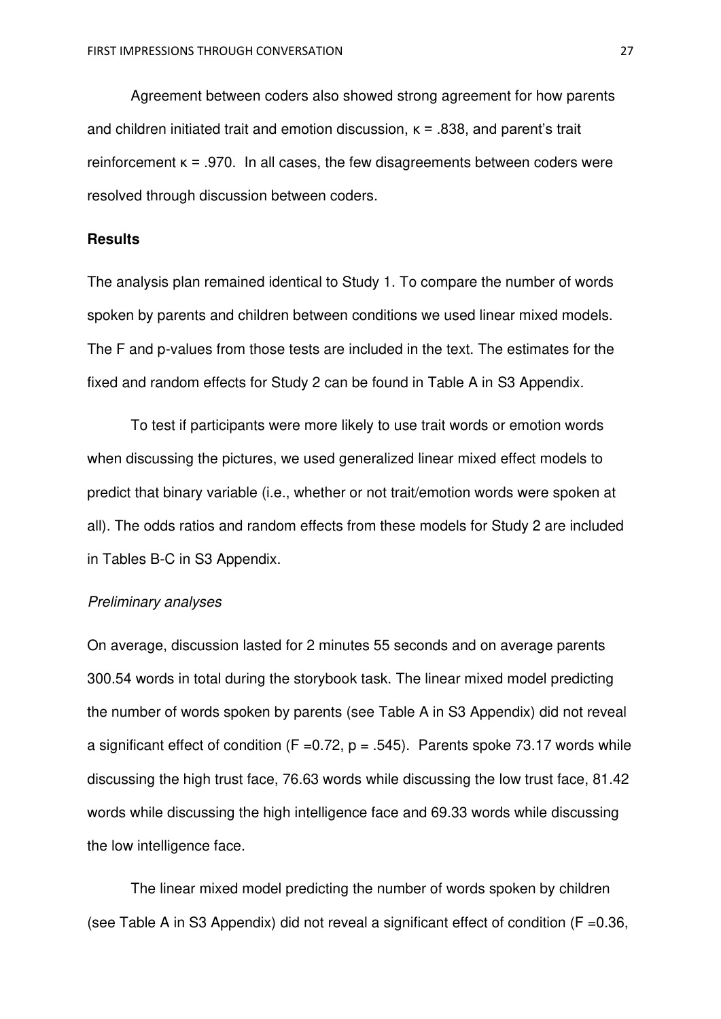Agreement between coders also showed strong agreement for how parents and children initiated trait and emotion discussion,  $K = 0.838$ , and parent's trait reinforcement  $\kappa = .970$ . In all cases, the few disagreements between coders were resolved through discussion between coders.

#### **Results**

The analysis plan remained identical to Study 1. To compare the number of words spoken by parents and children between conditions we used linear mixed models. The F and p-values from those tests are included in the text. The estimates for the fixed and random effects for Study 2 can be found in Table A in S3 Appendix.

To test if participants were more likely to use trait words or emotion words when discussing the pictures, we used generalized linear mixed effect models to predict that binary variable (i.e., whether or not trait/emotion words were spoken at all). The odds ratios and random effects from these models for Study 2 are included in Tables B-C in S3 Appendix.

### *Preliminary analyses*

On average, discussion lasted for 2 minutes 55 seconds and on average parents 300.54 words in total during the storybook task. The linear mixed model predicting the number of words spoken by parents (see Table A in S3 Appendix) did not reveal a significant effect of condition (F = 0.72, p = .545). Parents spoke 73.17 words while discussing the high trust face, 76.63 words while discussing the low trust face, 81.42 words while discussing the high intelligence face and 69.33 words while discussing the low intelligence face.

The linear mixed model predicting the number of words spoken by children (see Table A in S3 Appendix) did not reveal a significant effect of condition ( $F = 0.36$ ,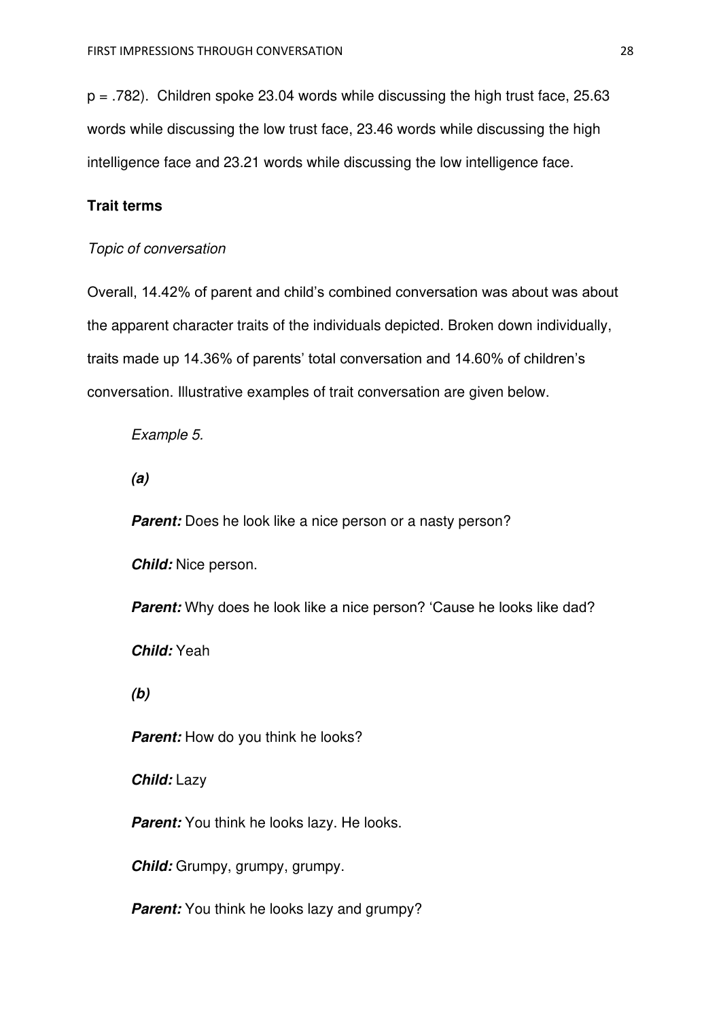$p = .782$ ). Children spoke 23.04 words while discussing the high trust face, 25.63 words while discussing the low trust face, 23.46 words while discussing the high intelligence face and 23.21 words while discussing the low intelligence face.

# **Trait terms**

## *Topic of conversation*

Overall, 14.42% of parent and child's combined conversation was about was about the apparent character traits of the individuals depicted. Broken down individually, traits made up 14.36% of parents' total conversation and 14.60% of children's conversation. Illustrative examples of trait conversation are given below.

*Example 5.* 

*(a)* 

**Parent:** Does he look like a nice person or a nasty person?

*Child:* Nice person.

*Parent:* Why does he look like a nice person? 'Cause he looks like dad?

*Child:* Yeah

*(b)* 

**Parent:** How do you think he looks?

*Child:* Lazy

*Parent:* You think he looks lazy. He looks.

*Child:* Grumpy, grumpy, grumpy.

*Parent:* You think he looks lazy and grumpy?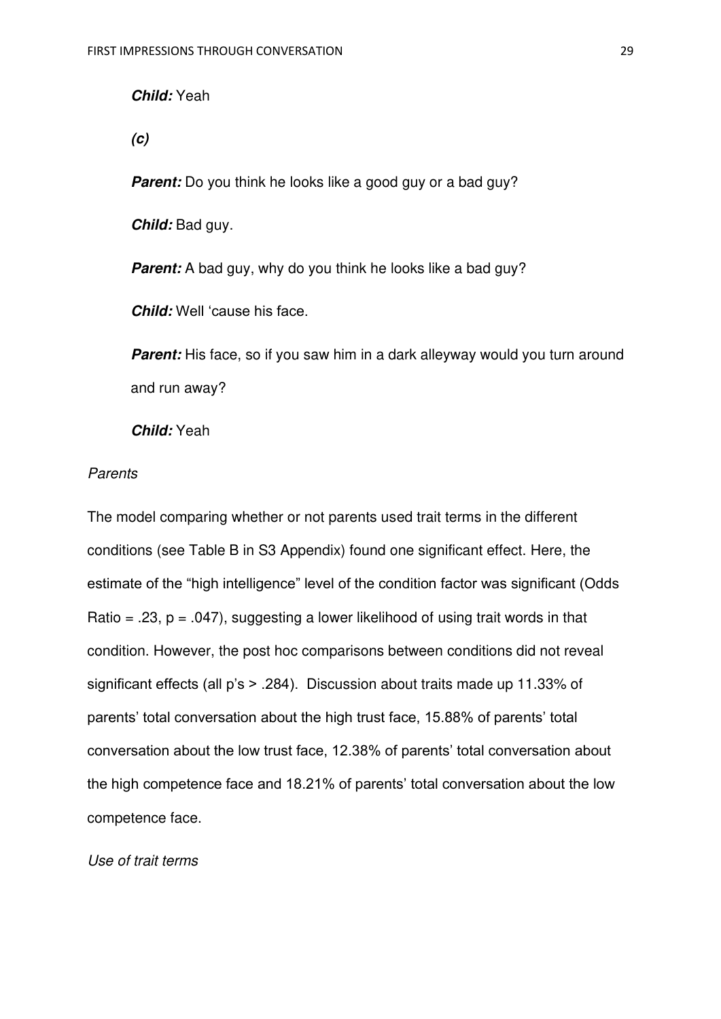## *Child:* Yeah

*(c)* 

**Parent:** Do you think he looks like a good guy or a bad guy?

*Child:* Bad guy.

**Parent:** A bad guy, why do you think he looks like a bad guy?

*Child:* Well 'cause his face.

**Parent:** His face, so if you saw him in a dark alleyway would you turn around and run away?

*Child:* Yeah

## *Parents*

The model comparing whether or not parents used trait terms in the different conditions (see Table B in S3 Appendix) found one significant effect. Here, the estimate of the "high intelligence" level of the condition factor was significant (Odds Ratio = .23,  $p = .047$ ), suggesting a lower likelihood of using trait words in that condition. However, the post hoc comparisons between conditions did not reveal significant effects (all p's > .284). Discussion about traits made up 11.33% of parents' total conversation about the high trust face, 15.88% of parents' total conversation about the low trust face, 12.38% of parents' total conversation about the high competence face and 18.21% of parents' total conversation about the low competence face.

#### *Use of trait terms*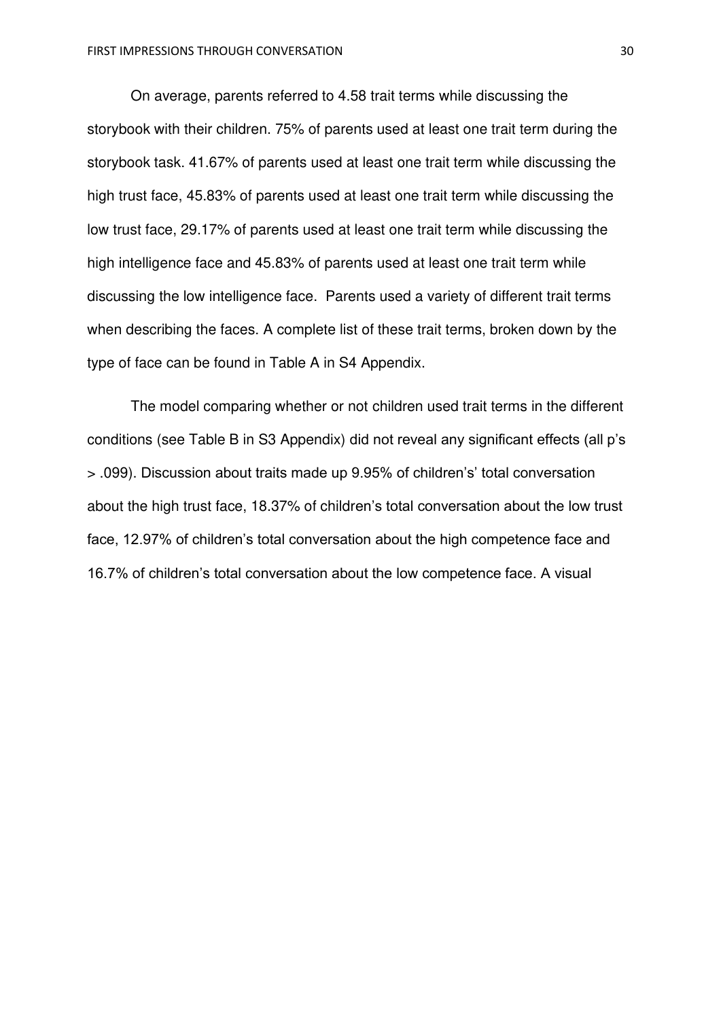On average, parents referred to 4.58 trait terms while discussing the storybook with their children. 75% of parents used at least one trait term during the storybook task. 41.67% of parents used at least one trait term while discussing the high trust face, 45.83% of parents used at least one trait term while discussing the low trust face, 29.17% of parents used at least one trait term while discussing the high intelligence face and 45.83% of parents used at least one trait term while discussing the low intelligence face. Parents used a variety of different trait terms when describing the faces. A complete list of these trait terms, broken down by the type of face can be found in Table A in S4 Appendix.

The model comparing whether or not children used trait terms in the different conditions (see Table B in S3 Appendix) did not reveal any significant effects (all p's > .099). Discussion about traits made up 9.95% of children's' total conversation about the high trust face, 18.37% of children's total conversation about the low trust face, 12.97% of children's total conversation about the high competence face and 16.7% of children's total conversation about the low competence face. A visual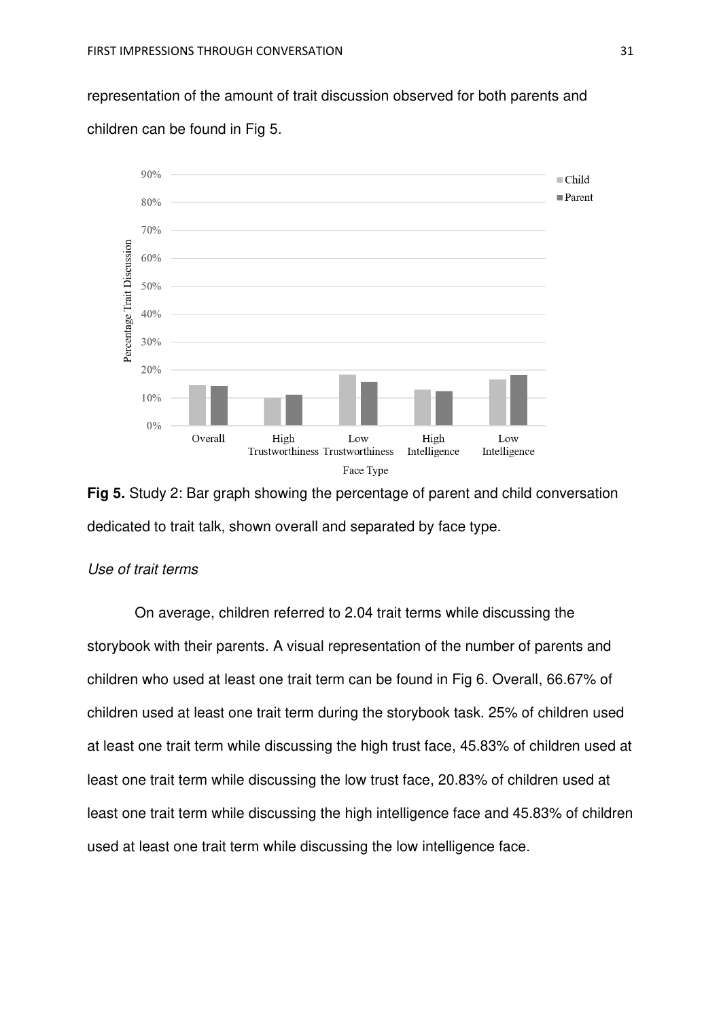representation of the amount of trait discussion observed for both parents and children can be found in Fig 5.



**Fig 5.** Study 2: Bar graph showing the percentage of parent and child conversation dedicated to trait talk, shown overall and separated by face type.

#### *Use of trait terms*

 On average, children referred to 2.04 trait terms while discussing the storybook with their parents. A visual representation of the number of parents and children who used at least one trait term can be found in Fig 6. Overall, 66.67% of children used at least one trait term during the storybook task. 25% of children used at least one trait term while discussing the high trust face, 45.83% of children used at least one trait term while discussing the low trust face, 20.83% of children used at least one trait term while discussing the high intelligence face and 45.83% of children used at least one trait term while discussing the low intelligence face.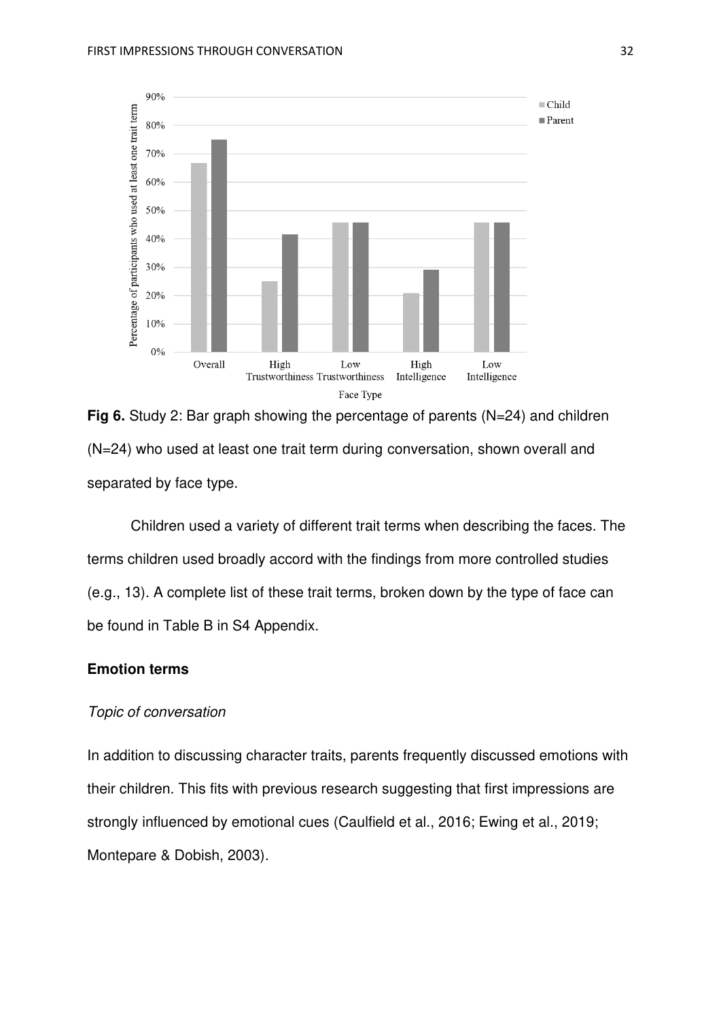

**Fig 6.** Study 2: Bar graph showing the percentage of parents (N=24) and children (N=24) who used at least one trait term during conversation, shown overall and separated by face type.

Children used a variety of different trait terms when describing the faces. The terms children used broadly accord with the findings from more controlled studies (e.g., 13). A complete list of these trait terms, broken down by the type of face can be found in Table B in S4 Appendix.

## **Emotion terms**

#### *Topic of conversation*

In addition to discussing character traits, parents frequently discussed emotions with their children. This fits with previous research suggesting that first impressions are strongly influenced by emotional cues (Caulfield et al., 2016; Ewing et al., 2019; Montepare & Dobish, 2003).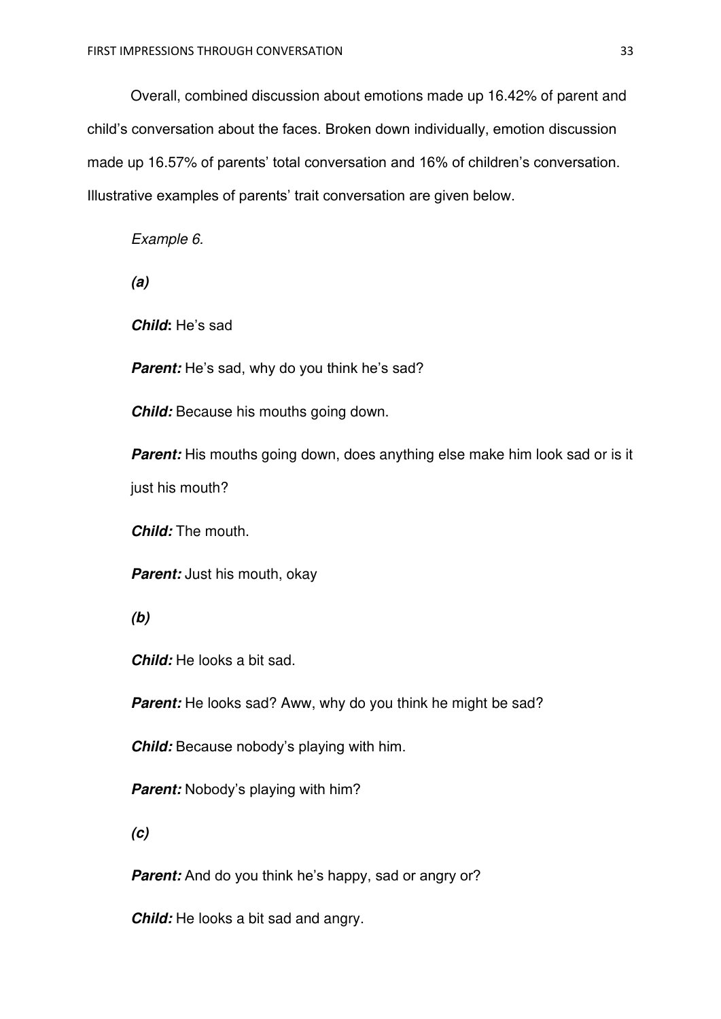Overall, combined discussion about emotions made up 16.42% of parent and child's conversation about the faces. Broken down individually, emotion discussion made up 16.57% of parents' total conversation and 16% of children's conversation. Illustrative examples of parents' trait conversation are given below.

*Example 6.* 

*(a)* 

*Child***:** He's sad

**Parent:** He's sad, why do you think he's sad?

*Child:* Because his mouths going down.

**Parent:** His mouths going down, does anything else make him look sad or is it just his mouth?

*Child:* The mouth.

*Parent:* Just his mouth, okay

*(b)* 

*Child:* He looks a bit sad.

**Parent:** He looks sad? Aww, why do you think he might be sad?

*Child:* Because nobody's playing with him.

**Parent:** Nobody's playing with him?

*(c)* 

*Parent:* And do you think he's happy, sad or angry or?

*Child:* He looks a bit sad and angry.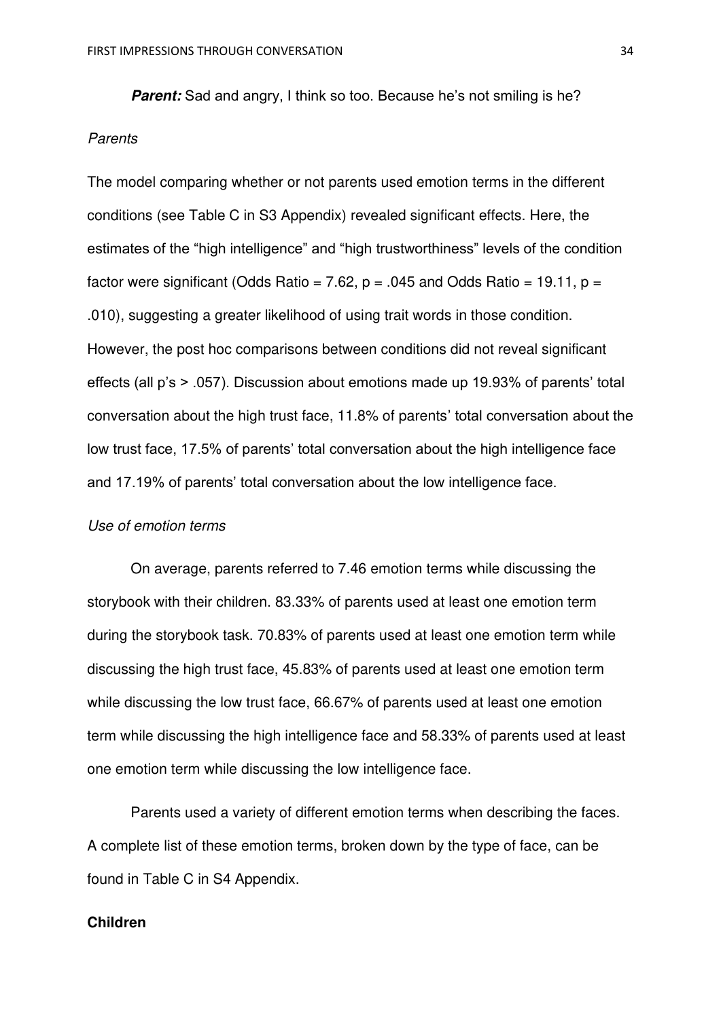**Parent:** Sad and angry, I think so too. Because he's not smiling is he? *Parents* 

The model comparing whether or not parents used emotion terms in the different conditions (see Table C in S3 Appendix) revealed significant effects. Here, the estimates of the "high intelligence" and "high trustworthiness" levels of the condition factor were significant (Odds Ratio = 7.62,  $p = .045$  and Odds Ratio = 19.11,  $p =$ .010), suggesting a greater likelihood of using trait words in those condition. However, the post hoc comparisons between conditions did not reveal significant effects (all p's > .057). Discussion about emotions made up 19.93% of parents' total conversation about the high trust face, 11.8% of parents' total conversation about the low trust face, 17.5% of parents' total conversation about the high intelligence face and 17.19% of parents' total conversation about the low intelligence face.

#### *Use of emotion terms*

On average, parents referred to 7.46 emotion terms while discussing the storybook with their children. 83.33% of parents used at least one emotion term during the storybook task. 70.83% of parents used at least one emotion term while discussing the high trust face, 45.83% of parents used at least one emotion term while discussing the low trust face, 66.67% of parents used at least one emotion term while discussing the high intelligence face and 58.33% of parents used at least one emotion term while discussing the low intelligence face.

Parents used a variety of different emotion terms when describing the faces. A complete list of these emotion terms, broken down by the type of face, can be found in Table C in S4 Appendix.

## **Children**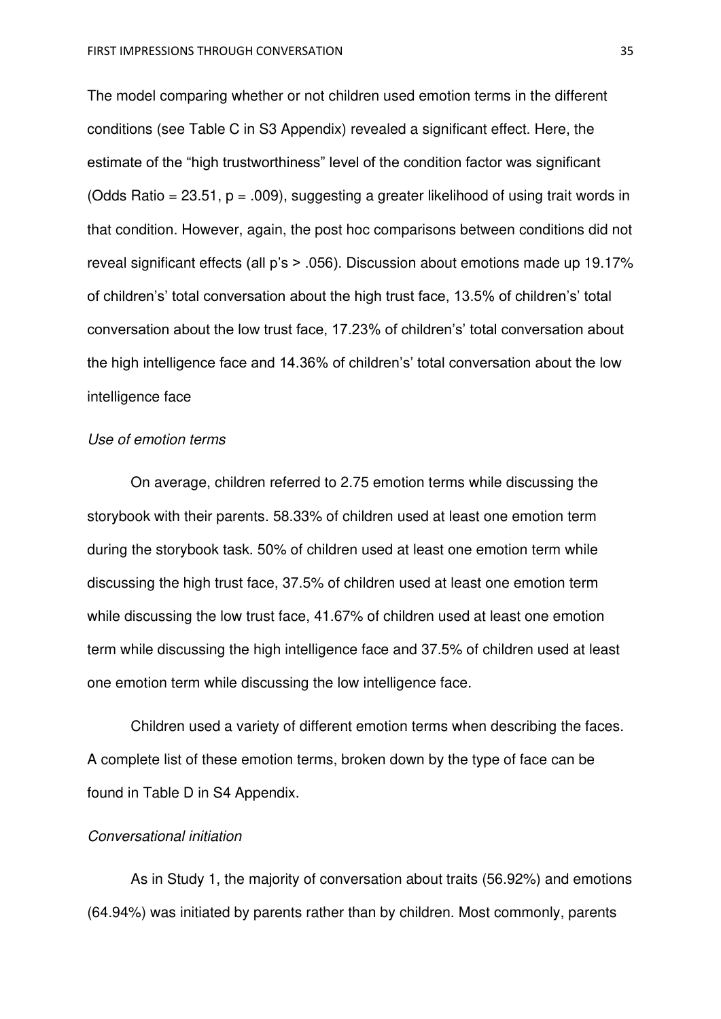The model comparing whether or not children used emotion terms in the different conditions (see Table C in S3 Appendix) revealed a significant effect. Here, the estimate of the "high trustworthiness" level of the condition factor was significant (Odds Ratio = 23.51,  $p = .009$ ), suggesting a greater likelihood of using trait words in that condition. However, again, the post hoc comparisons between conditions did not reveal significant effects (all p's > .056). Discussion about emotions made up 19.17% of children's' total conversation about the high trust face, 13.5% of children's' total conversation about the low trust face, 17.23% of children's' total conversation about the high intelligence face and 14.36% of children's' total conversation about the low intelligence face

#### *Use of emotion terms*

On average, children referred to 2.75 emotion terms while discussing the storybook with their parents. 58.33% of children used at least one emotion term during the storybook task. 50% of children used at least one emotion term while discussing the high trust face, 37.5% of children used at least one emotion term while discussing the low trust face, 41.67% of children used at least one emotion term while discussing the high intelligence face and 37.5% of children used at least one emotion term while discussing the low intelligence face.

Children used a variety of different emotion terms when describing the faces. A complete list of these emotion terms, broken down by the type of face can be found in Table D in S4 Appendix.

#### *Conversational initiation*

As in Study 1, the majority of conversation about traits (56.92%) and emotions (64.94%) was initiated by parents rather than by children. Most commonly, parents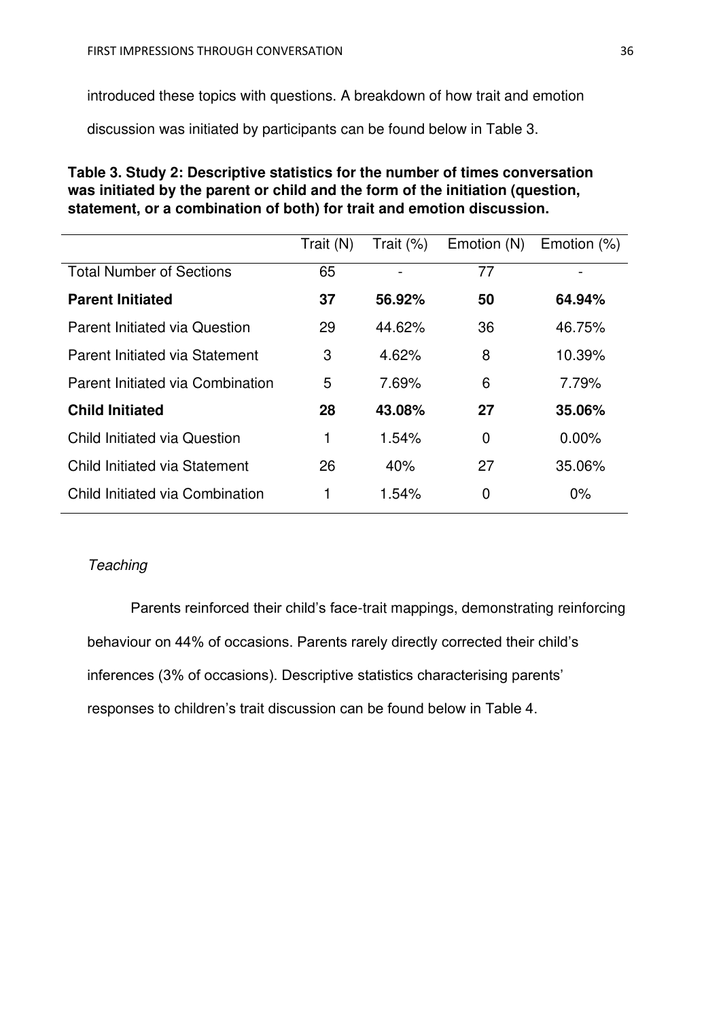introduced these topics with questions. A breakdown of how trait and emotion

discussion was initiated by participants can be found below in Table 3.

# **Table 3. Study 2: Descriptive statistics for the number of times conversation was initiated by the parent or child and the form of the initiation (question, statement, or a combination of both) for trait and emotion discussion.**

| Trait (N) | Trait $(\%)$ | Emotion (N) | Emotion $(\%)$ |
|-----------|--------------|-------------|----------------|
| 65        |              | 77          |                |
| 37        | 56.92%       | 50          | 64.94%         |
| 29        | 44.62%       | 36          | 46.75%         |
| 3         | 4.62%        | 8           | 10.39%         |
| 5         | 7.69%        | 6           | 7.79%          |
| 28        | 43.08%       | 27          | 35.06%         |
| 1         | 1.54%        | 0           | $0.00\%$       |
| 26        | 40%          | 27          | 35.06%         |
| 1         | 1.54%        | 0           | 0%             |
|           |              |             |                |

# *Teaching*

Parents reinforced their child's face-trait mappings, demonstrating reinforcing behaviour on 44% of occasions. Parents rarely directly corrected their child's inferences (3% of occasions). Descriptive statistics characterising parents' responses to children's trait discussion can be found below in Table 4.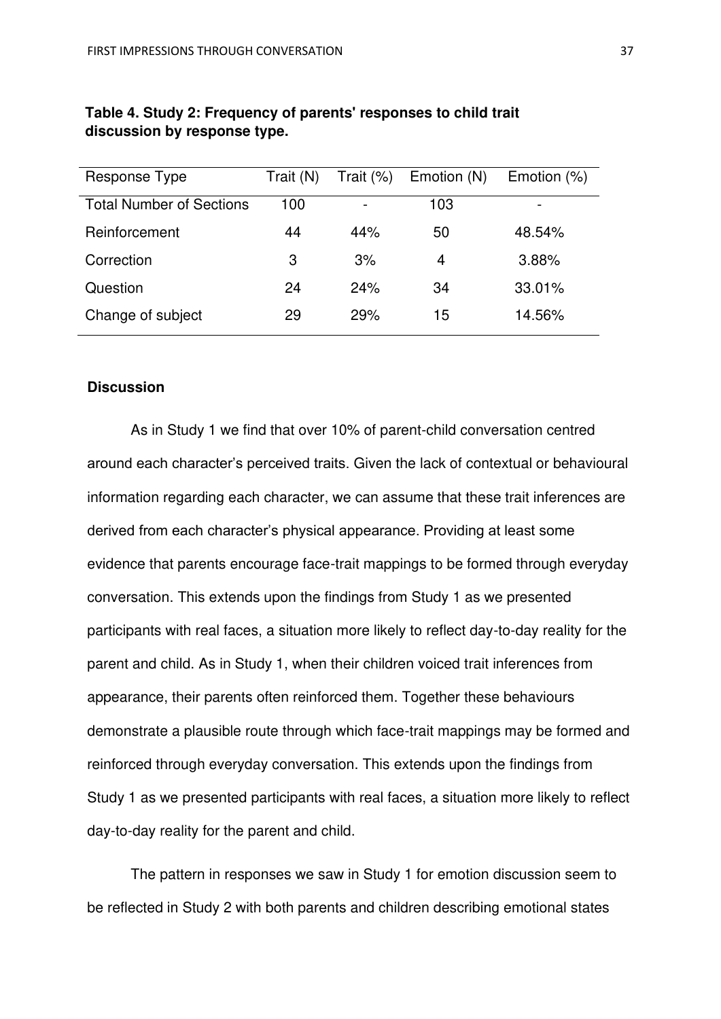| Response Type                   | Trait (N) | Trait $(\%)$ | Emotion (N) | Emotion (%) |
|---------------------------------|-----------|--------------|-------------|-------------|
| <b>Total Number of Sections</b> | 100       |              | 103         |             |
| Reinforcement                   | 44        | 44%          | 50          | 48.54%      |
| Correction                      | 3         | 3%           | 4           | 3.88%       |
| Question                        | 24        | 24%          | 34          | 33.01%      |
| Change of subject               | 29        | 29%          | 15          | 14.56%      |

# **Table 4. Study 2: Frequency of parents' responses to child trait discussion by response type.**

#### **Discussion**

As in Study 1 we find that over 10% of parent-child conversation centred around each character's perceived traits. Given the lack of contextual or behavioural information regarding each character, we can assume that these trait inferences are derived from each character's physical appearance. Providing at least some evidence that parents encourage face-trait mappings to be formed through everyday conversation. This extends upon the findings from Study 1 as we presented participants with real faces, a situation more likely to reflect day-to-day reality for the parent and child. As in Study 1, when their children voiced trait inferences from appearance, their parents often reinforced them. Together these behaviours demonstrate a plausible route through which face-trait mappings may be formed and reinforced through everyday conversation. This extends upon the findings from Study 1 as we presented participants with real faces, a situation more likely to reflect day-to-day reality for the parent and child.

 The pattern in responses we saw in Study 1 for emotion discussion seem to be reflected in Study 2 with both parents and children describing emotional states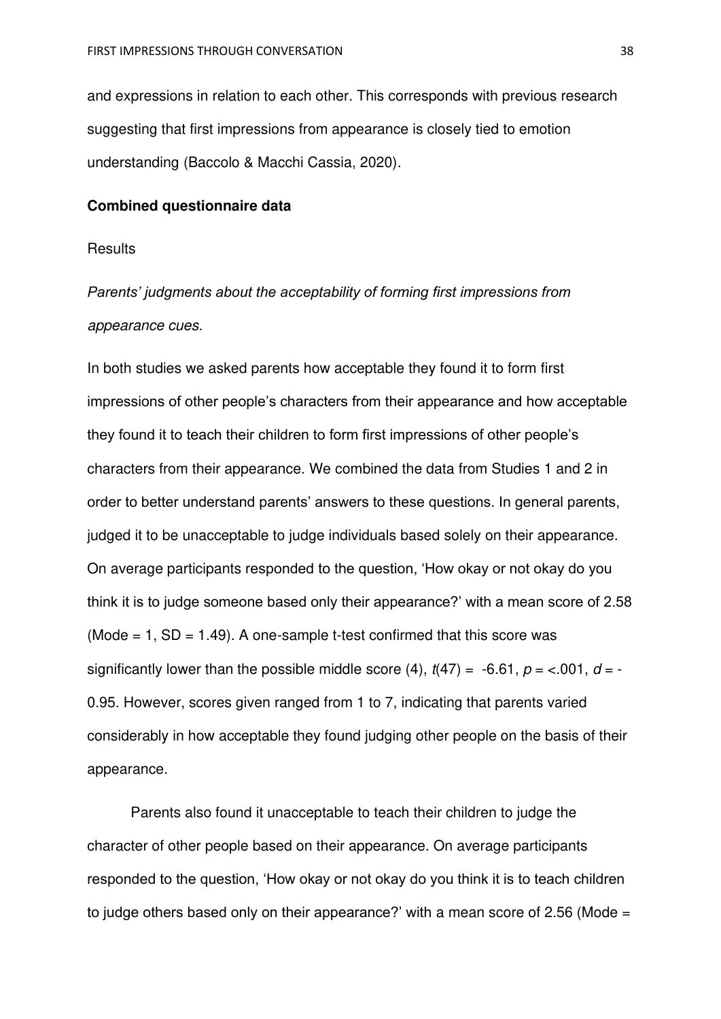and expressions in relation to each other. This corresponds with previous research suggesting that first impressions from appearance is closely tied to emotion understanding (Baccolo & Macchi Cassia, 2020).

## **Combined questionnaire data**

## **Results**

# *Parents' judgments about the acceptability of forming first impressions from appearance cues.*

In both studies we asked parents how acceptable they found it to form first impressions of other people's characters from their appearance and how acceptable they found it to teach their children to form first impressions of other people's characters from their appearance. We combined the data from Studies 1 and 2 in order to better understand parents' answers to these questions. In general parents, judged it to be unacceptable to judge individuals based solely on their appearance. On average participants responded to the question, 'How okay or not okay do you think it is to judge someone based only their appearance?' with a mean score of 2.58 (Mode  $= 1$ , SD  $= 1.49$ ). A one-sample t-test confirmed that this score was significantly lower than the possible middle score (4),  $t(47) = -6.61$ ,  $p = <.001$ ,  $d = -$ 0.95. However, scores given ranged from 1 to 7, indicating that parents varied considerably in how acceptable they found judging other people on the basis of their appearance.

 Parents also found it unacceptable to teach their children to judge the character of other people based on their appearance. On average participants responded to the question, 'How okay or not okay do you think it is to teach children to judge others based only on their appearance?' with a mean score of 2.56 (Mode  $=$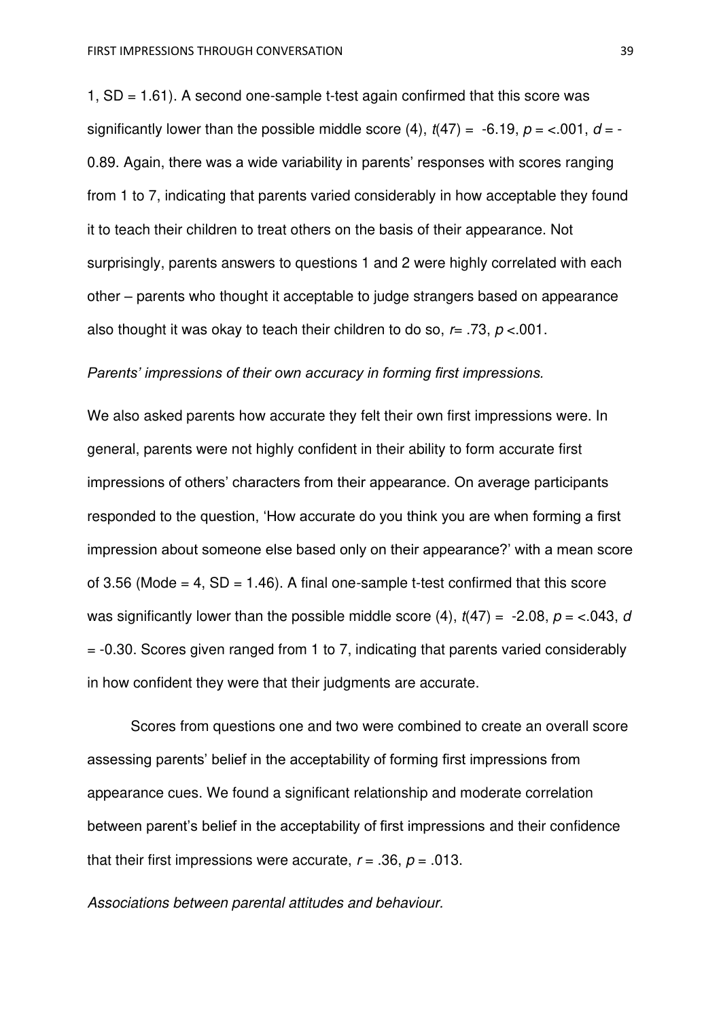1,  $SD = 1.61$ ). A second one-sample t-test again confirmed that this score was significantly lower than the possible middle score (4),  $t(47) = -6.19$ ,  $p = <.001$ ,  $d = -$ 0.89. Again, there was a wide variability in parents' responses with scores ranging from 1 to 7, indicating that parents varied considerably in how acceptable they found it to teach their children to treat others on the basis of their appearance. Not surprisingly, parents answers to questions 1 and 2 were highly correlated with each other – parents who thought it acceptable to judge strangers based on appearance also thought it was okay to teach their children to do so, *r*= .73, *p* <.001.

#### *Parents' impressions of their own accuracy in forming first impressions.*

We also asked parents how accurate they felt their own first impressions were. In general, parents were not highly confident in their ability to form accurate first impressions of others' characters from their appearance. On average participants responded to the question, 'How accurate do you think you are when forming a first impression about someone else based only on their appearance?' with a mean score of 3.56 (Mode  $= 4$ , SD  $= 1.46$ ). A final one-sample t-test confirmed that this score was significantly lower than the possible middle score (4),  $t(47) = -2.08$ ,  $p = < .043$ , *d* = -0.30. Scores given ranged from 1 to 7, indicating that parents varied considerably in how confident they were that their judgments are accurate.

Scores from questions one and two were combined to create an overall score assessing parents' belief in the acceptability of forming first impressions from appearance cues. We found a significant relationship and moderate correlation between parent's belief in the acceptability of first impressions and their confidence that their first impressions were accurate,  $r = .36$ ,  $p = .013$ .

*Associations between parental attitudes and behaviour.*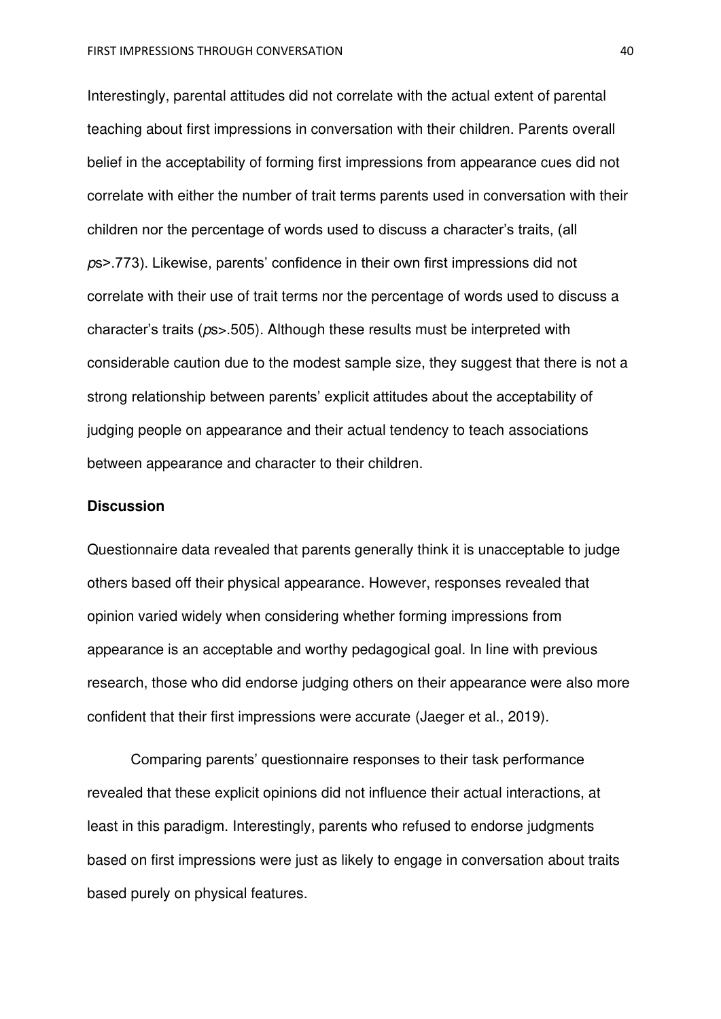Interestingly, parental attitudes did not correlate with the actual extent of parental teaching about first impressions in conversation with their children. Parents overall belief in the acceptability of forming first impressions from appearance cues did not correlate with either the number of trait terms parents used in conversation with their children nor the percentage of words used to discuss a character's traits, (all *p*s>.773). Likewise, parents' confidence in their own first impressions did not correlate with their use of trait terms nor the percentage of words used to discuss a character's traits (*p*s>.505). Although these results must be interpreted with considerable caution due to the modest sample size, they suggest that there is not a strong relationship between parents' explicit attitudes about the acceptability of judging people on appearance and their actual tendency to teach associations between appearance and character to their children.

#### **Discussion**

Questionnaire data revealed that parents generally think it is unacceptable to judge others based off their physical appearance. However, responses revealed that opinion varied widely when considering whether forming impressions from appearance is an acceptable and worthy pedagogical goal. In line with previous research, those who did endorse judging others on their appearance were also more confident that their first impressions were accurate (Jaeger et al., 2019).

Comparing parents' questionnaire responses to their task performance revealed that these explicit opinions did not influence their actual interactions, at least in this paradigm. Interestingly, parents who refused to endorse judgments based on first impressions were just as likely to engage in conversation about traits based purely on physical features.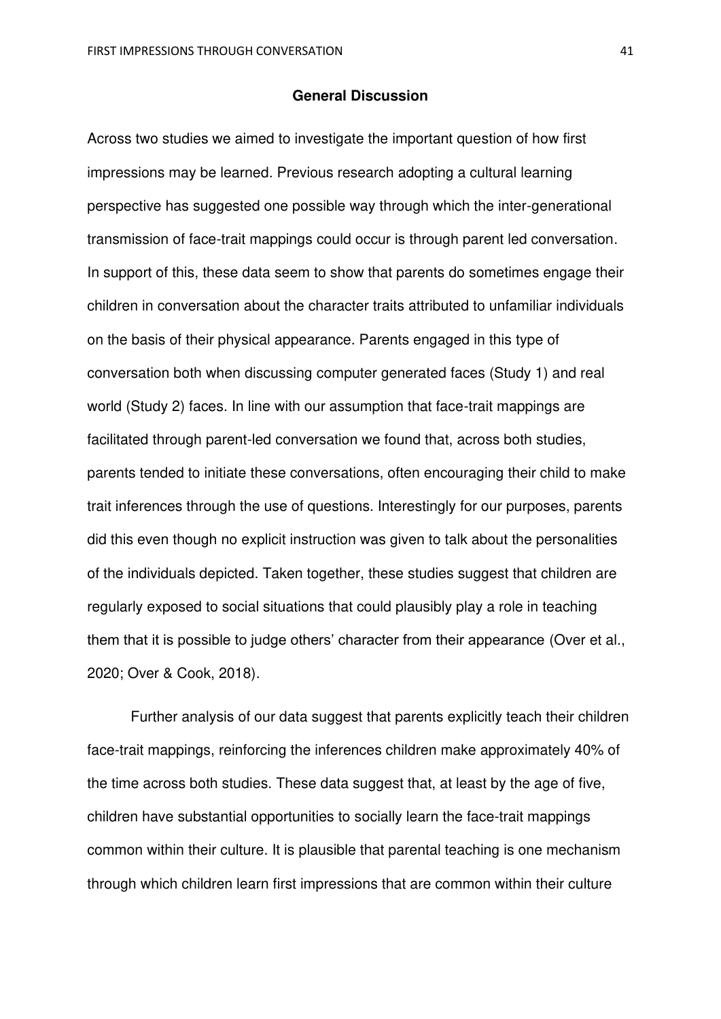#### **General Discussion**

Across two studies we aimed to investigate the important question of how first impressions may be learned. Previous research adopting a cultural learning perspective has suggested one possible way through which the inter-generational transmission of face-trait mappings could occur is through parent led conversation. In support of this, these data seem to show that parents do sometimes engage their children in conversation about the character traits attributed to unfamiliar individuals on the basis of their physical appearance. Parents engaged in this type of conversation both when discussing computer generated faces (Study 1) and real world (Study 2) faces. In line with our assumption that face-trait mappings are facilitated through parent-led conversation we found that, across both studies, parents tended to initiate these conversations, often encouraging their child to make trait inferences through the use of questions. Interestingly for our purposes, parents did this even though no explicit instruction was given to talk about the personalities of the individuals depicted. Taken together, these studies suggest that children are regularly exposed to social situations that could plausibly play a role in teaching them that it is possible to judge others' character from their appearance (Over et al., 2020; Over & Cook, 2018).

Further analysis of our data suggest that parents explicitly teach their children face-trait mappings, reinforcing the inferences children make approximately 40% of the time across both studies. These data suggest that, at least by the age of five, children have substantial opportunities to socially learn the face-trait mappings common within their culture. It is plausible that parental teaching is one mechanism through which children learn first impressions that are common within their culture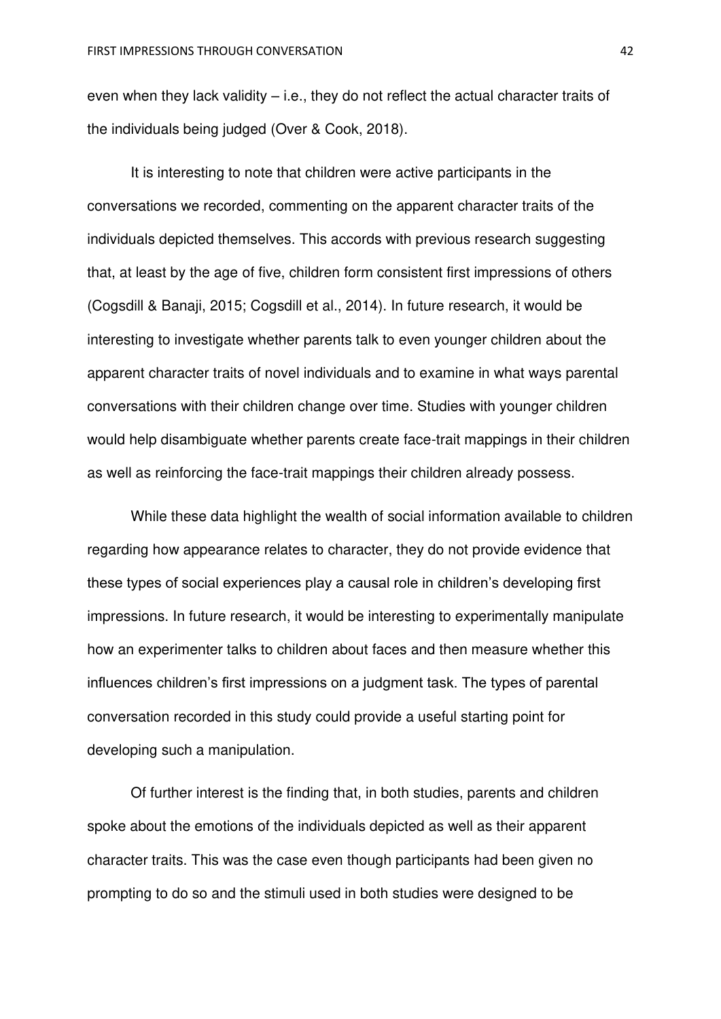even when they lack validity – i.e., they do not reflect the actual character traits of the individuals being judged (Over & Cook, 2018).

It is interesting to note that children were active participants in the conversations we recorded, commenting on the apparent character traits of the individuals depicted themselves. This accords with previous research suggesting that, at least by the age of five, children form consistent first impressions of others (Cogsdill & Banaji, 2015; Cogsdill et al., 2014). In future research, it would be interesting to investigate whether parents talk to even younger children about the apparent character traits of novel individuals and to examine in what ways parental conversations with their children change over time. Studies with younger children would help disambiguate whether parents create face-trait mappings in their children as well as reinforcing the face-trait mappings their children already possess.

While these data highlight the wealth of social information available to children regarding how appearance relates to character, they do not provide evidence that these types of social experiences play a causal role in children's developing first impressions. In future research, it would be interesting to experimentally manipulate how an experimenter talks to children about faces and then measure whether this influences children's first impressions on a judgment task. The types of parental conversation recorded in this study could provide a useful starting point for developing such a manipulation.

Of further interest is the finding that, in both studies, parents and children spoke about the emotions of the individuals depicted as well as their apparent character traits. This was the case even though participants had been given no prompting to do so and the stimuli used in both studies were designed to be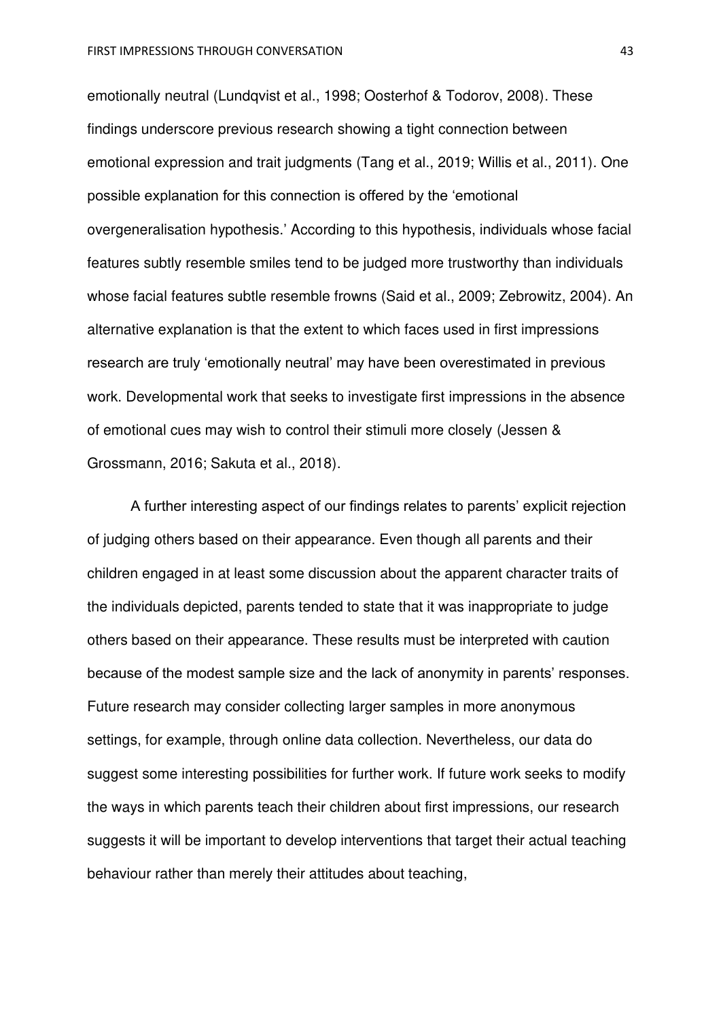emotionally neutral (Lundqvist et al., 1998; Oosterhof & Todorov, 2008). These findings underscore previous research showing a tight connection between emotional expression and trait judgments (Tang et al., 2019; Willis et al., 2011). One possible explanation for this connection is offered by the 'emotional overgeneralisation hypothesis.' According to this hypothesis, individuals whose facial features subtly resemble smiles tend to be judged more trustworthy than individuals whose facial features subtle resemble frowns (Said et al., 2009; Zebrowitz, 2004). An alternative explanation is that the extent to which faces used in first impressions research are truly 'emotionally neutral' may have been overestimated in previous work. Developmental work that seeks to investigate first impressions in the absence of emotional cues may wish to control their stimuli more closely (Jessen & Grossmann, 2016; Sakuta et al., 2018).

A further interesting aspect of our findings relates to parents' explicit rejection of judging others based on their appearance. Even though all parents and their children engaged in at least some discussion about the apparent character traits of the individuals depicted, parents tended to state that it was inappropriate to judge others based on their appearance. These results must be interpreted with caution because of the modest sample size and the lack of anonymity in parents' responses. Future research may consider collecting larger samples in more anonymous settings, for example, through online data collection. Nevertheless, our data do suggest some interesting possibilities for further work. If future work seeks to modify the ways in which parents teach their children about first impressions, our research suggests it will be important to develop interventions that target their actual teaching behaviour rather than merely their attitudes about teaching,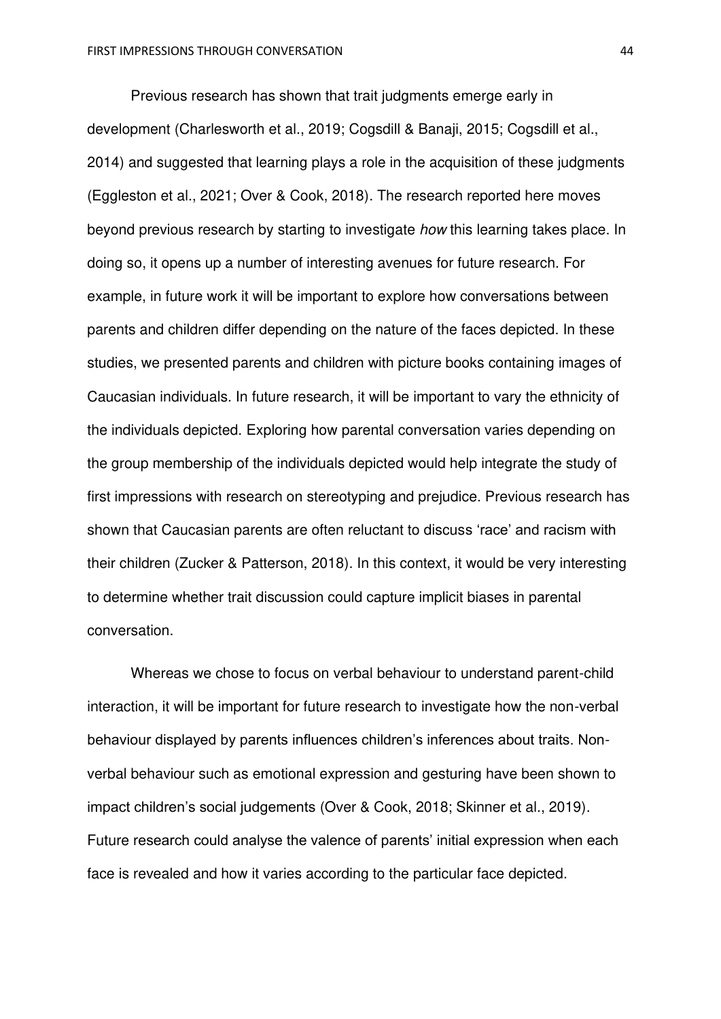Previous research has shown that trait judgments emerge early in development (Charlesworth et al., 2019; Cogsdill & Banaji, 2015; Cogsdill et al., 2014) and suggested that learning plays a role in the acquisition of these judgments (Eggleston et al., 2021; Over & Cook, 2018). The research reported here moves beyond previous research by starting to investigate *how* this learning takes place. In doing so, it opens up a number of interesting avenues for future research. For example, in future work it will be important to explore how conversations between parents and children differ depending on the nature of the faces depicted. In these studies, we presented parents and children with picture books containing images of Caucasian individuals. In future research, it will be important to vary the ethnicity of the individuals depicted. Exploring how parental conversation varies depending on the group membership of the individuals depicted would help integrate the study of first impressions with research on stereotyping and prejudice. Previous research has shown that Caucasian parents are often reluctant to discuss 'race' and racism with their children (Zucker & Patterson, 2018). In this context, it would be very interesting to determine whether trait discussion could capture implicit biases in parental conversation.

Whereas we chose to focus on verbal behaviour to understand parent-child interaction, it will be important for future research to investigate how the non-verbal behaviour displayed by parents influences children's inferences about traits. Nonverbal behaviour such as emotional expression and gesturing have been shown to impact children's social judgements (Over & Cook, 2018; Skinner et al., 2019). Future research could analyse the valence of parents' initial expression when each face is revealed and how it varies according to the particular face depicted.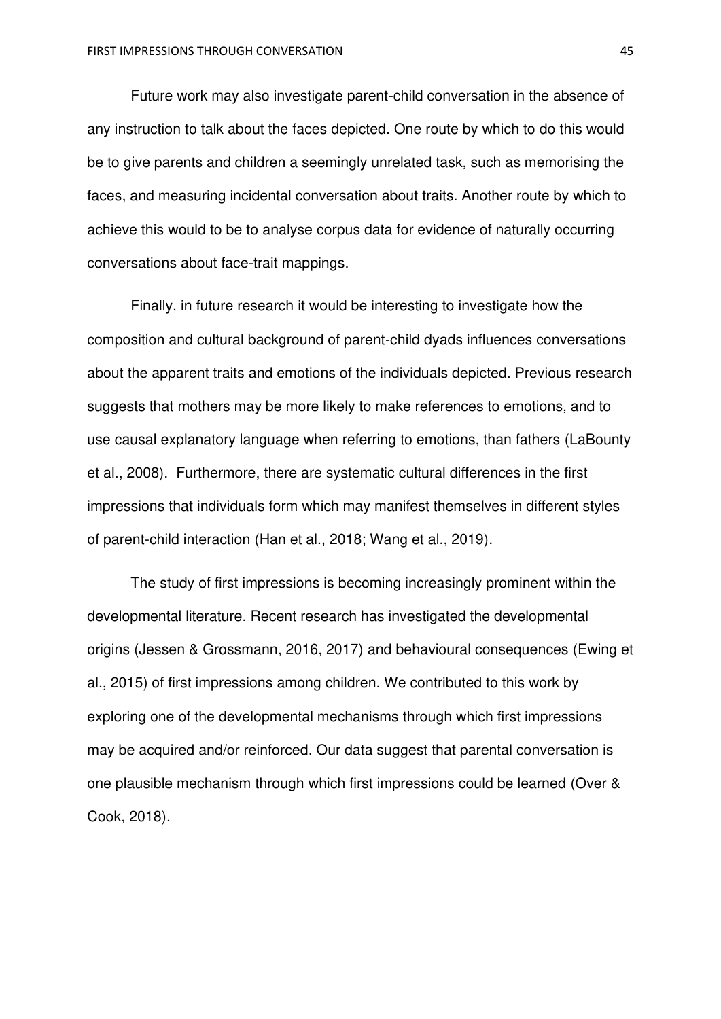Future work may also investigate parent-child conversation in the absence of any instruction to talk about the faces depicted. One route by which to do this would be to give parents and children a seemingly unrelated task, such as memorising the faces, and measuring incidental conversation about traits. Another route by which to achieve this would to be to analyse corpus data for evidence of naturally occurring conversations about face-trait mappings.

Finally, in future research it would be interesting to investigate how the composition and cultural background of parent-child dyads influences conversations about the apparent traits and emotions of the individuals depicted. Previous research suggests that mothers may be more likely to make references to emotions, and to use causal explanatory language when referring to emotions, than fathers (LaBounty et al., 2008). Furthermore, there are systematic cultural differences in the first impressions that individuals form which may manifest themselves in different styles of parent-child interaction (Han et al., 2018; Wang et al., 2019).

The study of first impressions is becoming increasingly prominent within the developmental literature. Recent research has investigated the developmental origins (Jessen & Grossmann, 2016, 2017) and behavioural consequences (Ewing et al., 2015) of first impressions among children. We contributed to this work by exploring one of the developmental mechanisms through which first impressions may be acquired and/or reinforced. Our data suggest that parental conversation is one plausible mechanism through which first impressions could be learned (Over & Cook, 2018).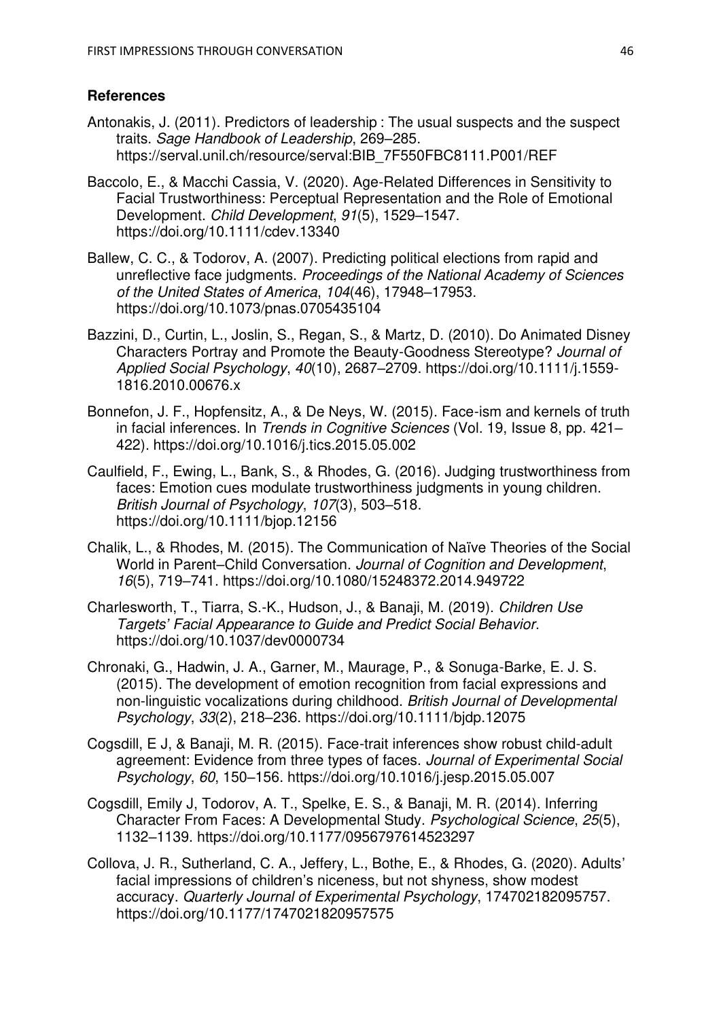# **References**

- Antonakis, J. (2011). Predictors of leadership : The usual suspects and the suspect traits. *Sage Handbook of Leadership*, 269–285. https://serval.unil.ch/resource/serval:BIB\_7F550FBC8111.P001/REF
- Baccolo, E., & Macchi Cassia, V. (2020). Age-Related Differences in Sensitivity to Facial Trustworthiness: Perceptual Representation and the Role of Emotional Development. *Child Development*, *91*(5), 1529–1547. https://doi.org/10.1111/cdev.13340
- Ballew, C. C., & Todorov, A. (2007). Predicting political elections from rapid and unreflective face judgments. *Proceedings of the National Academy of Sciences of the United States of America*, *104*(46), 17948–17953. https://doi.org/10.1073/pnas.0705435104
- Bazzini, D., Curtin, L., Joslin, S., Regan, S., & Martz, D. (2010). Do Animated Disney Characters Portray and Promote the Beauty-Goodness Stereotype? *Journal of Applied Social Psychology*, *40*(10), 2687–2709. https://doi.org/10.1111/j.1559- 1816.2010.00676.x
- Bonnefon, J. F., Hopfensitz, A., & De Neys, W. (2015). Face-ism and kernels of truth in facial inferences. In *Trends in Cognitive Sciences* (Vol. 19, Issue 8, pp. 421– 422). https://doi.org/10.1016/j.tics.2015.05.002
- Caulfield, F., Ewing, L., Bank, S., & Rhodes, G. (2016). Judging trustworthiness from faces: Emotion cues modulate trustworthiness judgments in young children. *British Journal of Psychology*, *107*(3), 503–518. https://doi.org/10.1111/bjop.12156
- Chalik, L., & Rhodes, M. (2015). The Communication of Naïve Theories of the Social World in Parent–Child Conversation. *Journal of Cognition and Development*, *16*(5), 719–741. https://doi.org/10.1080/15248372.2014.949722
- Charlesworth, T., Tiarra, S.-K., Hudson, J., & Banaji, M. (2019). *Children Use Targets' Facial Appearance to Guide and Predict Social Behavior*. https://doi.org/10.1037/dev0000734
- Chronaki, G., Hadwin, J. A., Garner, M., Maurage, P., & Sonuga-Barke, E. J. S. (2015). The development of emotion recognition from facial expressions and non-linguistic vocalizations during childhood. *British Journal of Developmental Psychology*, *33*(2), 218–236. https://doi.org/10.1111/bjdp.12075
- Cogsdill, E J, & Banaji, M. R. (2015). Face-trait inferences show robust child-adult agreement: Evidence from three types of faces. *Journal of Experimental Social Psychology*, *60*, 150–156. https://doi.org/10.1016/j.jesp.2015.05.007
- Cogsdill, Emily J, Todorov, A. T., Spelke, E. S., & Banaji, M. R. (2014). Inferring Character From Faces: A Developmental Study. *Psychological Science*, *25*(5), 1132–1139. https://doi.org/10.1177/0956797614523297
- Collova, J. R., Sutherland, C. A., Jeffery, L., Bothe, E., & Rhodes, G. (2020). Adults' facial impressions of children's niceness, but not shyness, show modest accuracy. *Quarterly Journal of Experimental Psychology*, 174702182095757. https://doi.org/10.1177/1747021820957575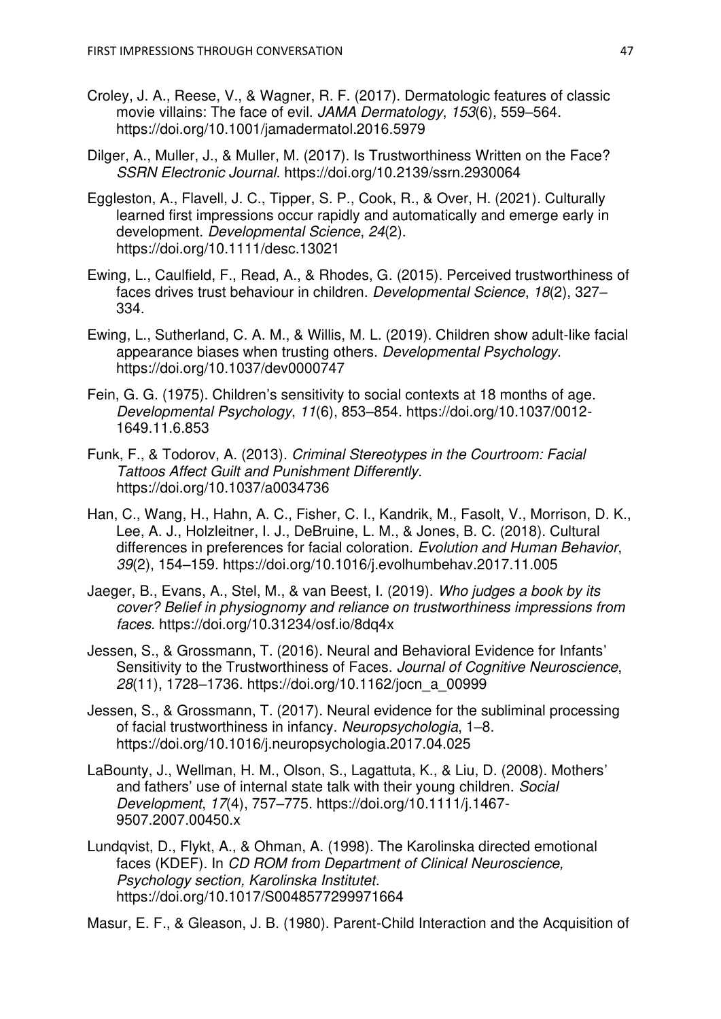- Croley, J. A., Reese, V., & Wagner, R. F. (2017). Dermatologic features of classic movie villains: The face of evil. *JAMA Dermatology*, *153*(6), 559–564. https://doi.org/10.1001/jamadermatol.2016.5979
- Dilger, A., Muller, J., & Muller, M. (2017). Is Trustworthiness Written on the Face? *SSRN Electronic Journal*. https://doi.org/10.2139/ssrn.2930064
- Eggleston, A., Flavell, J. C., Tipper, S. P., Cook, R., & Over, H. (2021). Culturally learned first impressions occur rapidly and automatically and emerge early in development. *Developmental Science*, *24*(2). https://doi.org/10.1111/desc.13021
- Ewing, L., Caulfield, F., Read, A., & Rhodes, G. (2015). Perceived trustworthiness of faces drives trust behaviour in children. *Developmental Science*, *18*(2), 327– 334.
- Ewing, L., Sutherland, C. A. M., & Willis, M. L. (2019). Children show adult-like facial appearance biases when trusting others. *Developmental Psychology*. https://doi.org/10.1037/dev0000747
- Fein, G. G. (1975). Children's sensitivity to social contexts at 18 months of age. *Developmental Psychology*, *11*(6), 853–854. https://doi.org/10.1037/0012- 1649.11.6.853
- Funk, F., & Todorov, A. (2013). *Criminal Stereotypes in the Courtroom: Facial Tattoos Affect Guilt and Punishment Differently*. https://doi.org/10.1037/a0034736
- Han, C., Wang, H., Hahn, A. C., Fisher, C. I., Kandrik, M., Fasolt, V., Morrison, D. K., Lee, A. J., Holzleitner, I. J., DeBruine, L. M., & Jones, B. C. (2018). Cultural differences in preferences for facial coloration. *Evolution and Human Behavior*, *39*(2), 154–159. https://doi.org/10.1016/j.evolhumbehav.2017.11.005
- Jaeger, B., Evans, A., Stel, M., & van Beest, I. (2019). *Who judges a book by its cover? Belief in physiognomy and reliance on trustworthiness impressions from faces*. https://doi.org/10.31234/osf.io/8dq4x
- Jessen, S., & Grossmann, T. (2016). Neural and Behavioral Evidence for Infants' Sensitivity to the Trustworthiness of Faces. *Journal of Cognitive Neuroscience*, *28*(11), 1728–1736. https://doi.org/10.1162/jocn\_a\_00999
- Jessen, S., & Grossmann, T. (2017). Neural evidence for the subliminal processing of facial trustworthiness in infancy. *Neuropsychologia*, 1–8. https://doi.org/10.1016/j.neuropsychologia.2017.04.025
- LaBounty, J., Wellman, H. M., Olson, S., Lagattuta, K., & Liu, D. (2008). Mothers' and fathers' use of internal state talk with their young children. *Social Development*, *17*(4), 757–775. https://doi.org/10.1111/j.1467- 9507.2007.00450.x
- Lundqvist, D., Flykt, A., & Ohman, A. (1998). The Karolinska directed emotional faces (KDEF). In *CD ROM from Department of Clinical Neuroscience, Psychology section, Karolinska Institutet*. https://doi.org/10.1017/S0048577299971664

Masur, E. F., & Gleason, J. B. (1980). Parent-Child Interaction and the Acquisition of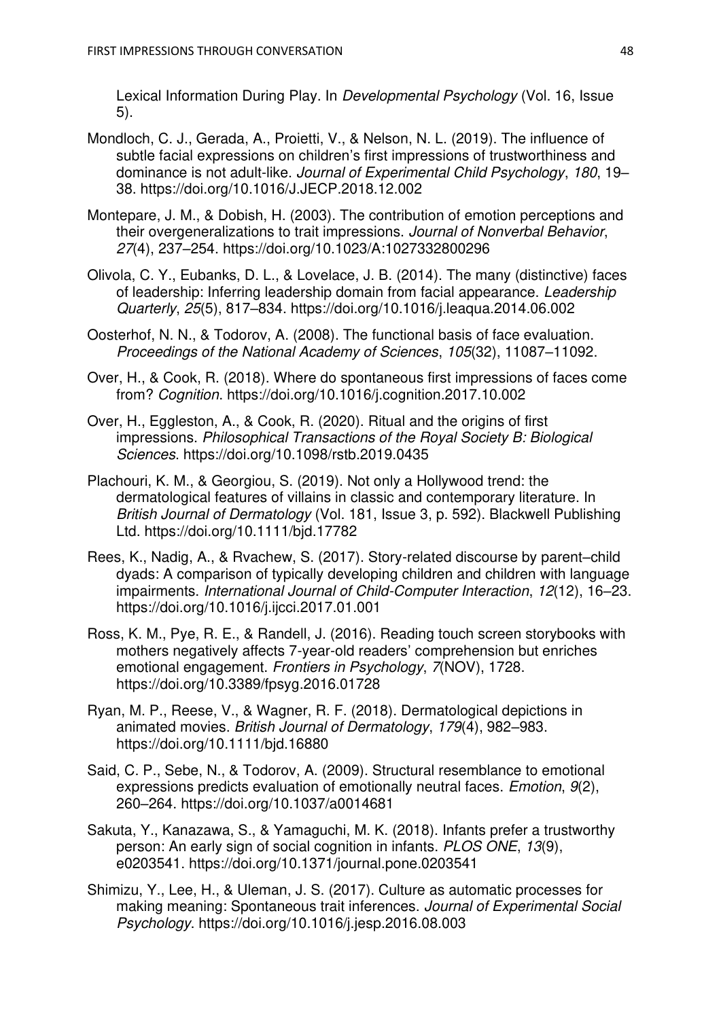Lexical Information During Play. In *Developmental Psychology* (Vol. 16, Issue 5).

- Mondloch, C. J., Gerada, A., Proietti, V., & Nelson, N. L. (2019). The influence of subtle facial expressions on children's first impressions of trustworthiness and dominance is not adult-like. *Journal of Experimental Child Psychology*, *180*, 19– 38. https://doi.org/10.1016/J.JECP.2018.12.002
- Montepare, J. M., & Dobish, H. (2003). The contribution of emotion perceptions and their overgeneralizations to trait impressions. *Journal of Nonverbal Behavior*, *27*(4), 237–254. https://doi.org/10.1023/A:1027332800296
- Olivola, C. Y., Eubanks, D. L., & Lovelace, J. B. (2014). The many (distinctive) faces of leadership: Inferring leadership domain from facial appearance. *Leadership Quarterly*, *25*(5), 817–834. https://doi.org/10.1016/j.leaqua.2014.06.002
- Oosterhof, N. N., & Todorov, A. (2008). The functional basis of face evaluation. *Proceedings of the National Academy of Sciences*, *105*(32), 11087–11092.
- Over, H., & Cook, R. (2018). Where do spontaneous first impressions of faces come from? *Cognition*. https://doi.org/10.1016/j.cognition.2017.10.002
- Over, H., Eggleston, A., & Cook, R. (2020). Ritual and the origins of first impressions. *Philosophical Transactions of the Royal Society B: Biological Sciences*. https://doi.org/10.1098/rstb.2019.0435
- Plachouri, K. M., & Georgiou, S. (2019). Not only a Hollywood trend: the dermatological features of villains in classic and contemporary literature. In *British Journal of Dermatology* (Vol. 181, Issue 3, p. 592). Blackwell Publishing Ltd. https://doi.org/10.1111/bjd.17782
- Rees, K., Nadig, A., & Rvachew, S. (2017). Story-related discourse by parent–child dyads: A comparison of typically developing children and children with language impairments. *International Journal of Child-Computer Interaction*, *12*(12), 16–23. https://doi.org/10.1016/j.ijcci.2017.01.001
- Ross, K. M., Pye, R. E., & Randell, J. (2016). Reading touch screen storybooks with mothers negatively affects 7-year-old readers' comprehension but enriches emotional engagement. *Frontiers in Psychology*, *7*(NOV), 1728. https://doi.org/10.3389/fpsyg.2016.01728
- Ryan, M. P., Reese, V., & Wagner, R. F. (2018). Dermatological depictions in animated movies. *British Journal of Dermatology*, *179*(4), 982–983. https://doi.org/10.1111/bjd.16880
- Said, C. P., Sebe, N., & Todorov, A. (2009). Structural resemblance to emotional expressions predicts evaluation of emotionally neutral faces. *Emotion*, *9*(2), 260–264. https://doi.org/10.1037/a0014681
- Sakuta, Y., Kanazawa, S., & Yamaguchi, M. K. (2018). Infants prefer a trustworthy person: An early sign of social cognition in infants. *PLOS ONE*, *13*(9), e0203541. https://doi.org/10.1371/journal.pone.0203541
- Shimizu, Y., Lee, H., & Uleman, J. S. (2017). Culture as automatic processes for making meaning: Spontaneous trait inferences. *Journal of Experimental Social Psychology*. https://doi.org/10.1016/j.jesp.2016.08.003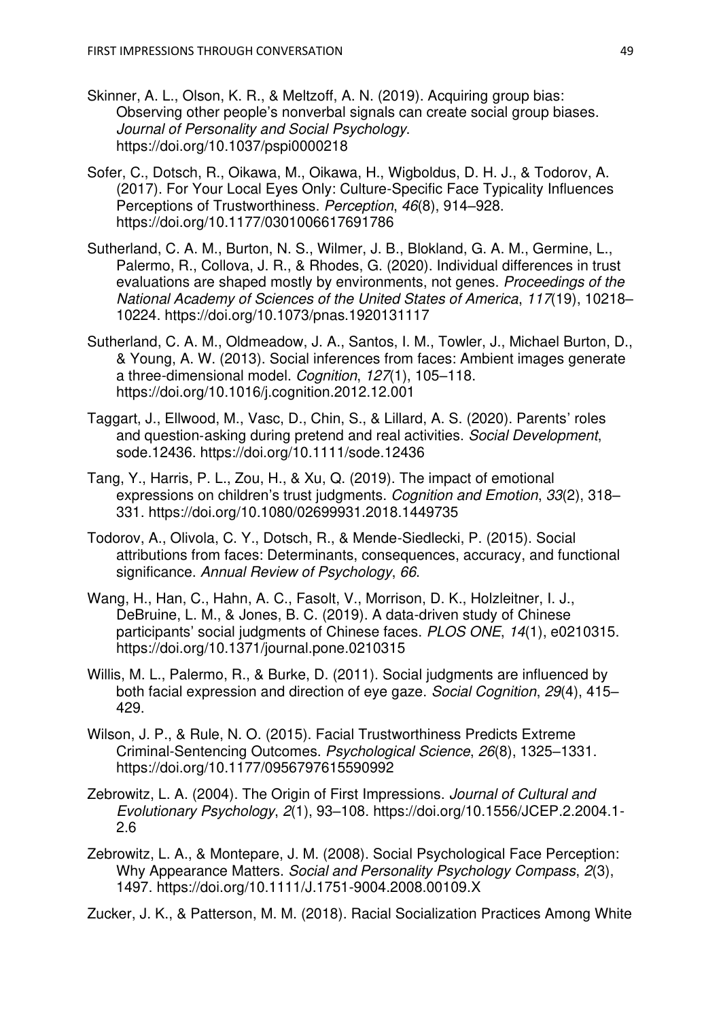- Skinner, A. L., Olson, K. R., & Meltzoff, A. N. (2019). Acquiring group bias: Observing other people's nonverbal signals can create social group biases. *Journal of Personality and Social Psychology*. https://doi.org/10.1037/pspi0000218
- Sofer, C., Dotsch, R., Oikawa, M., Oikawa, H., Wigboldus, D. H. J., & Todorov, A. (2017). For Your Local Eyes Only: Culture-Specific Face Typicality Influences Perceptions of Trustworthiness. *Perception*, *46*(8), 914–928. https://doi.org/10.1177/0301006617691786
- Sutherland, C. A. M., Burton, N. S., Wilmer, J. B., Blokland, G. A. M., Germine, L., Palermo, R., Collova, J. R., & Rhodes, G. (2020). Individual differences in trust evaluations are shaped mostly by environments, not genes. *Proceedings of the National Academy of Sciences of the United States of America*, *117*(19), 10218– 10224. https://doi.org/10.1073/pnas.1920131117
- Sutherland, C. A. M., Oldmeadow, J. A., Santos, I. M., Towler, J., Michael Burton, D., & Young, A. W. (2013). Social inferences from faces: Ambient images generate a three-dimensional model. *Cognition*, *127*(1), 105–118. https://doi.org/10.1016/j.cognition.2012.12.001
- Taggart, J., Ellwood, M., Vasc, D., Chin, S., & Lillard, A. S. (2020). Parents' roles and question‐asking during pretend and real activities. *Social Development*, sode.12436. https://doi.org/10.1111/sode.12436
- Tang, Y., Harris, P. L., Zou, H., & Xu, Q. (2019). The impact of emotional expressions on children's trust judgments. *Cognition and Emotion*, *33*(2), 318– 331. https://doi.org/10.1080/02699931.2018.1449735
- Todorov, A., Olivola, C. Y., Dotsch, R., & Mende-Siedlecki, P. (2015). Social attributions from faces: Determinants, consequences, accuracy, and functional significance. *Annual Review of Psychology*, *66*.
- Wang, H., Han, C., Hahn, A. C., Fasolt, V., Morrison, D. K., Holzleitner, I. J., DeBruine, L. M., & Jones, B. C. (2019). A data-driven study of Chinese participants' social judgments of Chinese faces. *PLOS ONE*, *14*(1), e0210315. https://doi.org/10.1371/journal.pone.0210315
- Willis, M. L., Palermo, R., & Burke, D. (2011). Social judgments are influenced by both facial expression and direction of eye gaze. *Social Cognition*, *29*(4), 415– 429.
- Wilson, J. P., & Rule, N. O. (2015). Facial Trustworthiness Predicts Extreme Criminal-Sentencing Outcomes. *Psychological Science*, *26*(8), 1325–1331. https://doi.org/10.1177/0956797615590992
- Zebrowitz, L. A. (2004). The Origin of First Impressions. *Journal of Cultural and Evolutionary Psychology*, *2*(1), 93–108. https://doi.org/10.1556/JCEP.2.2004.1- 2.6
- Zebrowitz, L. A., & Montepare, J. M. (2008). Social Psychological Face Perception: Why Appearance Matters. *Social and Personality Psychology Compass*, *2*(3), 1497. https://doi.org/10.1111/J.1751-9004.2008.00109.X

Zucker, J. K., & Patterson, M. M. (2018). Racial Socialization Practices Among White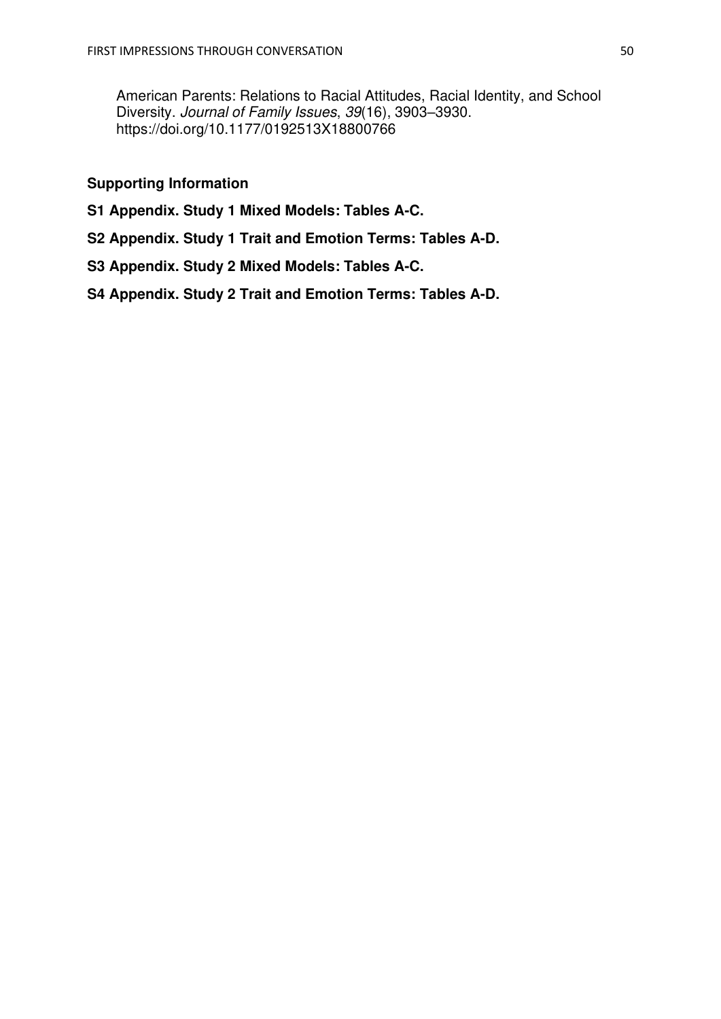American Parents: Relations to Racial Attitudes, Racial Identity, and School Diversity. *Journal of Family Issues*, *39*(16), 3903–3930. https://doi.org/10.1177/0192513X18800766

## **Supporting Information**

- **S1 Appendix. Study 1 Mixed Models: Tables A-C.**
- **S2 Appendix. Study 1 Trait and Emotion Terms: Tables A-D.**
- **S3 Appendix. Study 2 Mixed Models: Tables A-C.**
- **S4 Appendix. Study 2 Trait and Emotion Terms: Tables A-D.**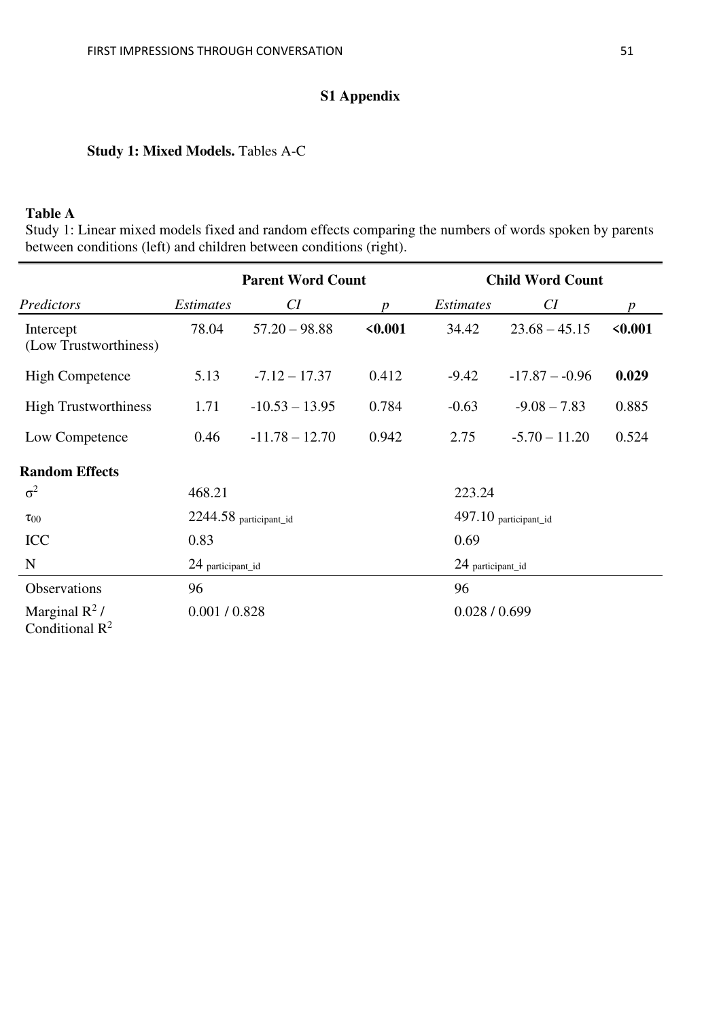# **S1 Appendix**

## **Study 1: Mixed Models.** Tables A-C

## **Table A**

Study 1: Linear mixed models fixed and random effects comparing the numbers of words spoken by parents between conditions (left) and children between conditions (right).

|                                       |                  | <b>Parent Word Count</b> |                  |                  | <b>Child Word Count</b> |         |  |
|---------------------------------------|------------------|--------------------------|------------------|------------------|-------------------------|---------|--|
| Predictors                            | <i>Estimates</i> | CI                       | $\boldsymbol{p}$ | <i>Estimates</i> | CI                      | p       |  |
| Intercept<br>(Low Trustworthiness)    | 78.04            | $57.20 - 98.88$          | < 0.001          | 34.42            | $23.68 - 45.15$         | < 0.001 |  |
| <b>High Competence</b>                | 5.13             | $-7.12 - 17.37$          | 0.412            | $-9.42$          | $-17.87 - -0.96$        | 0.029   |  |
| <b>High Trustworthiness</b>           | 1.71             | $-10.53 - 13.95$         | 0.784            | $-0.63$          | $-9.08 - 7.83$          | 0.885   |  |
| Low Competence                        | 0.46             | $-11.78 - 12.70$         | 0.942            | 2.75             | $-5.70 - 11.20$         | 0.524   |  |
| <b>Random Effects</b>                 |                  |                          |                  |                  |                         |         |  |
| $\sigma^2$                            | 468.21           |                          |                  | 223.24           |                         |         |  |
| $\tau_{00}$                           |                  | 2244.58 participant_id   |                  |                  | 497.10 participant_id   |         |  |
| <b>ICC</b>                            | 0.83             |                          |                  |                  | 0.69                    |         |  |
| N                                     |                  | 24 participant_id        |                  |                  | 24 participant_id       |         |  |
| Observations                          | 96               |                          |                  |                  | 96                      |         |  |
| Marginal $R^2$ /<br>Conditional $R^2$ |                  | 0.001 / 0.828            |                  | 0.028 / 0.699    |                         |         |  |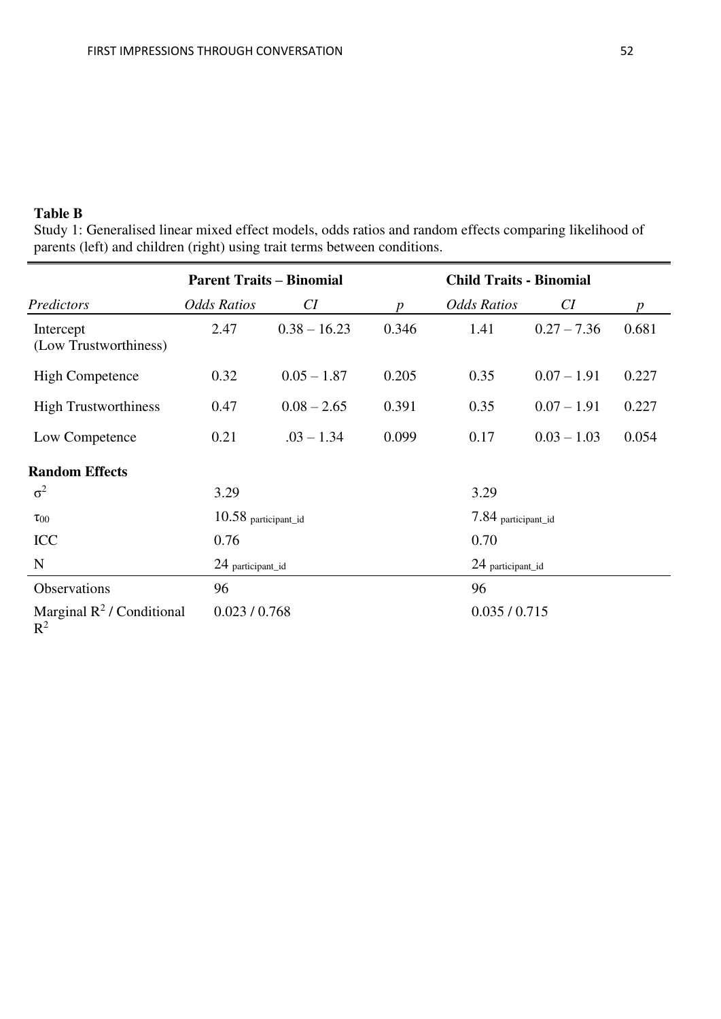# **Table B**

Study 1: Generalised linear mixed effect models, odds ratios and random effects comparing likelihood of parents (left) and children (right) using trait terms between conditions.

|                                                         | <b>Parent Traits - Binomial</b> |                   |                  | <b>Child Traits - Binomial</b> |                   |                  |  |
|---------------------------------------------------------|---------------------------------|-------------------|------------------|--------------------------------|-------------------|------------------|--|
| Predictors                                              | <b>Odds Ratios</b>              | CI                | $\boldsymbol{p}$ | <b>Odds Ratios</b>             | CI                | $\boldsymbol{p}$ |  |
| Intercept<br>(Low Trustworthiness)                      | 2.47                            | $0.38 - 16.23$    | 0.346            | 1.41                           | $0.27 - 7.36$     | 0.681            |  |
| <b>High Competence</b>                                  | 0.32                            | $0.05 - 1.87$     | 0.205            | 0.35                           | $0.07 - 1.91$     | 0.227            |  |
| <b>High Trustworthiness</b>                             | 0.47                            | $0.08 - 2.65$     | 0.391            | 0.35                           | $0.07 - 1.91$     | 0.227            |  |
| Low Competence                                          | 0.21                            | $.03 - 1.34$      | 0.099            | 0.17                           | $0.03 - 1.03$     | 0.054            |  |
| <b>Random Effects</b>                                   |                                 |                   |                  |                                |                   |                  |  |
| $\sigma^2$                                              | 3.29                            |                   |                  | 3.29                           |                   |                  |  |
| $\tau_{00}$                                             | $10.58$ participant_id          |                   |                  | 7.84 participant_id            |                   |                  |  |
| <b>ICC</b>                                              | 0.76                            |                   |                  |                                | 0.70              |                  |  |
| N                                                       |                                 | 24 participant_id |                  |                                | 24 participant_id |                  |  |
| Observations                                            | 96                              |                   |                  | 96                             |                   |                  |  |
| Marginal $\mathbb{R}^2$ / Conditional<br>$\mathbb{R}^2$ |                                 | 0.023 / 0.768     |                  | 0.035 / 0.715                  |                   |                  |  |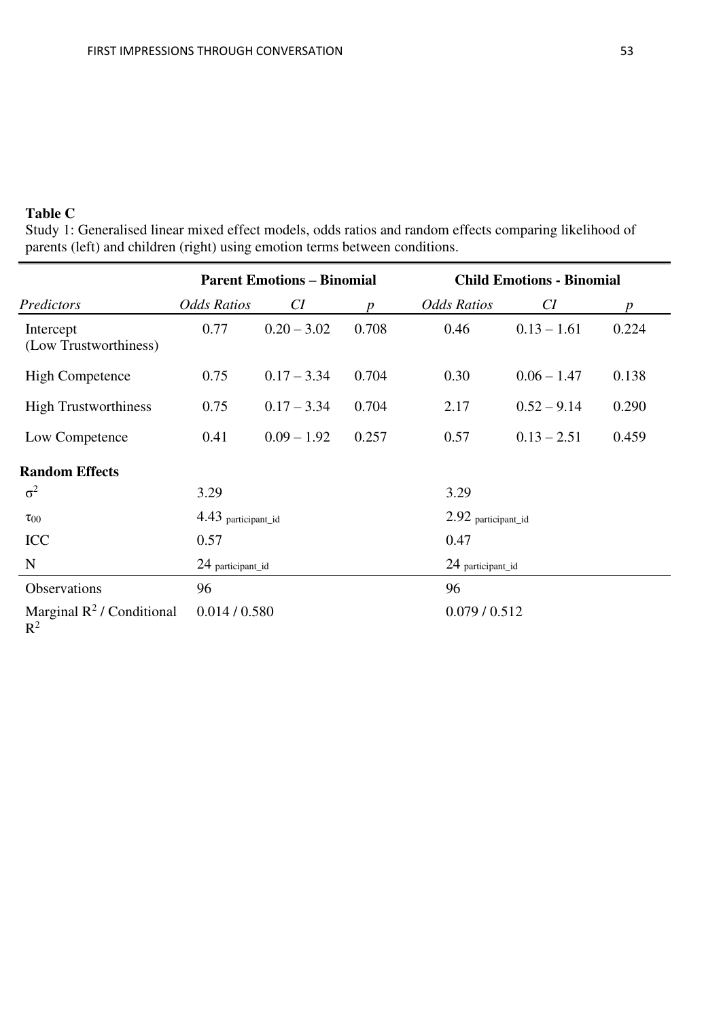# **Table C**

Study 1: Generalised linear mixed effect models, odds ratios and random effects comparing likelihood of parents (left) and children (right) using emotion terms between conditions.

|                                                         |                    | <b>Parent Emotions - Binomial</b> |                  | <b>Child Emotions - Binomial</b> |                     |       |  |
|---------------------------------------------------------|--------------------|-----------------------------------|------------------|----------------------------------|---------------------|-------|--|
| Predictors                                              | <b>Odds Ratios</b> | CI                                | $\boldsymbol{p}$ | <b>Odds Ratios</b>               | CI                  | p     |  |
| Intercept<br>(Low Trustworthiness)                      | 0.77               | $0.20 - 3.02$                     | 0.708            | 0.46                             | $0.13 - 1.61$       | 0.224 |  |
| <b>High Competence</b>                                  | 0.75               | $0.17 - 3.34$                     | 0.704            | 0.30                             | $0.06 - 1.47$       | 0.138 |  |
| <b>High Trustworthiness</b>                             | 0.75               | $0.17 - 3.34$                     | 0.704            | 2.17                             | $0.52 - 9.14$       | 0.290 |  |
| Low Competence                                          | 0.41               | $0.09 - 1.92$                     | 0.257            | 0.57                             | $0.13 - 2.51$       | 0.459 |  |
| <b>Random Effects</b>                                   |                    |                                   |                  |                                  |                     |       |  |
| $\sigma^2$                                              | 3.29               |                                   |                  | 3.29                             |                     |       |  |
| $\tau_{00}$                                             |                    | 4.43 participant_id               |                  |                                  | 2.92 participant_id |       |  |
| <b>ICC</b>                                              | 0.57               |                                   |                  | 0.47                             |                     |       |  |
| N                                                       | 24 participant_id  |                                   |                  | 24 participant_id                |                     |       |  |
| Observations                                            | 96                 |                                   |                  | 96                               |                     |       |  |
| Marginal $\mathbb{R}^2$ / Conditional<br>$\mathbb{R}^2$ |                    | 0.014 / 0.580                     |                  | 0.079/0.512                      |                     |       |  |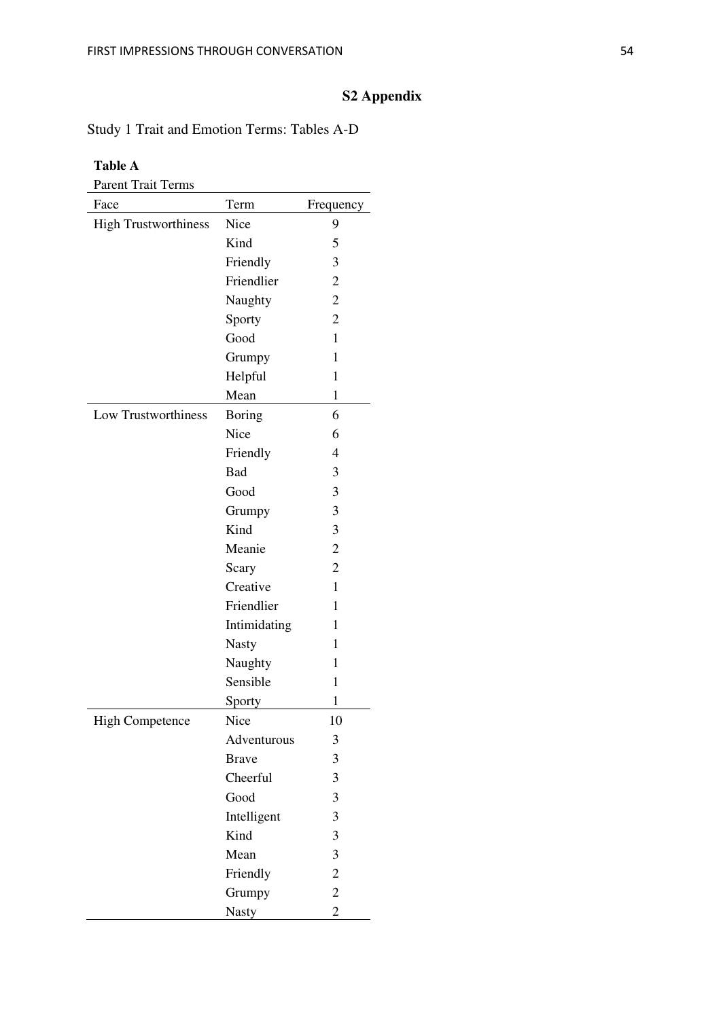# **S2 Appendix**

# Study 1 Trait and Emotion Terms: Tables A-D

#### **Table A**

| Parent Trait Terms          |               |                |
|-----------------------------|---------------|----------------|
| Face                        | Term          | Frequency      |
| <b>High Trustworthiness</b> | Nice          | 9              |
|                             | Kind          | 5              |
|                             | Friendly      | 3              |
|                             | Friendlier    | $\overline{c}$ |
|                             | Naughty       | $\overline{c}$ |
|                             | Sporty        | $\overline{c}$ |
|                             | Good          | $\mathbf{1}$   |
|                             | Grumpy        | 1              |
|                             | Helpful       | 1              |
|                             | Mean          | 1              |
| Low Trustworthiness         | <b>Boring</b> | 6              |
|                             | Nice          | 6              |
|                             | Friendly      | 4              |
|                             | Bad           | 3              |
|                             | Good          | 3              |
|                             | Grumpy        | 3              |
|                             | Kind          | 3              |
|                             | Meanie        | $\overline{2}$ |
|                             | Scary         | $\overline{2}$ |
|                             | Creative      | $\mathbf{1}$   |
|                             | Friendlier    | 1              |
|                             | Intimidating  | 1              |
|                             | <b>Nasty</b>  | 1              |
|                             | Naughty       | 1              |
|                             | Sensible      | 1              |
|                             | Sporty        | $\mathbf{1}$   |
| <b>High Competence</b>      | Nice          | 10             |
|                             | Adventurous   | 3              |
|                             | <b>Brave</b>  | 3              |
|                             | Cheerful      | 3              |
|                             | Good          | 3              |
|                             | Intelligent   | 3              |
|                             | Kind          | 3              |
|                             | Mean          | 3              |
|                             | Friendly      | $\overline{c}$ |
|                             | Grumpy        | $\overline{c}$ |
|                             | <b>Nasty</b>  | $\overline{2}$ |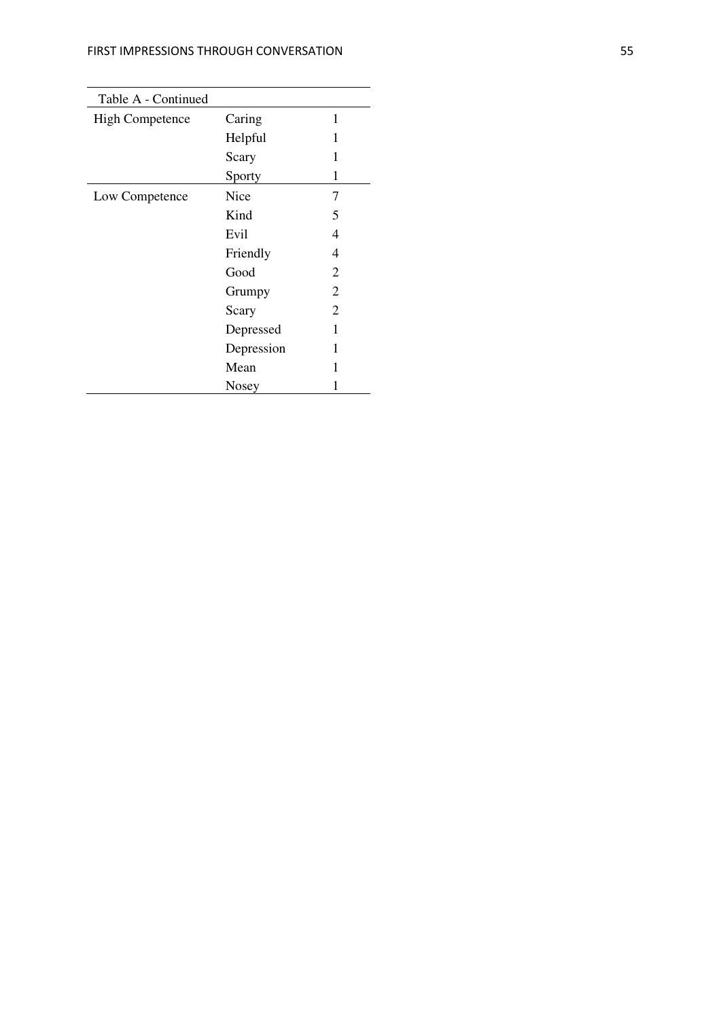| Table A - Continued    |            |   |
|------------------------|------------|---|
| <b>High Competence</b> | Caring     | 1 |
|                        | Helpful    | 1 |
|                        | Scary      | 1 |
|                        | Sporty     | 1 |
| Low Competence         | Nice       | 7 |
|                        | Kind       | 5 |
|                        | Evil       | 4 |
|                        | Friendly   | 4 |
|                        | Good       | 2 |
|                        | Grumpy     | 2 |
|                        | Scary      | 2 |
|                        | Depressed  | 1 |
|                        | Depression | 1 |
|                        | Mean       | 1 |
|                        | Nosey      |   |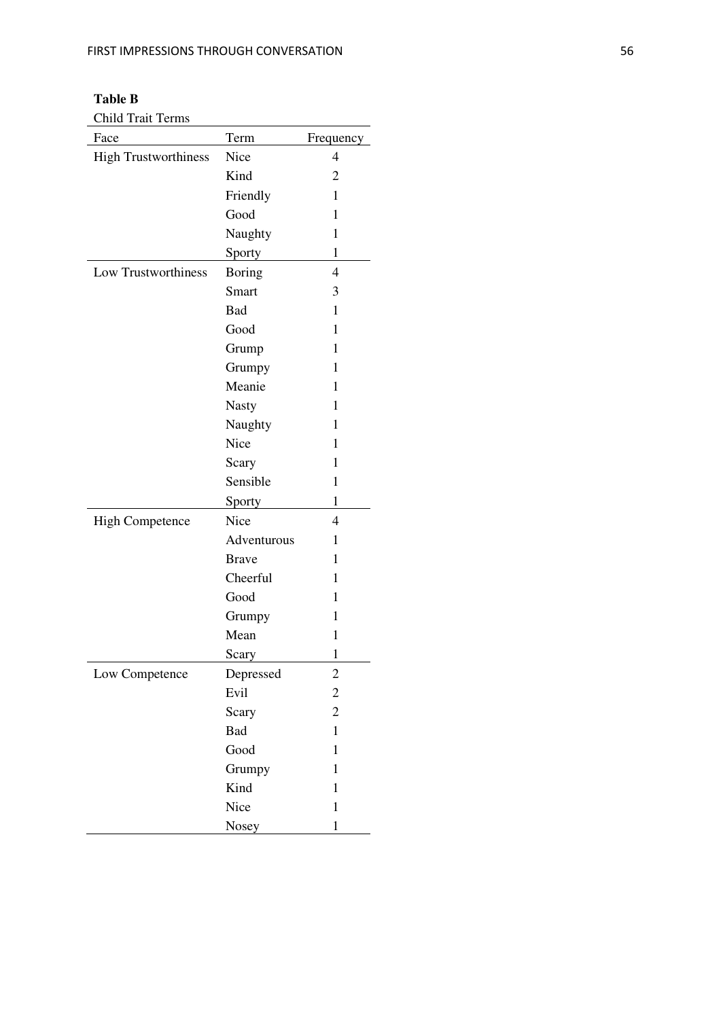| Table B |  |
|---------|--|
|---------|--|

Child Trait Terms

| Face                        | Term          | Frequency               |
|-----------------------------|---------------|-------------------------|
| <b>High Trustworthiness</b> | Nice          | 4                       |
|                             | Kind          | 2                       |
|                             | Friendly      | 1                       |
|                             | Good          | 1                       |
|                             | Naughty       | 1                       |
|                             | Sporty        | 1                       |
| Low Trustworthiness         | <b>Boring</b> | $\overline{4}$          |
|                             | Smart         | 3                       |
|                             | Bad           | 1                       |
|                             | Good          | 1                       |
|                             | Grump         | $\mathbf{1}$            |
|                             | Grumpy        | 1                       |
|                             | Meanie        | 1                       |
|                             | <b>Nasty</b>  | 1                       |
|                             | Naughty       | 1                       |
|                             | Nice          | 1                       |
|                             | Scary         | 1                       |
|                             | Sensible      | 1                       |
|                             | Sporty        | 1                       |
| <b>High Competence</b>      | Nice          | 4                       |
|                             | Adventurous   | 1                       |
|                             | <b>Brave</b>  | 1                       |
|                             | Cheerful      | 1                       |
|                             | Good          | 1                       |
|                             | Grumpy        | 1                       |
|                             | Mean          | $\mathbf{1}$            |
|                             | Scary         | $\mathbf{1}$            |
| Low Competence              | Depressed     | $\overline{\mathbf{c}}$ |
|                             | Evil          | $\overline{\mathbf{c}}$ |
|                             | Scary         | $\overline{c}$          |
|                             | Bad           | $\mathbf{1}$            |
|                             | Good          | $\mathbf{1}$            |
|                             | Grumpy        | $\mathbf{1}$            |
|                             | Kind          | $\mathbf{1}$            |
|                             | Nice          | $\mathbf{1}$            |
|                             | Nosey         | $\mathbf{1}$            |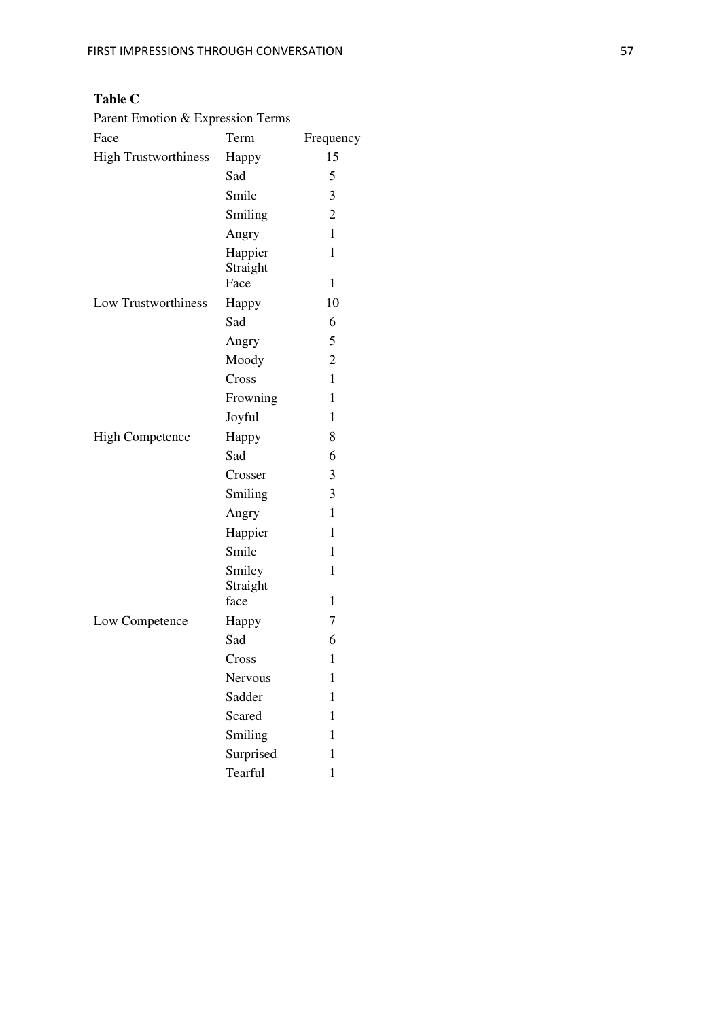# **Table C**

Parent Emotion & Expression Terms

| Face                        | Term               | Frequency      |
|-----------------------------|--------------------|----------------|
| <b>High Trustworthiness</b> | Happy              | 15             |
|                             | Sad                | 5              |
|                             | Smile              | 3              |
|                             | Smiling            | $\overline{2}$ |
|                             | Angry              | 1              |
|                             | Happier            | 1              |
|                             | Straight           |                |
|                             | Face               | $\mathbf{1}$   |
| Low Trustworthiness         | Happy              | 10             |
|                             | Sad                | 6              |
|                             | Angry              | 5              |
|                             | Moody              | $\overline{2}$ |
|                             | Cross              | 1              |
|                             | Frowning           | 1              |
|                             | Joyful             | 1              |
| <b>High Competence</b>      | Happy              | 8              |
|                             | Sad                | 6              |
|                             | Crosser            | 3              |
|                             | Smiling            | 3              |
|                             | Angry              | 1              |
|                             | Happier            | 1              |
|                             | Smile              | 1              |
|                             | Smiley<br>Straight | $\mathbf{1}$   |
|                             | face               | 1              |
| Low Competence              | Happy              | 7              |
|                             | Sad                | 6              |
|                             | Cross              | 1              |
|                             | Nervous            | 1              |
|                             | Sadder             | $\mathbf{1}$   |
|                             | <b>Scared</b>      | $\mathbf{1}$   |
|                             | Smiling            | $\mathbf{1}$   |
|                             | Surprised          | $\mathbf{1}$   |
|                             | Tearful            | $\mathbf{1}$   |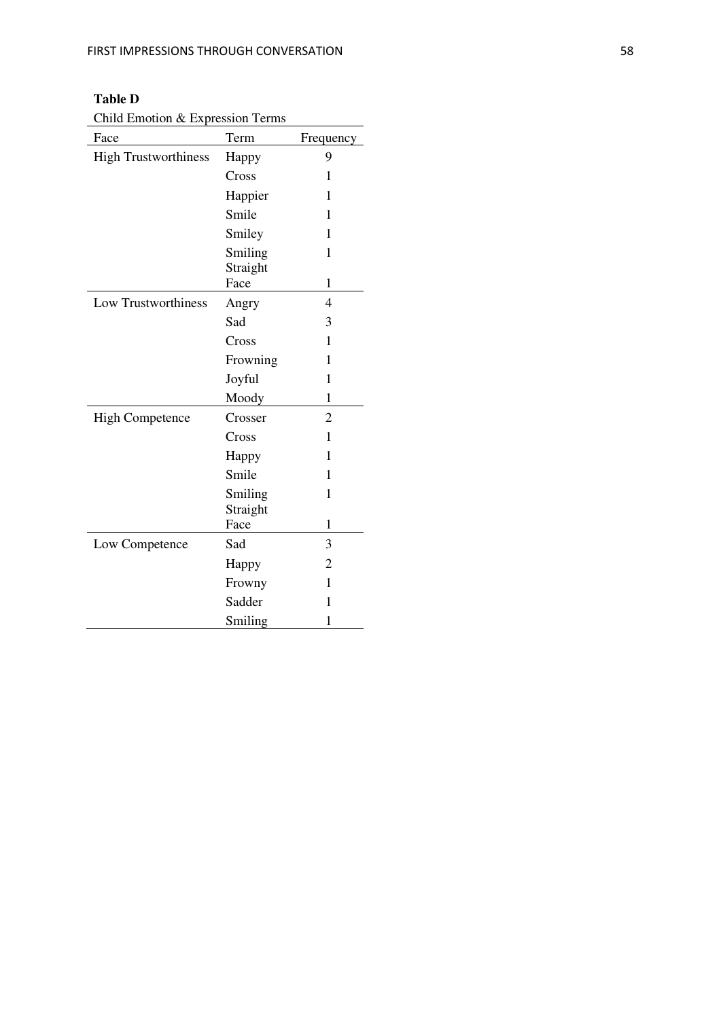## **Table D**

Child Emotion & Expression Terms

| Face                        | Term                | Frequency      |
|-----------------------------|---------------------|----------------|
| <b>High Trustworthiness</b> | Happy               | 9              |
|                             | Cross               | 1              |
|                             | Happier             | 1              |
|                             | Smile               | 1              |
|                             | Smiley              | 1              |
|                             | Smiling<br>Straight | 1              |
|                             | Face                | 1              |
| <b>Low Trustworthiness</b>  | Angry               | $\overline{4}$ |
|                             | Sad                 | 3              |
|                             | Cross               | 1              |
|                             | Frowning            | 1              |
|                             | Joyful              | 1              |
|                             | Moody               | 1              |
| <b>High Competence</b>      | Crosser             | $\overline{2}$ |
|                             | Cross               | $\mathbf{1}$   |
|                             | Happy               | 1              |
|                             | Smile               | $\mathbf{1}$   |
|                             | Smiling<br>Straight | $\mathbf{1}$   |
|                             | Face                | 1              |
| Low Competence              | Sad                 | 3              |
|                             | Happy               | 2              |
|                             | Frowny              | 1              |
|                             | Sadder              | $\mathbf{1}$   |
|                             | Smiling             | $\mathbf{1}$   |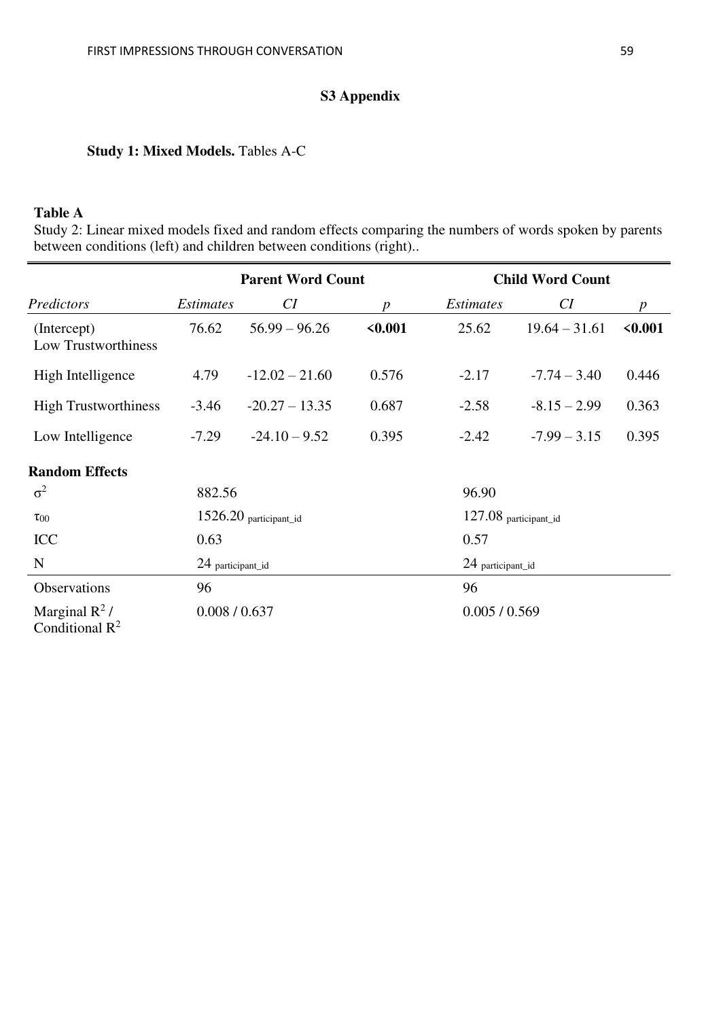# **S3 Appendix**

# **Study 1: Mixed Models.** Tables A-C

## **Table A**

Study 2: Linear mixed models fixed and random effects comparing the numbers of words spoken by parents between conditions (left) and children between conditions (right)..

|                                       | <b>Parent Word Count</b> |                  | <b>Child Word Count</b> |                       |                 |                  |
|---------------------------------------|--------------------------|------------------|-------------------------|-----------------------|-----------------|------------------|
| Predictors                            | <i>Estimates</i>         | CI               | p                       | <i>Estimates</i>      | CI              | $\boldsymbol{p}$ |
| (Intercept)<br>Low Trustworthiness    | 76.62                    | $56.99 - 96.26$  | < 0.001                 | 25.62                 | $19.64 - 31.61$ | < 0.001          |
| High Intelligence                     | 4.79                     | $-12.02 - 21.60$ | 0.576                   | $-2.17$               | $-7.74 - 3.40$  | 0.446            |
| <b>High Trustworthiness</b>           | $-3.46$                  | $-20.27 - 13.35$ | 0.687                   | $-2.58$               | $-8.15 - 2.99$  | 0.363            |
| Low Intelligence                      | $-7.29$                  | $-24.10 - 9.52$  | 0.395                   | $-2.42$               | $-7.99 - 3.15$  | 0.395            |
| <b>Random Effects</b>                 |                          |                  |                         |                       |                 |                  |
| $\sigma^2$                            | 882.56                   |                  |                         | 96.90                 |                 |                  |
| $\tau_{00}$                           | 1526.20 participant_id   |                  |                         | 127.08 participant_id |                 |                  |
| ICC                                   | 0.63                     |                  |                         | 0.57                  |                 |                  |
| N                                     | 24 participant_id        |                  |                         | 24 participant_id     |                 |                  |
| Observations                          | 96                       |                  |                         | 96                    |                 |                  |
| Marginal $R^2$ /<br>Conditional $R^2$ | 0.008 / 0.637            |                  |                         | 0.005 / 0.569         |                 |                  |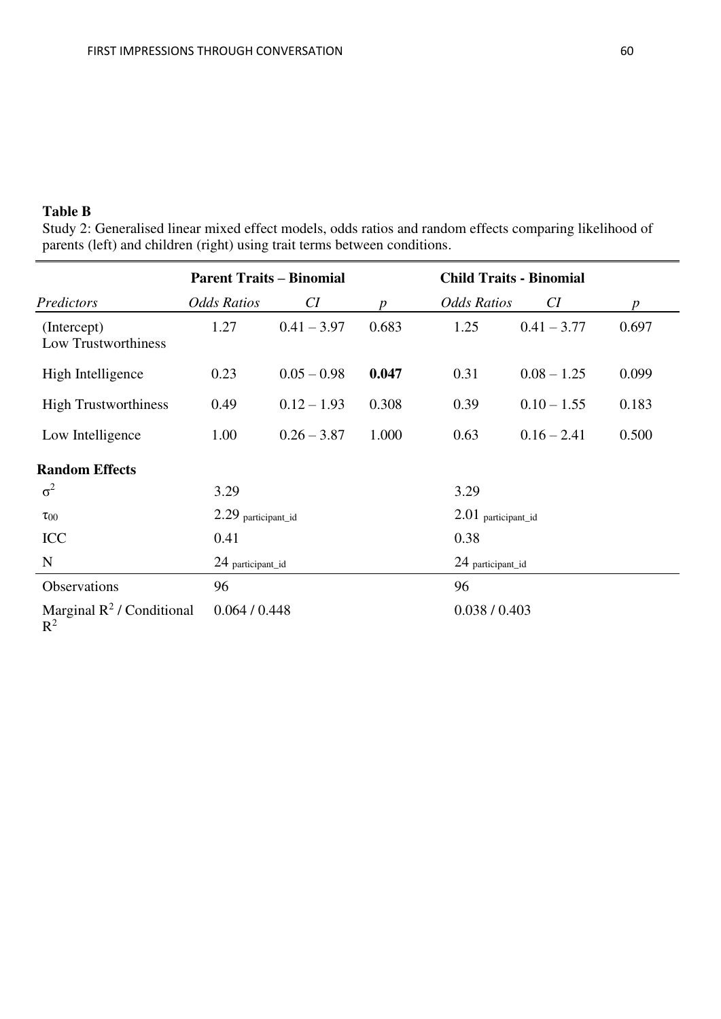## **Table B**

Study 2: Generalised linear mixed effect models, odds ratios and random effects comparing likelihood of parents (left) and children (right) using trait terms between conditions.

|                                                | <b>Parent Traits - Binomial</b> |               |                  | <b>Child Traits - Binomial</b> |               |                  |
|------------------------------------------------|---------------------------------|---------------|------------------|--------------------------------|---------------|------------------|
| Predictors                                     | <b>Odds Ratios</b>              | CI            | $\boldsymbol{p}$ | <b>Odds Ratios</b>             | CI            | $\boldsymbol{p}$ |
| (Intercept)<br>Low Trustworthiness             | 1.27                            | $0.41 - 3.97$ | 0.683            | 1.25                           | $0.41 - 3.77$ | 0.697            |
| High Intelligence                              | 0.23                            | $0.05 - 0.98$ | 0.047            | 0.31                           | $0.08 - 1.25$ | 0.099            |
| <b>High Trustworthiness</b>                    | 0.49                            | $0.12 - 1.93$ | 0.308            | 0.39                           | $0.10 - 1.55$ | 0.183            |
| Low Intelligence                               | 1.00                            | $0.26 - 3.87$ | 1.000            | 0.63                           | $0.16 - 2.41$ | 0.500            |
| <b>Random Effects</b>                          |                                 |               |                  |                                |               |                  |
| $\sigma^2$                                     | 3.29                            |               |                  | 3.29                           |               |                  |
| $\tau_{00}$                                    | 2.29 participant_id             |               |                  | $2.01$ participant_id          |               |                  |
| ICC                                            | 0.41                            |               |                  | 0.38                           |               |                  |
| N                                              | 24 participant_id               |               |                  | 24 participant_id              |               |                  |
| Observations                                   | 96                              |               |                  | 96                             |               |                  |
| Marginal $\mathbb{R}^2$ / Conditional<br>$R^2$ | 0.064 / 0.448                   |               |                  | 0.038 / 0.403                  |               |                  |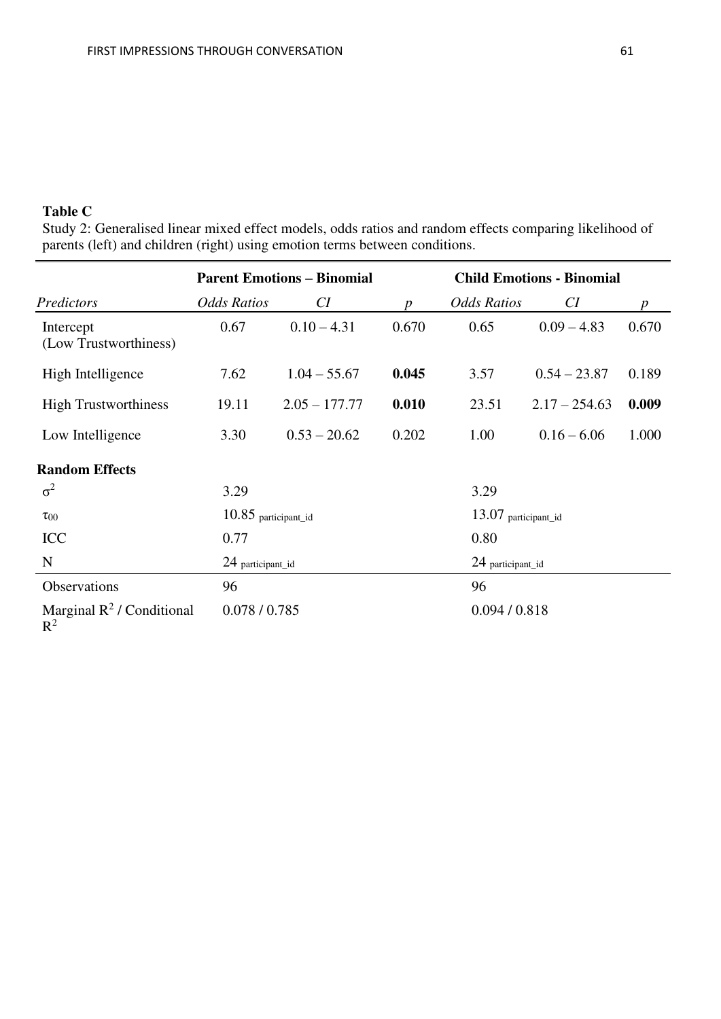## **Table C**

Study 2: Generalised linear mixed effect models, odds ratios and random effects comparing likelihood of parents (left) and children (right) using emotion terms between conditions.

|                                       | <b>Parent Emotions - Binomial</b> |                 |               | <b>Child Emotions - Binomial</b> |                 |       |
|---------------------------------------|-----------------------------------|-----------------|---------------|----------------------------------|-----------------|-------|
| Predictors                            | <b>Odds Ratios</b>                | CI              | n             | <b>Odds Ratios</b>               | CI              | p     |
| Intercept<br>(Low Trustworthiness)    | 0.67                              | $0.10 - 4.31$   | 0.670         | 0.65                             | $0.09 - 4.83$   | 0.670 |
| High Intelligence                     | 7.62                              | $1.04 - 55.67$  | 0.045         | 3.57                             | $0.54 - 23.87$  | 0.189 |
| <b>High Trustworthiness</b>           | 19.11                             | $2.05 - 177.77$ | 0.010         | 23.51                            | $2.17 - 254.63$ | 0.009 |
| Low Intelligence                      | 3.30                              | $0.53 - 20.62$  | 0.202         | 1.00                             | $0.16 - 6.06$   | 1.000 |
| <b>Random Effects</b>                 |                                   |                 |               |                                  |                 |       |
| $\sigma^2$                            | 3.29                              |                 |               | 3.29                             |                 |       |
| $\tau_{00}$                           | $10.85$ participant_id            |                 |               | 13.07 participant_id             |                 |       |
| <b>ICC</b>                            | 0.77                              |                 |               | 0.80                             |                 |       |
| N                                     | 24 participant_id                 |                 |               | 24 participant_id                |                 |       |
| Observations                          | 96                                |                 |               | 96                               |                 |       |
| Marginal $R^2$ / Conditional<br>$R^2$ | 0.078 / 0.785                     |                 | 0.094 / 0.818 |                                  |                 |       |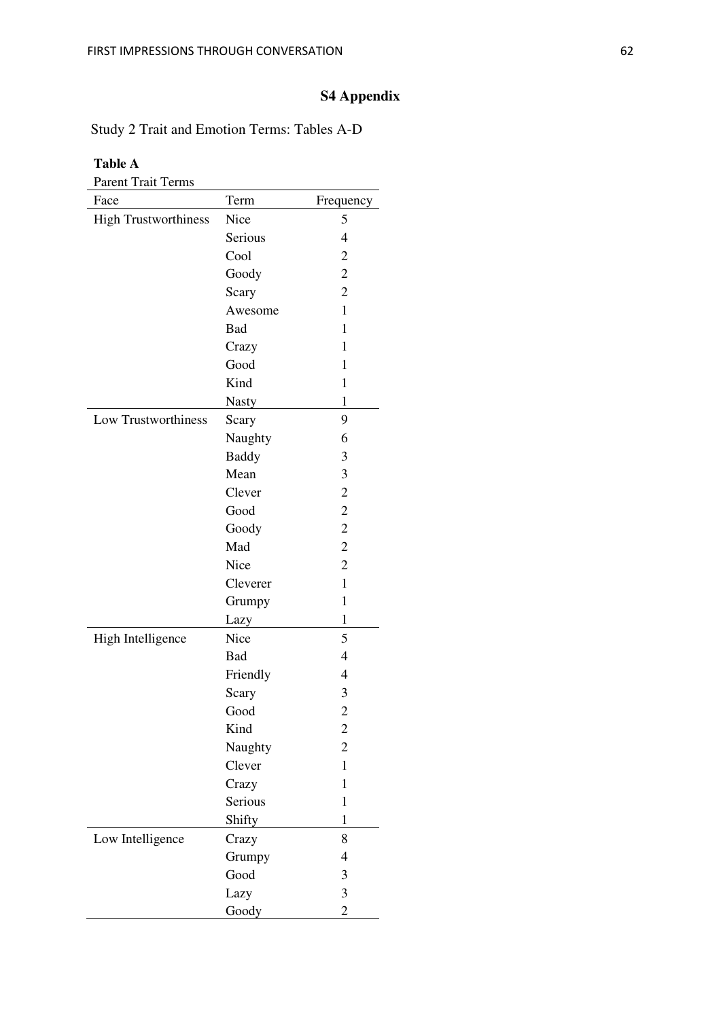# **S4 Appendix**

Study 2 Trait and Emotion Terms: Tables A-D

| <b>Table A</b>              |              |                |
|-----------------------------|--------------|----------------|
| <b>Parent Trait Terms</b>   |              |                |
| Face                        | Term         | Frequency      |
| <b>High Trustworthiness</b> | Nice         | 5              |
|                             | Serious      | $\overline{4}$ |
|                             | Cool         | $\overline{c}$ |
|                             | Goody        | $\overline{c}$ |
|                             | Scary        | $\overline{2}$ |
|                             | Awesome      | 1              |
|                             | Bad          | 1              |
|                             | Crazy        | 1              |
|                             | Good         | 1              |
|                             | Kind         | 1              |
|                             | <b>Nasty</b> | 1              |
| Low Trustworthiness         | Scary        | 9              |
|                             | Naughty      | 6              |
|                             | <b>Baddy</b> | 3              |
|                             | Mean         | 3              |
|                             | Clever       | $\overline{c}$ |
|                             | Good         | $\overline{c}$ |
|                             | Goody        | $\overline{c}$ |
|                             | Mad          | $\overline{c}$ |
|                             | Nice         | $\overline{c}$ |
|                             | Cleverer     | 1              |
|                             | Grumpy       | 1              |
|                             | Lazy         | 1              |
| High Intelligence           | Nice         | 5              |
|                             | Bad          | 4              |
|                             | Friendly     | $\overline{4}$ |
|                             | Scary        | 3              |
|                             | Good         | $\overline{c}$ |
|                             | Kind         | $\overline{c}$ |
|                             | Naughty      | $\overline{c}$ |
|                             | Clever       | $\mathbf{1}$   |
|                             | Crazy        | 1              |
|                             | Serious      | 1              |
|                             | Shifty       | 1              |
| Low Intelligence            | Crazy        | 8              |
|                             | Grumpy       | $\overline{4}$ |
|                             | Good         | 3              |
|                             | Lazy         | 3              |
|                             | Goody        | $\overline{c}$ |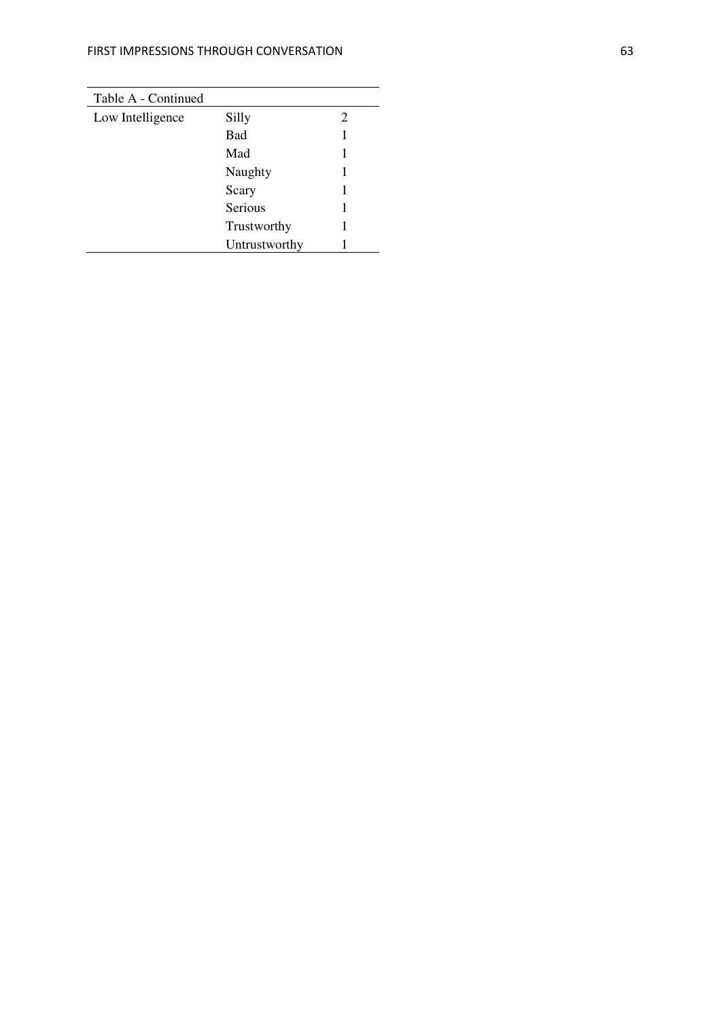| Table A - Continued |               |   |
|---------------------|---------------|---|
| Low Intelligence    | Silly         | 2 |
|                     | <b>Bad</b>    |   |
|                     | Mad           |   |
|                     | Naughty       |   |
|                     | Scary         |   |
|                     | Serious       |   |
|                     | Trustworthy   |   |
|                     | Untrustworthy |   |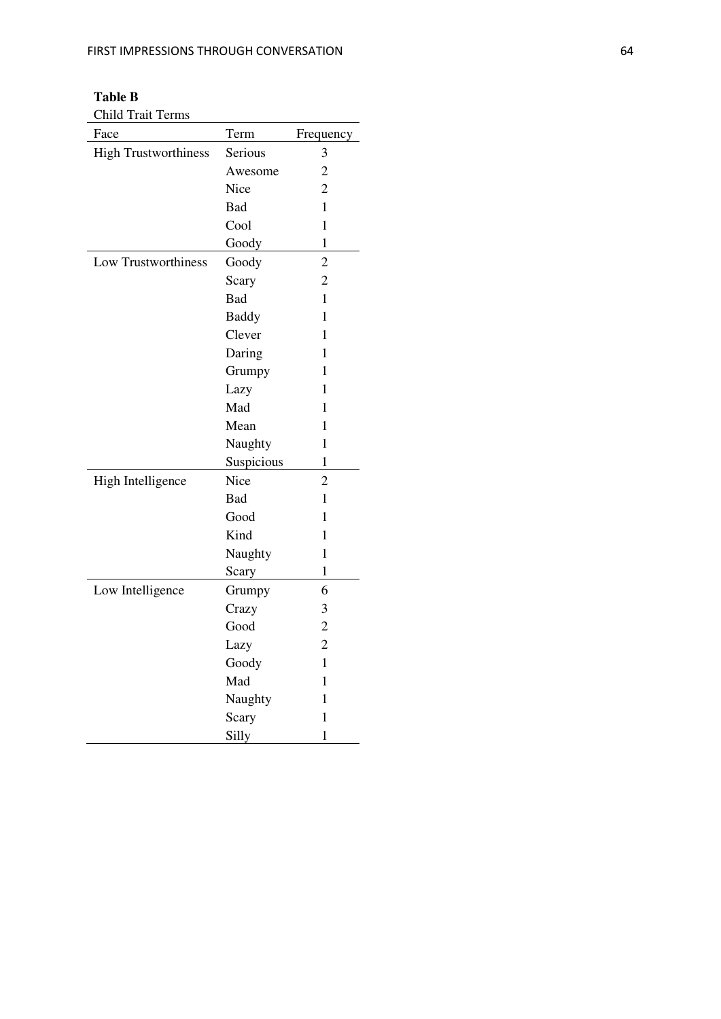**Table B**  Child Trait Terms

| Face                        | Term         | Frequency      |
|-----------------------------|--------------|----------------|
| <b>High Trustworthiness</b> | Serious      | 3              |
|                             | Awesome      | $\overline{c}$ |
|                             | Nice         | $\overline{c}$ |
|                             | Bad          | $\mathbf{1}$   |
|                             | Cool         | $\mathbf{1}$   |
|                             | Goody        | 1              |
| Low Trustworthiness         | Goody        | $\overline{2}$ |
|                             | Scary        | $\overline{c}$ |
|                             | Bad          | $\mathbf{1}$   |
|                             | <b>Baddy</b> | 1              |
|                             | Clever       | 1              |
|                             | Daring       | 1              |
|                             | Grumpy       | 1              |
|                             | Lazy         | 1              |
|                             | Mad          | 1              |
|                             | Mean         | 1              |
|                             | Naughty      | 1              |
|                             | Suspicious   | $\mathbf{1}$   |
| High Intelligence           | Nice         | $\overline{c}$ |
|                             | Bad          | $\mathbf{1}$   |
|                             | Good         | 1              |
|                             | Kind         | $\mathbf{1}$   |
|                             | Naughty      | $\mathbf{1}$   |
|                             | Scary        | $\mathbf{1}$   |
| Low Intelligence            | Grumpy       | 6              |
|                             | Crazy        | 3              |
|                             | Good         | $\overline{c}$ |
|                             | Lazy         | $\overline{2}$ |
|                             | Goody        | 1              |
|                             | Mad          | 1              |
|                             | Naughty      | 1              |
|                             | Scary        | $\mathbf{1}$   |
|                             | Silly        | $\mathbf{1}$   |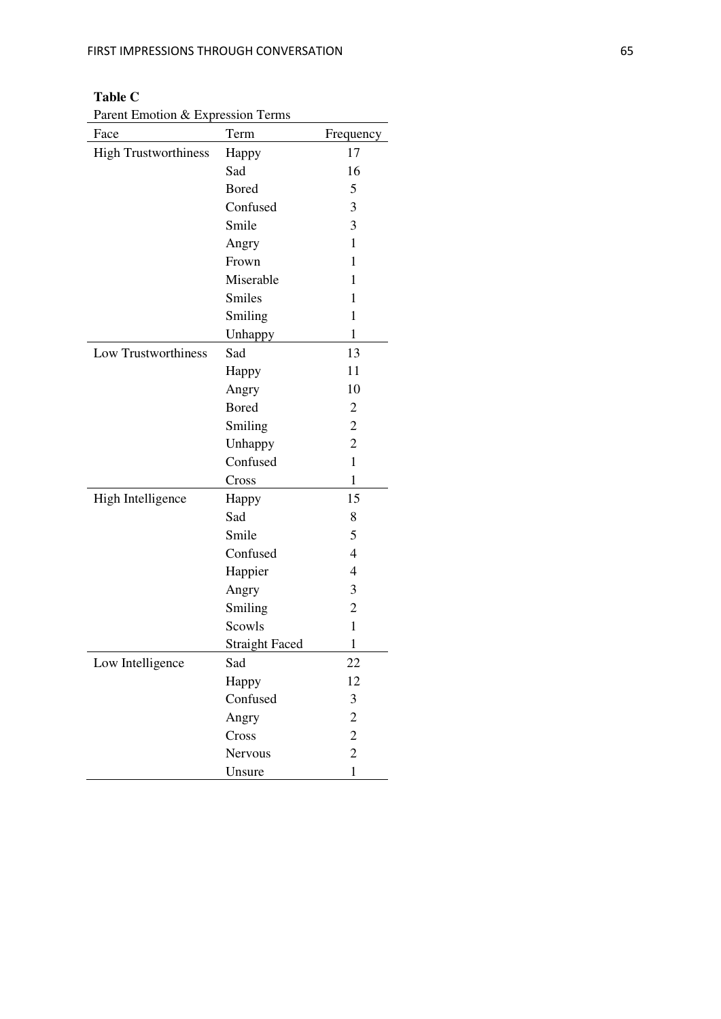# **Table C**

Parent Emotion & Expression Terms

| Face                        | Term                  | Frequency      |
|-----------------------------|-----------------------|----------------|
| <b>High Trustworthiness</b> | Happy                 | 17             |
|                             | Sad                   | 16             |
|                             | <b>Bored</b>          | 5              |
|                             | Confused              | 3              |
|                             | Smile                 | 3              |
|                             | Angry                 | 1              |
|                             | Frown                 | 1              |
|                             | Miserable             | 1              |
|                             | <b>Smiles</b>         | 1              |
|                             | Smiling               | $\mathbf{1}$   |
|                             | Unhappy               | $\mathbf{1}$   |
| Low Trustworthiness         | Sad                   | 13             |
|                             | Happy                 | 11             |
|                             | Angry                 | 10             |
|                             | <b>Bored</b>          | 2              |
|                             | Smiling               | $\sqrt{2}$     |
|                             | Unhappy               | $\overline{c}$ |
|                             | Confused              | $\mathbf{1}$   |
|                             | Cross                 | $\mathbf{1}$   |
| High Intelligence           | Happy                 | 15             |
|                             | Sad                   | 8              |
|                             | Smile                 | 5              |
|                             | Confused              | 4              |
|                             | Happier               | 4              |
|                             | Angry                 | 3              |
|                             | Smiling               | $\overline{2}$ |
|                             | Scowls                | 1              |
|                             | <b>Straight Faced</b> | 1              |
| Low Intelligence            | Sad                   | 22             |
|                             | Happy                 | 12             |
|                             | Confused              | 3              |
|                             | Angry                 | $\overline{c}$ |
|                             | Cross                 | $\overline{c}$ |
|                             | Nervous               | $\overline{2}$ |
|                             | Unsure                | $\mathbf{1}$   |